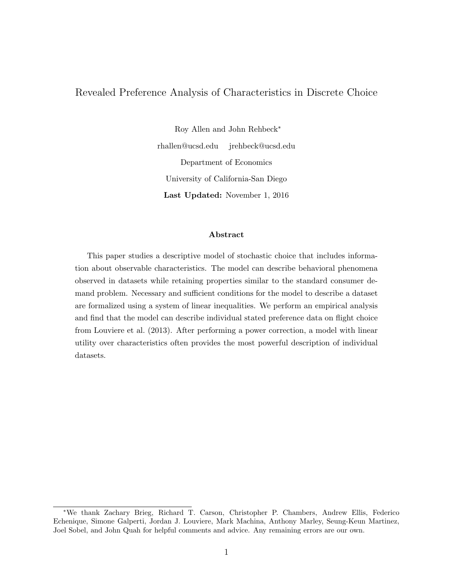#### Revealed Preference Analysis of Characteristics in Discrete Choice

Roy Allen and John Rehbeck<sup>∗</sup> rhallen@ucsd.edu jrehbeck@ucsd.edu Department of Economics University of California-San Diego Last Updated: November 1, 2016

#### Abstract

This paper studies a descriptive model of stochastic choice that includes information about observable characteristics. The model can describe behavioral phenomena observed in datasets while retaining properties similar to the standard consumer demand problem. Necessary and sufficient conditions for the model to describe a dataset are formalized using a system of linear inequalities. We perform an empirical analysis and find that the model can describe individual stated preference data on flight choice from Louviere et al. (2013). After performing a power correction, a model with linear utility over characteristics often provides the most powerful description of individual datasets.

<sup>∗</sup>We thank Zachary Brieg, Richard T. Carson, Christopher P. Chambers, Andrew Ellis, Federico Echenique, Simone Galperti, Jordan J. Louviere, Mark Machina, Anthony Marley, Seung-Keun Martinez, Joel Sobel, and John Quah for helpful comments and advice. Any remaining errors are our own.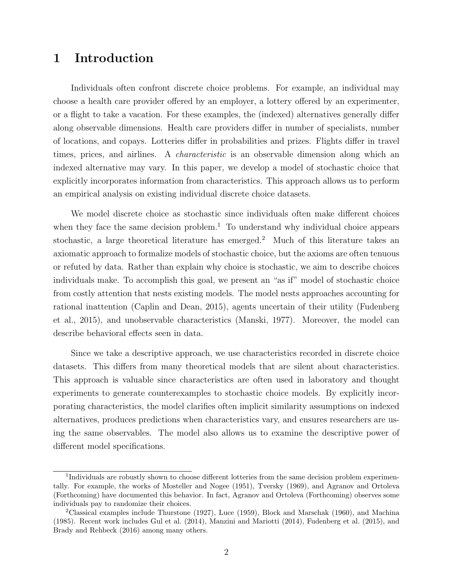# 1 Introduction

Individuals often confront discrete choice problems. For example, an individual may choose a health care provider offered by an employer, a lottery offered by an experimenter, or a flight to take a vacation. For these examples, the (indexed) alternatives generally differ along observable dimensions. Health care providers differ in number of specialists, number of locations, and copays. Lotteries differ in probabilities and prizes. Flights differ in travel times, prices, and airlines. A *characteristic* is an observable dimension along which an indexed alternative may vary. In this paper, we develop a model of stochastic choice that explicitly incorporates information from characteristics. This approach allows us to perform an empirical analysis on existing individual discrete choice datasets.

We model discrete choice as stochastic since individuals often make different choices when they face the same decision problem.<sup>1</sup> To understand why individual choice appears stochastic, a large theoretical literature has emerged.<sup>2</sup> Much of this literature takes an axiomatic approach to formalize models of stochastic choice, but the axioms are often tenuous or refuted by data. Rather than explain why choice is stochastic, we aim to describe choices individuals make. To accomplish this goal, we present an "as if" model of stochastic choice from costly attention that nests existing models. The model nests approaches accounting for rational inattention (Caplin and Dean, 2015), agents uncertain of their utility (Fudenberg et al., 2015), and unobservable characteristics (Manski, 1977). Moreover, the model can describe behavioral effects seen in data.

Since we take a descriptive approach, we use characteristics recorded in discrete choice datasets. This differs from many theoretical models that are silent about characteristics. This approach is valuable since characteristics are often used in laboratory and thought experiments to generate counterexamples to stochastic choice models. By explicitly incorporating characteristics, the model clarifies often implicit similarity assumptions on indexed alternatives, produces predictions when characteristics vary, and ensures researchers are using the same observables. The model also allows us to examine the descriptive power of different model specifications.

<sup>&</sup>lt;sup>1</sup>Individuals are robustly shown to choose different lotteries from the same decision problem experimentally. For example, the works of Mosteller and Nogee (1951), Tversky (1969), and Agranov and Ortoleva (Forthcoming) have documented this behavior. In fact, Agranov and Ortoleva (Forthcoming) observes some individuals pay to randomize their choices.

<sup>2</sup>Classical examples include Thurstone (1927), Luce (1959), Block and Marschak (1960), and Machina (1985). Recent work includes Gul et al. (2014), Manzini and Mariotti (2014), Fudenberg et al. (2015), and Brady and Rehbeck (2016) among many others.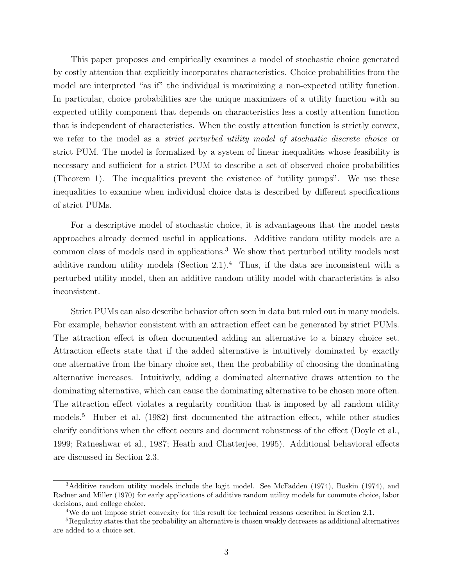This paper proposes and empirically examines a model of stochastic choice generated by costly attention that explicitly incorporates characteristics. Choice probabilities from the model are interpreted "as if" the individual is maximizing a non-expected utility function. In particular, choice probabilities are the unique maximizers of a utility function with an expected utility component that depends on characteristics less a costly attention function that is independent of characteristics. When the costly attention function is strictly convex, we refer to the model as a strict perturbed utility model of stochastic discrete choice or strict PUM. The model is formalized by a system of linear inequalities whose feasibility is necessary and sufficient for a strict PUM to describe a set of observed choice probabilities (Theorem 1). The inequalities prevent the existence of "utility pumps". We use these inequalities to examine when individual choice data is described by different specifications of strict PUMs.

For a descriptive model of stochastic choice, it is advantageous that the model nests approaches already deemed useful in applications. Additive random utility models are a common class of models used in applications.<sup>3</sup> We show that perturbed utility models nest additive random utility models (Section 2.1).<sup>4</sup> Thus, if the data are inconsistent with a perturbed utility model, then an additive random utility model with characteristics is also inconsistent.

Strict PUMs can also describe behavior often seen in data but ruled out in many models. For example, behavior consistent with an attraction effect can be generated by strict PUMs. The attraction effect is often documented adding an alternative to a binary choice set. Attraction effects state that if the added alternative is intuitively dominated by exactly one alternative from the binary choice set, then the probability of choosing the dominating alternative increases. Intuitively, adding a dominated alternative draws attention to the dominating alternative, which can cause the dominating alternative to be chosen more often. The attraction effect violates a regularity condition that is imposed by all random utility models.<sup>5</sup> Huber et al. (1982) first documented the attraction effect, while other studies clarify conditions when the effect occurs and document robustness of the effect (Doyle et al., 1999; Ratneshwar et al., 1987; Heath and Chatterjee, 1995). Additional behavioral effects are discussed in Section 2.3.

<sup>3</sup>Additive random utility models include the logit model. See McFadden (1974), Boskin (1974), and Radner and Miller (1970) for early applications of additive random utility models for commute choice, labor decisions, and college choice.

<sup>4</sup>We do not impose strict convexity for this result for technical reasons described in Section 2.1.

<sup>&</sup>lt;sup>5</sup>Regularity states that the probability an alternative is chosen weakly decreases as additional alternatives are added to a choice set.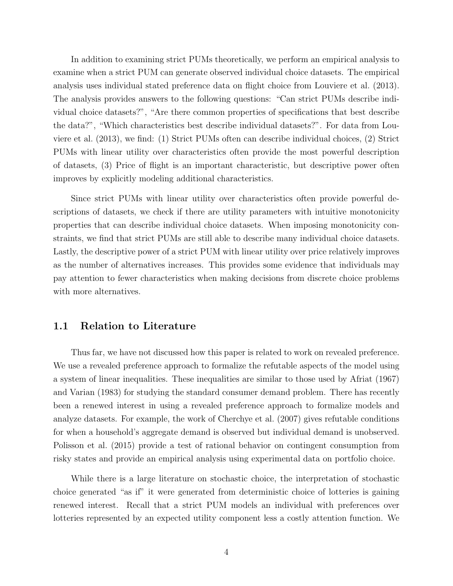In addition to examining strict PUMs theoretically, we perform an empirical analysis to examine when a strict PUM can generate observed individual choice datasets. The empirical analysis uses individual stated preference data on flight choice from Louviere et al. (2013). The analysis provides answers to the following questions: "Can strict PUMs describe individual choice datasets?", "Are there common properties of specifications that best describe the data?", "Which characteristics best describe individual datasets?". For data from Louviere et al. (2013), we find: (1) Strict PUMs often can describe individual choices, (2) Strict PUMs with linear utility over characteristics often provide the most powerful description of datasets, (3) Price of flight is an important characteristic, but descriptive power often improves by explicitly modeling additional characteristics.

Since strict PUMs with linear utility over characteristics often provide powerful descriptions of datasets, we check if there are utility parameters with intuitive monotonicity properties that can describe individual choice datasets. When imposing monotonicity constraints, we find that strict PUMs are still able to describe many individual choice datasets. Lastly, the descriptive power of a strict PUM with linear utility over price relatively improves as the number of alternatives increases. This provides some evidence that individuals may pay attention to fewer characteristics when making decisions from discrete choice problems with more alternatives.

#### 1.1 Relation to Literature

Thus far, we have not discussed how this paper is related to work on revealed preference. We use a revealed preference approach to formalize the refutable aspects of the model using a system of linear inequalities. These inequalities are similar to those used by Afriat (1967) and Varian (1983) for studying the standard consumer demand problem. There has recently been a renewed interest in using a revealed preference approach to formalize models and analyze datasets. For example, the work of Cherchye et al. (2007) gives refutable conditions for when a household's aggregate demand is observed but individual demand is unobserved. Polisson et al. (2015) provide a test of rational behavior on contingent consumption from risky states and provide an empirical analysis using experimental data on portfolio choice.

While there is a large literature on stochastic choice, the interpretation of stochastic choice generated "as if" it were generated from deterministic choice of lotteries is gaining renewed interest. Recall that a strict PUM models an individual with preferences over lotteries represented by an expected utility component less a costly attention function. We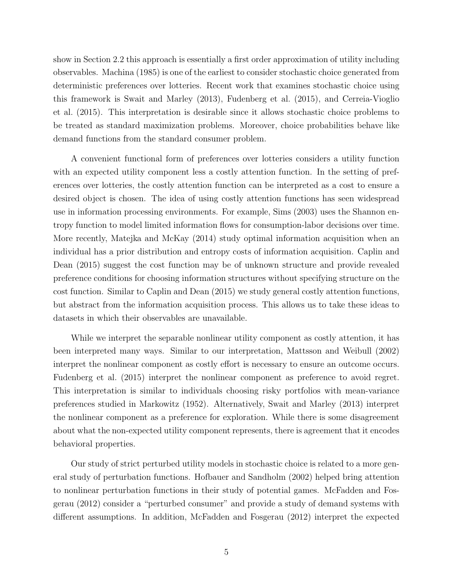show in Section 2.2 this approach is essentially a first order approximation of utility including observables. Machina (1985) is one of the earliest to consider stochastic choice generated from deterministic preferences over lotteries. Recent work that examines stochastic choice using this framework is Swait and Marley (2013), Fudenberg et al. (2015), and Cerreia-Vioglio et al. (2015). This interpretation is desirable since it allows stochastic choice problems to be treated as standard maximization problems. Moreover, choice probabilities behave like demand functions from the standard consumer problem.

A convenient functional form of preferences over lotteries considers a utility function with an expected utility component less a costly attention function. In the setting of preferences over lotteries, the costly attention function can be interpreted as a cost to ensure a desired object is chosen. The idea of using costly attention functions has seen widespread use in information processing environments. For example, Sims (2003) uses the Shannon entropy function to model limited information flows for consumption-labor decisions over time. More recently, Matejka and McKay (2014) study optimal information acquisition when an individual has a prior distribution and entropy costs of information acquisition. Caplin and Dean (2015) suggest the cost function may be of unknown structure and provide revealed preference conditions for choosing information structures without specifying structure on the cost function. Similar to Caplin and Dean (2015) we study general costly attention functions, but abstract from the information acquisition process. This allows us to take these ideas to datasets in which their observables are unavailable.

While we interpret the separable nonlinear utility component as costly attention, it has been interpreted many ways. Similar to our interpretation, Mattsson and Weibull (2002) interpret the nonlinear component as costly effort is necessary to ensure an outcome occurs. Fudenberg et al. (2015) interpret the nonlinear component as preference to avoid regret. This interpretation is similar to individuals choosing risky portfolios with mean-variance preferences studied in Markowitz (1952). Alternatively, Swait and Marley (2013) interpret the nonlinear component as a preference for exploration. While there is some disagreement about what the non-expected utility component represents, there is agreement that it encodes behavioral properties.

Our study of strict perturbed utility models in stochastic choice is related to a more general study of perturbation functions. Hofbauer and Sandholm (2002) helped bring attention to nonlinear perturbation functions in their study of potential games. McFadden and Fosgerau (2012) consider a "perturbed consumer" and provide a study of demand systems with different assumptions. In addition, McFadden and Fosgerau (2012) interpret the expected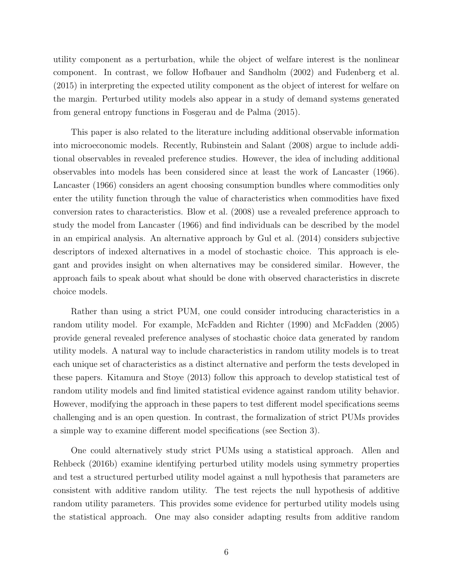utility component as a perturbation, while the object of welfare interest is the nonlinear component. In contrast, we follow Hofbauer and Sandholm (2002) and Fudenberg et al. (2015) in interpreting the expected utility component as the object of interest for welfare on the margin. Perturbed utility models also appear in a study of demand systems generated from general entropy functions in Fosgerau and de Palma (2015).

This paper is also related to the literature including additional observable information into microeconomic models. Recently, Rubinstein and Salant (2008) argue to include additional observables in revealed preference studies. However, the idea of including additional observables into models has been considered since at least the work of Lancaster (1966). Lancaster (1966) considers an agent choosing consumption bundles where commodities only enter the utility function through the value of characteristics when commodities have fixed conversion rates to characteristics. Blow et al. (2008) use a revealed preference approach to study the model from Lancaster (1966) and find individuals can be described by the model in an empirical analysis. An alternative approach by Gul et al. (2014) considers subjective descriptors of indexed alternatives in a model of stochastic choice. This approach is elegant and provides insight on when alternatives may be considered similar. However, the approach fails to speak about what should be done with observed characteristics in discrete choice models.

Rather than using a strict PUM, one could consider introducing characteristics in a random utility model. For example, McFadden and Richter (1990) and McFadden (2005) provide general revealed preference analyses of stochastic choice data generated by random utility models. A natural way to include characteristics in random utility models is to treat each unique set of characteristics as a distinct alternative and perform the tests developed in these papers. Kitamura and Stoye (2013) follow this approach to develop statistical test of random utility models and find limited statistical evidence against random utility behavior. However, modifying the approach in these papers to test different model specifications seems challenging and is an open question. In contrast, the formalization of strict PUMs provides a simple way to examine different model specifications (see Section 3).

One could alternatively study strict PUMs using a statistical approach. Allen and Rehbeck (2016b) examine identifying perturbed utility models using symmetry properties and test a structured perturbed utility model against a null hypothesis that parameters are consistent with additive random utility. The test rejects the null hypothesis of additive random utility parameters. This provides some evidence for perturbed utility models using the statistical approach. One may also consider adapting results from additive random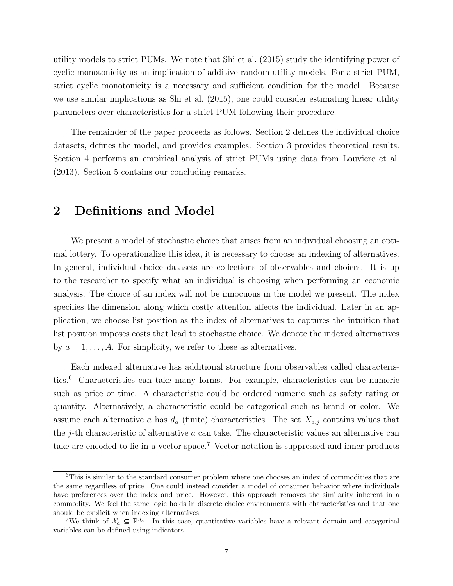utility models to strict PUMs. We note that Shi et al. (2015) study the identifying power of cyclic monotonicity as an implication of additive random utility models. For a strict PUM, strict cyclic monotonicity is a necessary and sufficient condition for the model. Because we use similar implications as Shi et al. (2015), one could consider estimating linear utility parameters over characteristics for a strict PUM following their procedure.

The remainder of the paper proceeds as follows. Section 2 defines the individual choice datasets, defines the model, and provides examples. Section 3 provides theoretical results. Section 4 performs an empirical analysis of strict PUMs using data from Louviere et al. (2013). Section 5 contains our concluding remarks.

### 2 Definitions and Model

We present a model of stochastic choice that arises from an individual choosing an optimal lottery. To operationalize this idea, it is necessary to choose an indexing of alternatives. In general, individual choice datasets are collections of observables and choices. It is up to the researcher to specify what an individual is choosing when performing an economic analysis. The choice of an index will not be innocuous in the model we present. The index specifies the dimension along which costly attention affects the individual. Later in an application, we choose list position as the index of alternatives to captures the intuition that list position imposes costs that lead to stochastic choice. We denote the indexed alternatives by  $a = 1, \ldots, A$ . For simplicity, we refer to these as alternatives.

Each indexed alternative has additional structure from observables called characteristics.<sup>6</sup> Characteristics can take many forms. For example, characteristics can be numeric such as price or time. A characteristic could be ordered numeric such as safety rating or quantity. Alternatively, a characteristic could be categorical such as brand or color. We assume each alternative a has  $d_a$  (finite) characteristics. The set  $X_{a,j}$  contains values that the  $j$ -th characteristic of alternative  $a$  can take. The characteristic values an alternative can take are encoded to lie in a vector space.<sup>7</sup> Vector notation is suppressed and inner products

<sup>&</sup>lt;sup>6</sup>This is similar to the standard consumer problem where one chooses an index of commodities that are the same regardless of price. One could instead consider a model of consumer behavior where individuals have preferences over the index and price. However, this approach removes the similarity inherent in a commodity. We feel the same logic holds in discrete choice environments with characteristics and that one should be explicit when indexing alternatives.

We think of  $\mathcal{X}_a \subseteq \mathbb{R}^{d_a}$ . In this case, quantitative variables have a relevant domain and categorical variables can be defined using indicators.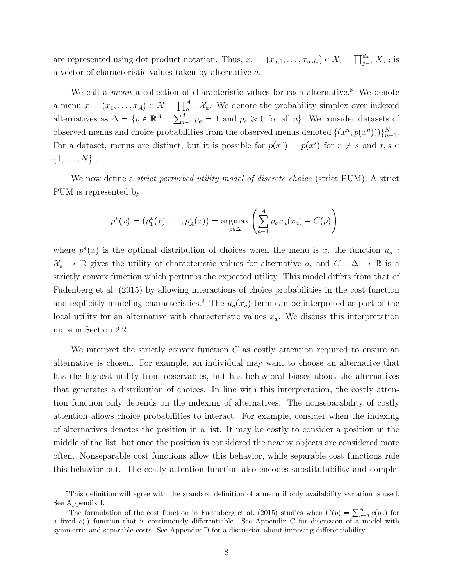are represented using dot product notation. Thus,  $x_a = (x_{a,1}, \ldots, x_{a,d_a}) \in \mathcal{X}_a = \prod_{j=1}^{d_a} X_{a,j}$  is a vector of characteristic values taken by alternative a.

We call a *menu* a collection of characteristic values for each alternative.<sup>8</sup> We denote a menu  $x = (x_1, \ldots, x_A) \in \mathcal{X} = \prod_{a=1}^A \mathcal{X}_a$ . We denote the probability simplex over indexed alternatives as  $\Delta = \{p \in \mathbb{R}^A \mid \sum_{a=1}^A p_a = 1 \text{ and } p_a \geq 0 \text{ for all } a\}$ . We consider datasets of observed menus and choice probabilities from the observed menus denoted  $\{(x^n, p(x^n))\}_{n=1}^N$ . For a dataset, menus are distinct, but it is possible for  $p(x^r) = p(x^s)$  for  $r \neq s$  and  $r, s \in \mathbb{R}$  $\{1, \ldots, N\}$ .

We now define a *strict perturbed utility model of discrete choice* (strict PUM). A strict PUM is represented by

$$
p^*(x) = (p_1^*(x), \ldots, p_A^*(x)) = \underset{p \in \Delta}{\text{argmax}} \left( \sum_{a=1}^A p_a u_a(x_a) - C(p) \right),
$$

where  $p^*(x)$  is the optimal distribution of choices when the menu is x, the function  $u_a$ :  $\mathcal{X}_a \to \mathbb{R}$  gives the utility of characteristic values for alternative a, and  $C : \Delta \to \mathbb{R}$  is a strictly convex function which perturbs the expected utility. This model differs from that of Fudenberg et al. (2015) by allowing interactions of choice probabilities in the cost function and explicitly modeling characteristics.<sup>9</sup> The  $u_a(x_a)$  term can be interpreted as part of the local utility for an alternative with characteristic values  $x_a$ . We discuss this interpretation more in Section 2.2.

We interpret the strictly convex function  $C$  as costly attention required to ensure an alternative is chosen. For example, an individual may want to choose an alternative that has the highest utility from observables, but has behavioral biases about the alternatives that generates a distribution of choices. In line with this interpretation, the costly attention function only depends on the indexing of alternatives. The nonseparability of costly attention allows choice probabilities to interact. For example, consider when the indexing of alternatives denotes the position in a list. It may be costly to consider a position in the middle of the list, but once the position is considered the nearby objects are considered more often. Nonseparable cost functions allow this behavior, while separable cost functions rule this behavior out. The costly attention function also encodes substitutability and comple-

<sup>8</sup>This definition will agree with the standard definition of a menu if only availability variation is used. See Appendix I.

<sup>&</sup>lt;sup>9</sup>The formulation of the cost function in Fudenberg et al. (2015) studies when  $C(p) = \sum_{a=1}^{A} c(p_a)$  for a fixed  $c(\cdot)$  function that is continuously differentiable. See Appendix C for discussion of a model with symmetric and separable costs. See Appendix D for a discussion about imposing differentiability.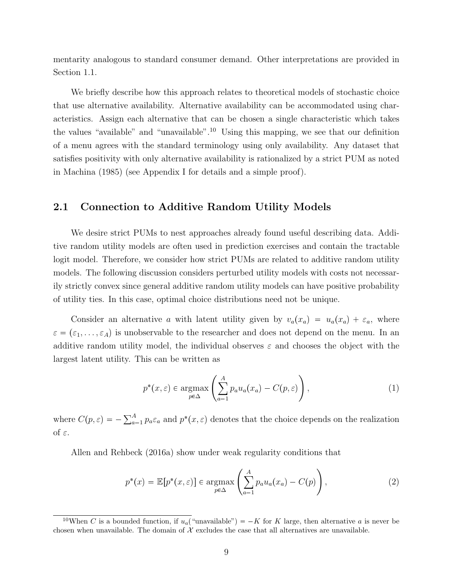mentarity analogous to standard consumer demand. Other interpretations are provided in Section 1.1.

We briefly describe how this approach relates to theoretical models of stochastic choice that use alternative availability. Alternative availability can be accommodated using characteristics. Assign each alternative that can be chosen a single characteristic which takes the values "available" and "unavailable".<sup>10</sup> Using this mapping, we see that our definition of a menu agrees with the standard terminology using only availability. Any dataset that satisfies positivity with only alternative availability is rationalized by a strict PUM as noted in Machina (1985) (see Appendix I for details and a simple proof).

### 2.1 Connection to Additive Random Utility Models

We desire strict PUMs to nest approaches already found useful describing data. Additive random utility models are often used in prediction exercises and contain the tractable logit model. Therefore, we consider how strict PUMs are related to additive random utility models. The following discussion considers perturbed utility models with costs not necessarily strictly convex since general additive random utility models can have positive probability of utility ties. In this case, optimal choice distributions need not be unique.

Consider an alternative a with latent utility given by  $v_a(x_a) = u_a(x_a) + \varepsilon_a$ , where  $\varepsilon = (\varepsilon_1, \ldots, \varepsilon_A)$  is unobservable to the researcher and does not depend on the menu. In an additive random utility model, the individual observes  $\varepsilon$  and chooses the object with the largest latent utility. This can be written as

$$
p^*(x,\varepsilon) \in \underset{p\in\Delta}{\operatorname{argmax}} \left( \sum_{a=1}^A p_a u_a(x_a) - C(p,\varepsilon) \right),\tag{1}
$$

where  $C(p, \varepsilon) = -\sum_{a=1}^{A} p_a \varepsilon_a$  and  $p^*(x, \varepsilon)$  denotes that the choice depends on the realization of ε.

Allen and Rehbeck (2016a) show under weak regularity conditions that

$$
p^*(x) = \mathbb{E}[p^*(x,\varepsilon)] \in \underset{p \in \Delta}{\operatorname{argmax}} \left( \sum_{a=1}^A p_a u_a(x_a) - C(p) \right), \tag{2}
$$

<sup>&</sup>lt;sup>10</sup>When C is a bounded function, if  $u_a(\omega)$ <sup>u</sup>unavailable") = -K for K large, then alternative a is never be chosen when unavailable. The domain of  $\mathcal X$  excludes the case that all alternatives are unavailable.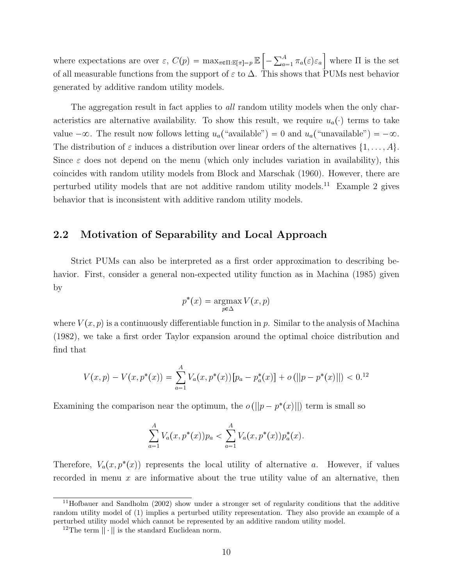where expectations are over  $\varepsilon$ ,  $C(p) = \max_{\pi \in \Pi : \mathbb{E}[\pi] = p} \mathbb{E} \left[ - \sum_{a=1}^{A} \pi_a(\varepsilon) \varepsilon_a \right]$  where  $\Pi$  is the set of all measurable functions from the support of  $\varepsilon$  to  $\Delta$ . This shows that PUMs nest behavior generated by additive random utility models.

The aggregation result in fact applies to *all* random utility models when the only characteristics are alternative availability. To show this result, we require  $u_a(\cdot)$  terms to take value  $-\infty$ . The result now follows letting  $u_a("available") = 0$  and  $u_a("unavailable") = -\infty$ . The distribution of  $\varepsilon$  induces a distribution over linear orders of the alternatives  $\{1, \ldots, A\}$ . Since  $\varepsilon$  does not depend on the menu (which only includes variation in availability), this coincides with random utility models from Block and Marschak (1960). However, there are perturbed utility models that are not additive random utility models.<sup>11</sup> Example 2 gives behavior that is inconsistent with additive random utility models.

#### 2.2 Motivation of Separability and Local Approach

Strict PUMs can also be interpreted as a first order approximation to describing behavior. First, consider a general non-expected utility function as in Machina (1985) given by

$$
p^*(x) = \operatorname*{argmax}_{p \in \Delta} V(x, p)
$$

where  $V(x, p)$  is a continuously differentiable function in p. Similar to the analysis of Machina (1982), we take a first order Taylor expansion around the optimal choice distribution and find that

$$
V(x,p) - V(x,p^*(x)) = \sum_{a=1}^{A} V_a(x,p^*(x)) [p_a - p_a^*(x)] + o(||p - p^*(x)||) < 0^{12}
$$

Examining the comparison near the optimum, the  $o(||p - p^*(x)||)$  term is small so

$$
\sum_{a=1}^{A} V_a(x, p^*(x)) p_a < \sum_{a=1}^{A} V_a(x, p^*(x)) p_a^*(x).
$$

Therefore,  $V_a(x, p^*(x))$  represents the local utility of alternative a. However, if values recorded in menu x are informative about the true utility value of an alternative, then

<sup>&</sup>lt;sup>11</sup>Hofbauer and Sandholm (2002) show under a stronger set of regularity conditions that the additive random utility model of (1) implies a perturbed utility representation. They also provide an example of a perturbed utility model which cannot be represented by an additive random utility model.

<sup>&</sup>lt;sup>12</sup>The term  $|| \cdot ||$  is the standard Euclidean norm.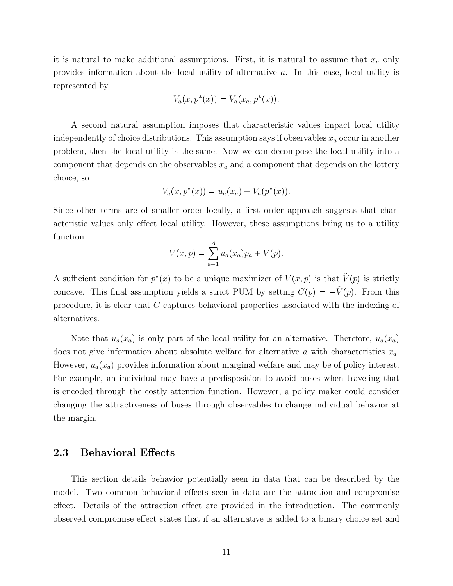it is natural to make additional assumptions. First, it is natural to assume that  $x_a$  only provides information about the local utility of alternative a. In this case, local utility is represented by

$$
V_a(x, p^*(x)) = V_a(x_a, p^*(x)).
$$

A second natural assumption imposes that characteristic values impact local utility independently of choice distributions. This assumption says if observables  $x_a$  occur in another problem, then the local utility is the same. Now we can decompose the local utility into a component that depends on the observables  $x_a$  and a component that depends on the lottery choice, so

$$
V_a(x, p^*(x)) = u_a(x_a) + V_a(p^*(x)).
$$

Since other terms are of smaller order locally, a first order approach suggests that characteristic values only effect local utility. However, these assumptions bring us to a utility function

$$
V(x,p) = \sum_{a=1}^{A} u_a(x_a) p_a + \tilde{V}(p).
$$

A sufficient condition for  $p^*(x)$  to be a unique maximizer of  $V(x, p)$  is that  $\tilde{V}(p)$  is strictly concave. This final assumption yields a strict PUM by setting  $C(p) = -\tilde{V}(p)$ . From this procedure, it is clear that C captures behavioral properties associated with the indexing of alternatives.

Note that  $u_a(x_a)$  is only part of the local utility for an alternative. Therefore,  $u_a(x_a)$ does not give information about absolute welfare for alternative a with characteristics  $x_a$ . However,  $u_a(x_a)$  provides information about marginal welfare and may be of policy interest. For example, an individual may have a predisposition to avoid buses when traveling that is encoded through the costly attention function. However, a policy maker could consider changing the attractiveness of buses through observables to change individual behavior at the margin.

#### 2.3 Behavioral Effects

This section details behavior potentially seen in data that can be described by the model. Two common behavioral effects seen in data are the attraction and compromise effect. Details of the attraction effect are provided in the introduction. The commonly observed compromise effect states that if an alternative is added to a binary choice set and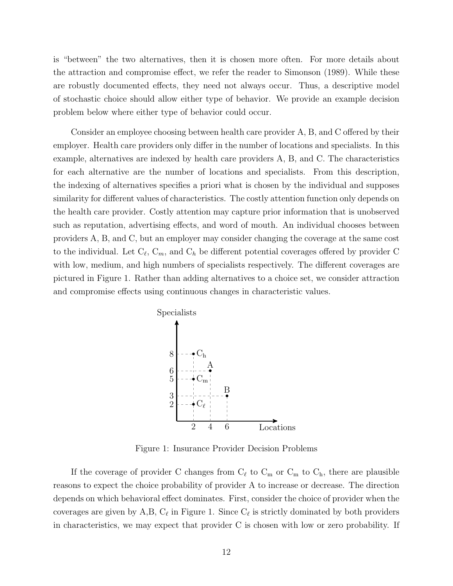is "between" the two alternatives, then it is chosen more often. For more details about the attraction and compromise effect, we refer the reader to Simonson (1989). While these are robustly documented effects, they need not always occur. Thus, a descriptive model of stochastic choice should allow either type of behavior. We provide an example decision problem below where either type of behavior could occur.

Consider an employee choosing between health care provider A, B, and C offered by their employer. Health care providers only differ in the number of locations and specialists. In this example, alternatives are indexed by health care providers A, B, and C. The characteristics for each alternative are the number of locations and specialists. From this description, the indexing of alternatives specifies a priori what is chosen by the individual and supposes similarity for different values of characteristics. The costly attention function only depends on the health care provider. Costly attention may capture prior information that is unobserved such as reputation, advertising effects, and word of mouth. An individual chooses between providers A, B, and C, but an employer may consider changing the coverage at the same cost to the individual. Let  $C_{\ell}, C_m$ , and  $C_h$  be different potential coverages offered by provider C with low, medium, and high numbers of specialists respectively. The different coverages are pictured in Figure 1. Rather than adding alternatives to a choice set, we consider attraction and compromise effects using continuous changes in characteristic values.



Figure 1: Insurance Provider Decision Problems

If the coverage of provider C changes from  $C_\ell$  to  $C_m$  or  $C_m$  to  $C_h$ , there are plausible reasons to expect the choice probability of provider A to increase or decrease. The direction depends on which behavioral effect dominates. First, consider the choice of provider when the coverages are given by A,B,  $C_{\ell}$  in Figure 1. Since  $C_{\ell}$  is strictly dominated by both providers in characteristics, we may expect that provider C is chosen with low or zero probability. If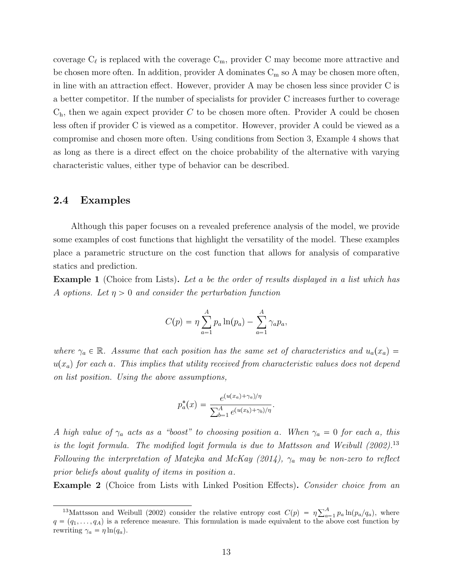coverage  $C_{\ell}$  is replaced with the coverage  $C_m$ , provider C may become more attractive and be chosen more often. In addition, provider A dominates  $C_m$  so A may be chosen more often, in line with an attraction effect. However, provider A may be chosen less since provider C is a better competitor. If the number of specialists for provider C increases further to coverage  $C<sub>h</sub>$ , then we again expect provider C to be chosen more often. Provider A could be chosen less often if provider C is viewed as a competitor. However, provider A could be viewed as a compromise and chosen more often. Using conditions from Section 3, Example 4 shows that as long as there is a direct effect on the choice probability of the alternative with varying characteristic values, either type of behavior can be described.

#### 2.4 Examples

Although this paper focuses on a revealed preference analysis of the model, we provide some examples of cost functions that highlight the versatility of the model. These examples place a parametric structure on the cost function that allows for analysis of comparative statics and prediction.

Example 1 (Choice from Lists). Let a be the order of results displayed in a list which has A options. Let  $\eta > 0$  and consider the perturbation function

$$
C(p) = \eta \sum_{a=1}^{A} p_a \ln(p_a) - \sum_{a=1}^{A} \gamma_a p_a,
$$

where  $\gamma_a \in \mathbb{R}$ . Assume that each position has the same set of characteristics and  $u_a(x_a)$  $u(x_a)$  for each a. This implies that utility received from characteristic values does not depend on list position. Using the above assumptions,

$$
p_a^*(x) = \frac{e^{(u(x_a) + \gamma_a)/\eta}}{\sum_{b=1}^A e^{(u(x_b) + \gamma_b)/\eta}}.
$$

A high value of  $\gamma_a$  acts as a "boost" to choosing position a. When  $\gamma_a = 0$  for each a, this is the logit formula. The modified logit formula is due to Mattsson and Weibull (2002).<sup>13</sup> Following the interpretation of Matejka and McKay (2014),  $\gamma_a$  may be non-zero to reflect prior beliefs about quality of items in position a.

Example 2 (Choice from Lists with Linked Position Effects). Consider choice from an

<sup>&</sup>lt;sup>13</sup>Mattsson and Weibull (2002) consider the relative entropy cost  $C(p) = \eta \sum_{a=1}^{A} p_a \ln(p_a/q_a)$ , where  $q = (q_1, \ldots, q_A)$  is a reference measure. This formulation is made equivalent to the above cost function by rewriting  $\gamma_a = \eta \ln(q_a)$ .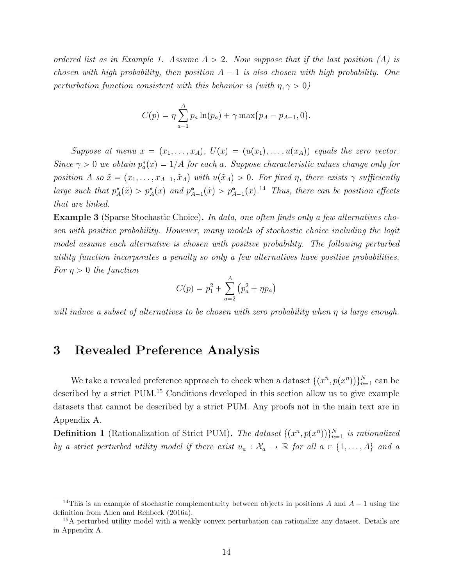ordered list as in Example 1. Assume  $A > 2$ . Now suppose that if the last position (A) is chosen with high probability, then position  $A - 1$  is also chosen with high probability. One perturbation function consistent with this behavior is (with  $\eta, \gamma > 0$ )

$$
C(p) = \eta \sum_{a=1}^{A} p_a \ln(p_a) + \gamma \max\{p_A - p_{A-1}, 0\}.
$$

Suppose at menu  $x = (x_1, \ldots, x_A), U(x) = (u(x_1), \ldots, u(x_A))$  equals the zero vector. Since  $\gamma > 0$  we obtain  $p_a^*(x) = 1/A$  for each a. Suppose characteristic values change only for position A so  $\tilde{x} = (x_1, \ldots, x_{A-1}, \tilde{x}_A)$  with  $u(\tilde{x}_A) > 0$ . For fixed  $\eta$ , there exists  $\gamma$  sufficiently large such that  $p_A^*(\tilde{x}) > p_A^*(x)$  and  $p_{A-1}^*(\tilde{x}) > p_{A-1}^*(x)$ .<sup>14</sup> Thus, there can be position effects that are linked.

Example 3 (Sparse Stochastic Choice). In data, one often finds only a few alternatives chosen with positive probability. However, many models of stochastic choice including the logit model assume each alternative is chosen with positive probability. The following perturbed utility function incorporates a penalty so only a few alternatives have positive probabilities. For  $\eta > 0$  the function

$$
C(p) = p_1^2 + \sum_{a=2}^{A} (p_a^2 + \eta p_a)
$$

will induce a subset of alternatives to be chosen with zero probability when η is large enough.

# 3 Revealed Preference Analysis

We take a revealed preference approach to check when a dataset  $\{(x^n, p(x^n))\}_{n=1}^N$  can be described by a strict PUM.<sup>15</sup> Conditions developed in this section allow us to give example datasets that cannot be described by a strict PUM. Any proofs not in the main text are in Appendix A.

**Definition 1** (Rationalization of Strict PUM). The dataset  $\{(x^n, p(x^n))\}_{n=1}^N$  is rationalized by a strict perturbed utility model if there exist  $u_a : \mathcal{X}_a \to \mathbb{R}$  for all  $a \in \{1, \ldots, A\}$  and a

<sup>&</sup>lt;sup>14</sup>This is an example of stochastic complementarity between objects in positions A and  $A - 1$  using the definition from Allen and Rehbeck (2016a).

<sup>&</sup>lt;sup>15</sup>A perturbed utility model with a weakly convex perturbation can rationalize any dataset. Details are in Appendix A.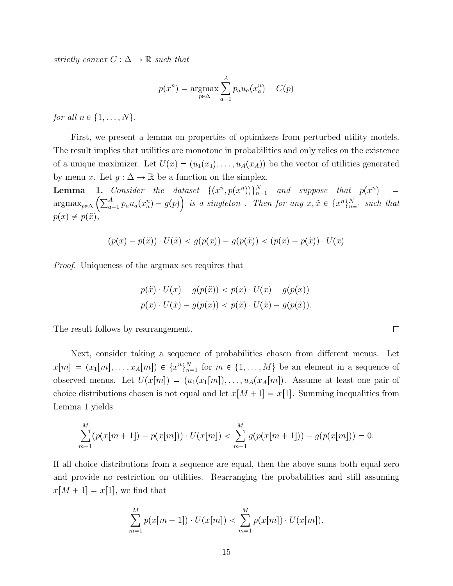strictly convex  $C : \Delta \to \mathbb{R}$  such that

$$
p(x^n) = \underset{p \in \Delta}{\operatorname{argmax}} \sum_{a=1}^{A} p_a u_a(x_a^n) - C(p)
$$

for all  $n \in \{1, \ldots, N\}$ .

First, we present a lemma on properties of optimizers from perturbed utility models. The result implies that utilities are monotone in probabilities and only relies on the existence of a unique maximizer. Let  $U(x) = (u_1(x_1), \ldots, u_A(x_A))$  be the vector of utilities generated by menu x. Let  $g : \Delta \to \mathbb{R}$  be a function on the simplex.

**Lemma 1.** Consider the dataset  $\{(x^n, p(x^n))\}_{n=1}^N$  and suppose that  $p(x^n)$  $\equiv$  $\arg\max_{p\in\Delta} \left( \sum_{a=1}^A p_a u_a(x_a^n) - g(p) \right)$  is a singleton. Then for any  $x, \tilde{x} \in \{x^n\}_{n=1}^N$  such that  $p(x) \neq p(\tilde{x}),$ 

$$
(p(x) - p(\tilde{x})) \cdot U(\tilde{x}) < g(p(x)) - g(p(\tilde{x})) < (p(x) - p(\tilde{x})) \cdot U(x)
$$

Proof. Uniqueness of the argmax set requires that

$$
p(\tilde{x}) \cdot U(x) - g(p(\tilde{x})) < p(x) \cdot U(x) - g(p(x))
$$
\n
$$
p(x) \cdot U(\tilde{x}) - g(p(x)) < p(\tilde{x}) \cdot U(\tilde{x}) - g(p(\tilde{x})).
$$

The result follows by rearrangement.

Next, consider taking a sequence of probabilities chosen from different menus. Let  $x[m] = (x_1[m], \ldots, x_A[m]) \in \{x^n\}_{n=1}^N$  for  $m \in \{1, \ldots, M\}$  be an element in a sequence of observed menus. Let  $U(x[m]) = (u_1(x_1[m]), \ldots, u_A(x_A[m])$ . Assume at least one pair of choice distributions chosen is not equal and let  $x[M + 1] = x[1]$ . Summing inequalities from Lemma 1 yields

$$
\sum_{m=1}^{M} (p(x[m+1]) - p(x[m])) \cdot U(x[m]) < \sum_{m=1}^{M} g(p(x[m+1])) - g(p(x[m])) = 0.
$$

If all choice distributions from a sequence are equal, then the above sums both equal zero and provide no restriction on utilities. Rearranging the probabilities and still assuming  $x[M+1] = x[1]$ , we find that

$$
\sum_{m=1}^{M} p(x[m+1]) \cdot U(x[m]) < \sum_{m=1}^{M} p(x[m]) \cdot U(x[m]).
$$

 $\Box$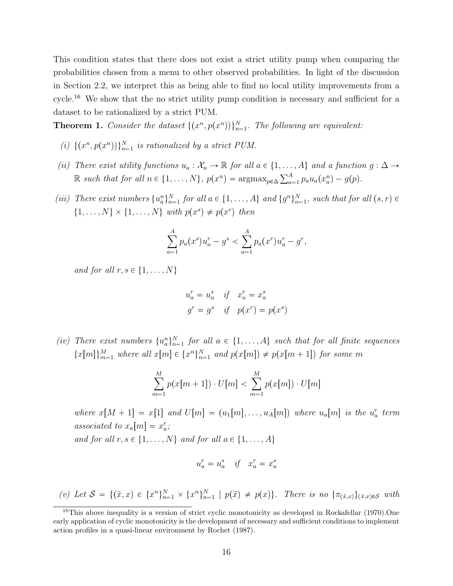This condition states that there does not exist a strict utility pump when comparing the probabilities chosen from a menu to other observed probabilities. In light of the discussion in Section 2.2, we interpret this as being able to find no local utility improvements from a cycle.<sup>16</sup> We show that the no strict utility pump condition is necessary and sufficient for a dataset to be rationalized by a strict PUM.

**Theorem 1.** Consider the dataset  $\{(x^n, p(x^n))\}_{n=1}^N$ . The following are equivalent:

- (i)  $\{(x^n, p(x^n))\}_{n=1}^N$  is rationalized by a strict PUM.
- (ii) There exist utility functions  $u_a : \mathcal{X}_a \to \mathbb{R}$  for all  $a \in \{1, \ldots, A\}$  and a function  $g : \Delta \to \mathbb{R}$ R such that for all  $n \in \{1, ..., N\}$ ,  $p(x^n) = \operatorname{argmax}_{p \in \Delta} \sum_{a=1}^A p_a u_a(x_a^n) - g(p)$ .
- (iii) There exist numbers  $\{u_n^n\}_{n=1}^N$  for all  $a \in \{1, ..., A\}$  and  $\{g^n\}_{n=1}^N$ , such that for all  $(s, r) \in$  $\{1,\ldots,N\}\times\{1,\ldots,N\}$  with  $p(x^s) \neq p(x^r)$  then

$$
\sum_{a=1}^{A} p_a(x^s) u_a^r - g^s < \sum_{a=1}^{A} p_a(x^r) u_a^r - g^r,
$$

and for all  $r, s \in \{1, \ldots, N\}$ 

$$
u_a^r = u_a^s \quad \text{if} \quad x_a^r = x_a^s
$$

$$
g^r = g^s \quad \text{if} \quad p(x^r) = p(x^s)
$$

(iv) There exist numbers  $\{u_n^n\}_{n=1}^N$  for all  $a \in \{1, \ldots, A\}$  such that for all finite sequences  ${x[m]}_{m=1}^M$  where all  $x[m] \in {x^n}_{n=1}^N$  and  $p(x[m]) \neq p(x[m+1])$  for some m

$$
\sum_{m=1}^{M} p(x[m+1]) \cdot U[m] < \sum_{m=1}^{M} p(x[m]) \cdot U[m]
$$

where  $x[M + 1] = x[1]$  and  $U[m] = (u_1[m], \ldots, u_A[m])$  where  $u_a[m]$  is the  $u_a^r$  term associated to  $x_a[m] = x_a^r;$ and for all  $r, s \in \{1, ..., N\}$  and for all  $a \in \{1, ..., A\}$ 

$$
u_a^r = u_a^s \quad \text{if} \quad x_a^r = x_a^s
$$

(v) Let  $S = \{(\tilde{x}, x) \in \{x^n\}_{n=1}^N \times \{x^n\}_{n=1}^N \mid p(\tilde{x}) \neq p(x)\}\$ . There is no  $\{\pi_{(\tilde{x},x)}\}_{(\tilde{x},x)\in S}$  with

<sup>&</sup>lt;sup>16</sup>This above inequality is a version of strict cyclic monotonicity as developed in Rockafellar (1970).One early application of cyclic monotonicity is the development of necessary and sufficient conditions to implement action profiles in a quasi-linear environment by Rochet (1987).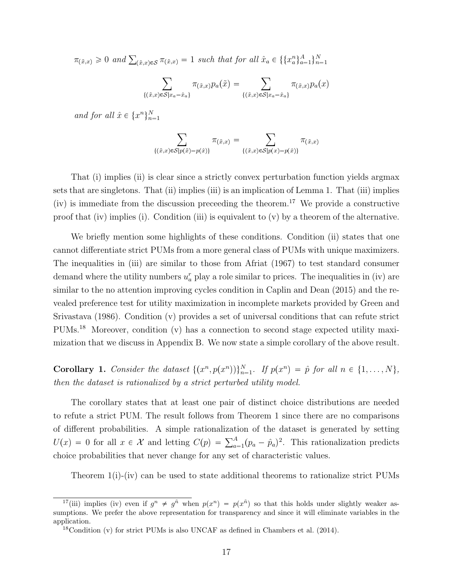$\pi_{(\tilde{x},x)} \geq 0$  and  $\sum_{(\tilde{x},x)\in\mathcal{S}} \pi_{(\tilde{x},x)} = 1$  such that for all  $\hat{x}_a \in \{\{x_a^n\}_{a=1}^A\}_{n=1}^N$ 

$$
\sum_{\{(\tilde{x},x)\in\mathcal{S}|x_a=\hat{x}_a\}} \pi_{(\tilde{x},x)} p_a(\tilde{x}) = \sum_{\{(\tilde{x},x)\in\mathcal{S}|x_a=\hat{x}_a\}} \pi_{(\tilde{x},x)} p_a(x)
$$

and for all  $\hat{x} \in \{x^n\}_{n=1}^N$ 

$$
\sum_{\{(\tilde{x},x)\in S|p(\tilde{x})=p(\hat{x})\}} \pi_{(\tilde{x},x)} = \sum_{\{(\tilde{x},x)\in S|p(x)=p(\hat{x})\}} \pi_{(\tilde{x},x)}
$$

That (i) implies (ii) is clear since a strictly convex perturbation function yields argmax sets that are singletons. That (ii) implies (iii) is an implication of Lemma 1. That (iii) implies  $(iv)$  is immediate from the discussion preceeding the theorem.<sup>17</sup> We provide a constructive proof that (iv) implies (i). Condition (iii) is equivalent to (v) by a theorem of the alternative.

We briefly mention some highlights of these conditions. Condition (ii) states that one cannot differentiate strict PUMs from a more general class of PUMs with unique maximizers. The inequalities in (iii) are similar to those from Afriat (1967) to test standard consumer demand where the utility numbers  $u_a^r$  play a role similar to prices. The inequalities in (iv) are similar to the no attention improving cycles condition in Caplin and Dean (2015) and the revealed preference test for utility maximization in incomplete markets provided by Green and Srivastava (1986). Condition (v) provides a set of universal conditions that can refute strict PUMs.<sup>18</sup> Moreover, condition (v) has a connection to second stage expected utility maximization that we discuss in Appendix B. We now state a simple corollary of the above result.

**Corollary 1.** Consider the dataset  $\{(x^n, p(x^n))\}_{n=1}^N$ . If  $p(x^n) = \hat{p}$  for all  $n \in \{1, ..., N\}$ , then the dataset is rationalized by a strict perturbed utility model.

The corollary states that at least one pair of distinct choice distributions are needed to refute a strict PUM. The result follows from Theorem 1 since there are no comparisons of different probabilities. A simple rationalization of the dataset is generated by setting  $U(x) = 0$  for all  $x \in \mathcal{X}$  and letting  $C(p) = \sum_{a=1}^{A} (p_a - \hat{p}_a)^2$ . This rationalization predicts choice probabilities that never change for any set of characteristic values.

Theorem 1(i)-(iv) can be used to state additional theorems to rationalize strict PUMs

<sup>&</sup>lt;sup>17</sup>(iii) implies (iv) even if  $g^n \neq g^{\tilde{n}}$  when  $p(x^n) = p(x^{\tilde{n}})$  so that this holds under slightly weaker assumptions. We prefer the above representation for transparency and since it will eliminate variables in the application.

<sup>&</sup>lt;sup>18</sup>Condition (v) for strict PUMs is also UNCAF as defined in Chambers et al. (2014).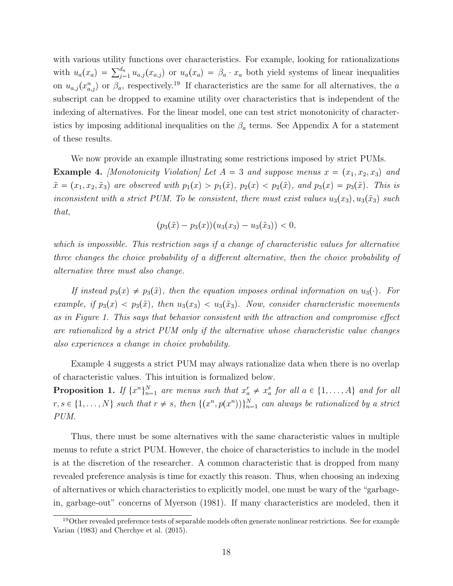with various utility functions over characteristics. For example, looking for rationalizations with  $u_a(x_a) = \sum_{j=1}^{d_a} u_{a,j}(x_{a,j})$  or  $u_a(x_a) = \beta_a \cdot x_a$  both yield systems of linear inequalities on  $u_{a,j}(x_{a,j}^n)$  or  $\beta_a$ , respectively.<sup>19</sup> If characteristics are the same for all alternatives, the a subscript can be dropped to examine utility over characteristics that is independent of the indexing of alternatives. For the linear model, one can test strict monotonicity of characteristics by imposing additional inequalities on the  $\beta_a$  terms. See Appendix A for a statement of these results.

We now provide an example illustrating some restrictions imposed by strict PUMs.

**Example 4.** [Monotonicity Violation] Let  $A = 3$  and suppose menus  $x = (x_1, x_2, x_3)$  and  $\tilde{x} = (x_1, x_2, \tilde{x}_3)$  are observed with  $p_1(x) > p_1(\tilde{x}), p_2(x) < p_2(\tilde{x}),$  and  $p_3(x) = p_3(\tilde{x}).$  This is inconsistent with a strict PUM. To be consistent, there must exist values  $u_3(x_3), u_3(\tilde{x}_3)$  such that,

$$
(p_3(\tilde{x}) - p_3(x))(u_3(x_3) - u_3(\tilde{x}_3)) < 0,
$$

which is impossible. This restriction says if a change of characteristic values for alternative three changes the choice probability of a different alternative, then the choice probability of alternative three must also change.

If instead  $p_3(x) \neq p_3(\tilde{x})$ , then the equation imposes ordinal information on  $u_3(\cdot)$ . For example, if  $p_3(x) < p_3(\tilde{x})$ , then  $u_3(x_3) < u_3(\tilde{x}_3)$ . Now, consider characteristic movements as in Figure 1. This says that behavior consistent with the attraction and compromise effect are rationalized by a strict PUM only if the alternative whose characteristic value changes also experiences a change in choice probability.

Example 4 suggests a strict PUM may always rationalize data when there is no overlap of characteristic values. This intuition is formalized below.

**Proposition 1.** If  $\{x^n\}_{n=1}^N$  are menus such that  $x_a^r \neq x_a^s$  for all  $a \in \{1, ..., A\}$  and for all  $r, s \in \{1, \ldots, N\}$  such that  $r \neq s$ , then  $\{(x^n, p(x^n))\}_{n=1}^N$  can always be rationalized by a strict PUM.

Thus, there must be some alternatives with the same characteristic values in multiple menus to refute a strict PUM. However, the choice of characteristics to include in the model is at the discretion of the researcher. A common characteristic that is dropped from many revealed preference analysis is time for exactly this reason. Thus, when choosing an indexing of alternatives or which characteristics to explicitly model, one must be wary of the "garbagein, garbage-out" concerns of Myerson (1981). If many characteristics are modeled, then it

<sup>&</sup>lt;sup>19</sup>Other revealed preference tests of separable models often generate nonlinear restrictions. See for example Varian (1983) and Cherchye et al. (2015).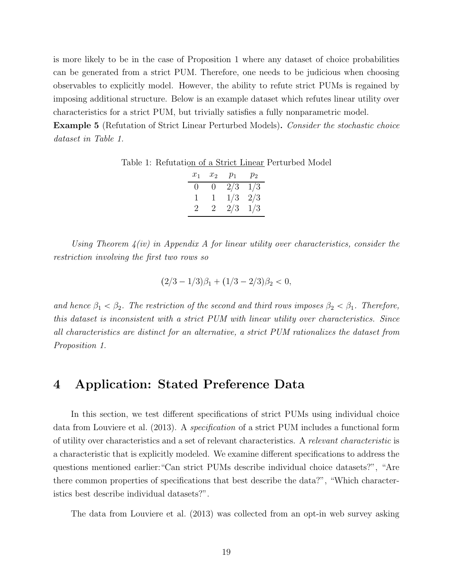is more likely to be in the case of Proposition 1 where any dataset of choice probabilities can be generated from a strict PUM. Therefore, one needs to be judicious when choosing observables to explicitly model. However, the ability to refute strict PUMs is regained by imposing additional structure. Below is an example dataset which refutes linear utility over characteristics for a strict PUM, but trivially satisfies a fully nonparametric model.

Example 5 (Refutation of Strict Linear Perturbed Models). Consider the stochastic choice dataset in Table 1.

Table 1: Refutation of a Strict Linear Perturbed Model

| $x_1$ | $x_2$             | $p_1$   | $p_2$ |
|-------|-------------------|---------|-------|
| 0     | $\mathbf{\Omega}$ | $2\!/3$ | 1/3   |
| L     | L                 | 1/3     | 2/3   |
| 2     | $\mathcal{D}$     | 2/3     | 1/3   |

Using Theorem  $\mathcal{A}(iv)$  in Appendix A for linear utility over characteristics, consider the restriction involving the first two rows so

$$
(2/3 - 1/3)\beta_1 + (1/3 - 2/3)\beta_2 < 0,
$$

and hence  $\beta_1 < \beta_2$ . The restriction of the second and third rows imposes  $\beta_2 < \beta_1$ . Therefore, this dataset is inconsistent with a strict PUM with linear utility over characteristics. Since all characteristics are distinct for an alternative, a strict PUM rationalizes the dataset from Proposition 1.

### 4 Application: Stated Preference Data

In this section, we test different specifications of strict PUMs using individual choice data from Louviere et al. (2013). A specification of a strict PUM includes a functional form of utility over characteristics and a set of relevant characteristics. A relevant characteristic is a characteristic that is explicitly modeled. We examine different specifications to address the questions mentioned earlier:"Can strict PUMs describe individual choice datasets?", "Are there common properties of specifications that best describe the data?", "Which characteristics best describe individual datasets?".

The data from Louviere et al. (2013) was collected from an opt-in web survey asking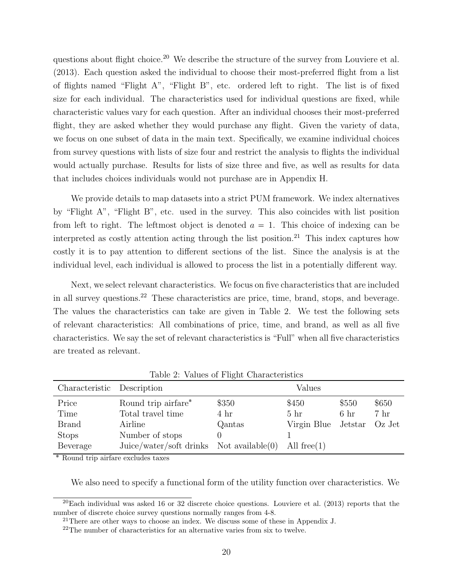questions about flight choice.<sup>20</sup> We describe the structure of the survey from Louviere et al. (2013). Each question asked the individual to choose their most-preferred flight from a list of flights named "Flight A", "Flight B", etc. ordered left to right. The list is of fixed size for each individual. The characteristics used for individual questions are fixed, while characteristic values vary for each question. After an individual chooses their most-preferred flight, they are asked whether they would purchase any flight. Given the variety of data, we focus on one subset of data in the main text. Specifically, we examine individual choices from survey questions with lists of size four and restrict the analysis to flights the individual would actually purchase. Results for lists of size three and five, as well as results for data that includes choices individuals would not purchase are in Appendix H.

We provide details to map datasets into a strict PUM framework. We index alternatives by "Flight A", "Flight B", etc. used in the survey. This also coincides with list position from left to right. The leftmost object is denoted  $a = 1$ . This choice of indexing can be interpreted as costly attention acting through the list position.<sup>21</sup> This index captures how costly it is to pay attention to different sections of the list. Since the analysis is at the individual level, each individual is allowed to process the list in a potentially different way.

Next, we select relevant characteristics. We focus on five characteristics that are included in all survey questions.<sup>22</sup> These characteristics are price, time, brand, stops, and beverage. The values the characteristics can take are given in Table 2. We test the following sets of relevant characteristics: All combinations of price, time, and brand, as well as all five characteristics. We say the set of relevant characteristics is "Full" when all five characteristics are treated as relevant.

| Characteristic Description |                                             |                 | Values          |                  |        |
|----------------------------|---------------------------------------------|-----------------|-----------------|------------------|--------|
| Price                      | Round trip airfare*                         | \$350           | \$450           | \$550            | \$650  |
| Time                       | Total travel time                           | 4 <sup>hr</sup> | 5 <sub>hr</sub> | 6 <sup>h</sup> r | 7 hr   |
| <b>Brand</b>               | Airline                                     | Qantas          | Virgin Blue     | Jetstar          | Oz Jet |
| <b>Stops</b>               | Number of stops                             |                 |                 |                  |        |
| Beverage                   | Juice/water/soft drinks Not available $(0)$ |                 | All free $(1)$  |                  |        |

Table 2: Values of Flight Characteristics

Round trip airfare excludes taxes

We also need to specify a functional form of the utility function over characteristics. We

<sup>&</sup>lt;sup>20</sup>Each individual was asked 16 or 32 discrete choice questions. Louviere et al.  $(2013)$  reports that the number of discrete choice survey questions normally ranges from 4-8.

 $21$ There are other ways to choose an index. We discuss some of these in Appendix J.

<sup>22</sup>The number of characteristics for an alternative varies from six to twelve.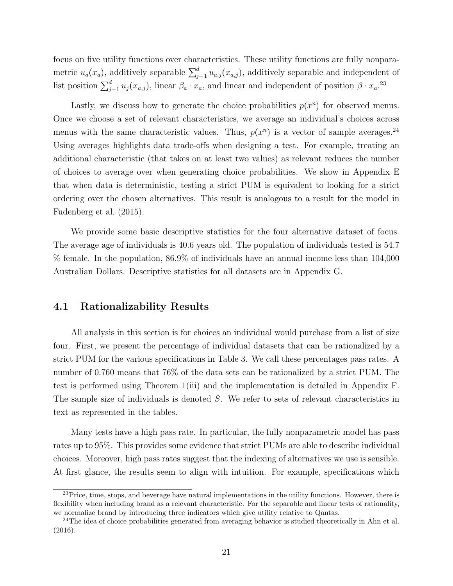focus on five utility functions over characteristics. These utility functions are fully nonparametric  $u_a(x_a)$ , additively separable  $\sum_{j=1}^d u_{a,j}(x_{a,j})$ , additively separable and independent of list position  $\sum_{j=1}^d u_j(x_{a,j})$ , linear  $\beta_a \cdot x_a$ , and linear and independent of position  $\beta \cdot x_a$ .<sup>23</sup>

Lastly, we discuss how to generate the choice probabilities  $p(x^n)$  for observed menus. Once we choose a set of relevant characteristics, we average an individual's choices across menus with the same characteristic values. Thus,  $p(x^n)$  is a vector of sample averages.<sup>24</sup> Using averages highlights data trade-offs when designing a test. For example, treating an additional characteristic (that takes on at least two values) as relevant reduces the number of choices to average over when generating choice probabilities. We show in Appendix E that when data is deterministic, testing a strict PUM is equivalent to looking for a strict ordering over the chosen alternatives. This result is analogous to a result for the model in Fudenberg et al. (2015).

We provide some basic descriptive statistics for the four alternative dataset of focus. The average age of individuals is 40.6 years old. The population of individuals tested is 54.7 % female. In the population, 86.9% of individuals have an annual income less than 104,000 Australian Dollars. Descriptive statistics for all datasets are in Appendix G.

#### 4.1 Rationalizability Results

All analysis in this section is for choices an individual would purchase from a list of size four. First, we present the percentage of individual datasets that can be rationalized by a strict PUM for the various specifications in Table 3. We call these percentages pass rates. A number of 0.760 means that 76% of the data sets can be rationalized by a strict PUM. The test is performed using Theorem 1(iii) and the implementation is detailed in Appendix F. The sample size of individuals is denoted S. We refer to sets of relevant characteristics in text as represented in the tables.

Many tests have a high pass rate. In particular, the fully nonparametric model has pass rates up to 95%. This provides some evidence that strict PUMs are able to describe individual choices. Moreover, high pass rates suggest that the indexing of alternatives we use is sensible. At first glance, the results seem to align with intuition. For example, specifications which

<sup>&</sup>lt;sup>23</sup>Price, time, stops, and beverage have natural implementations in the utility functions. However, there is flexibility when including brand as a relevant characteristic. For the separable and linear tests of rationality, we normalize brand by introducing three indicators which give utility relative to Qantas.

<sup>&</sup>lt;sup>24</sup>The idea of choice probabilities generated from averaging behavior is studied theoretically in Ahn et al. (2016).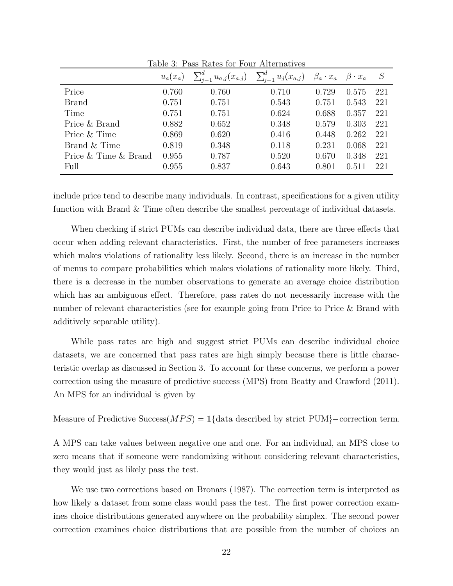|                      | $u_a(x_a)$ | $\sum_{i=1}^{d} u_{a,j}(x_{a,j})$ $\sum_{i=1}^{d} u_j(x_{a,j})$ $\beta_a \cdot x_a$ |       |       | $\beta \cdot x_a$ |     |
|----------------------|------------|-------------------------------------------------------------------------------------|-------|-------|-------------------|-----|
| Price                | 0.760      | 0.760                                                                               | 0.710 | 0.729 | 0.575             | 221 |
| Brand                | 0.751      | 0.751                                                                               | 0.543 | 0.751 | 0.543             | 221 |
| Time                 | 0.751      | 0.751                                                                               | 0.624 | 0.688 | 0.357             | 221 |
| Price & Brand        | 0.882      | 0.652                                                                               | 0.348 | 0.579 | 0.303             | 221 |
| Price & Time         | 0.869      | 0.620                                                                               | 0.416 | 0.448 | 0.262             | 221 |
| Brand & Time         | 0.819      | 0.348                                                                               | 0.118 | 0.231 | 0.068             | 221 |
| Price & Time & Brand | 0.955      | 0.787                                                                               | 0.520 | 0.670 | 0.348             | 221 |
| Full                 | 0.955      | 0.837                                                                               | 0.643 | 0.801 | 0.511             | 221 |

Table 3: Pass Rates for Four Alternatives

include price tend to describe many individuals. In contrast, specifications for a given utility function with Brand & Time often describe the smallest percentage of individual datasets.

When checking if strict PUMs can describe individual data, there are three effects that occur when adding relevant characteristics. First, the number of free parameters increases which makes violations of rationality less likely. Second, there is an increase in the number of menus to compare probabilities which makes violations of rationality more likely. Third, there is a decrease in the number observations to generate an average choice distribution which has an ambiguous effect. Therefore, pass rates do not necessarily increase with the number of relevant characteristics (see for example going from Price to Price & Brand with additively separable utility).

While pass rates are high and suggest strict PUMs can describe individual choice datasets, we are concerned that pass rates are high simply because there is little characteristic overlap as discussed in Section 3. To account for these concerns, we perform a power correction using the measure of predictive success (MPS) from Beatty and Crawford (2011). An MPS for an individual is given by

Measure of Predictive Success $(MPS) = \mathbb{1}\{\text{data described by strict PUM}\}-\text{correction term.}$ 

A MPS can take values between negative one and one. For an individual, an MPS close to zero means that if someone were randomizing without considering relevant characteristics, they would just as likely pass the test.

We use two corrections based on Bronars (1987). The correction term is interpreted as how likely a dataset from some class would pass the test. The first power correction examines choice distributions generated anywhere on the probability simplex. The second power correction examines choice distributions that are possible from the number of choices an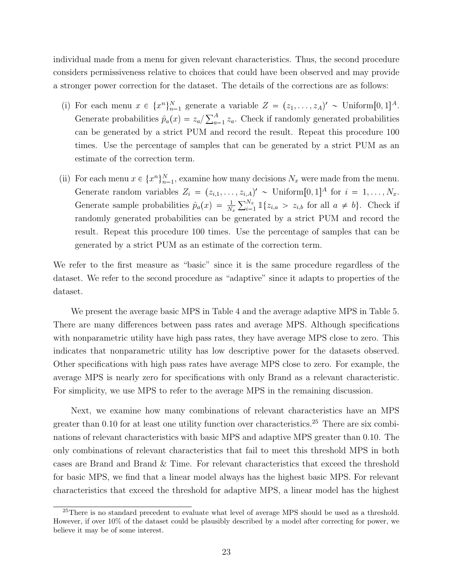individual made from a menu for given relevant characteristics. Thus, the second procedure considers permissiveness relative to choices that could have been observed and may provide a stronger power correction for the dataset. The details of the corrections are as follows:

- (i) For each menu  $x \in \{x^n\}_{n=1}^N$  generate a variable  $Z = (z_1, \ldots, z_A)' \sim \text{Uniform}[0, 1]^A$ . Generate probabilities  $\hat{p}_a(x) = z_a / \sum_{a=1}^A z_a$ . Check if randomly generated probabilities can be generated by a strict PUM and record the result. Repeat this procedure 100 times. Use the percentage of samples that can be generated by a strict PUM as an estimate of the correction term.
- (ii) For each menu  $x \in \{x^n\}_{n=1}^N$ , examine how many decisions  $N_x$  were made from the menu. Generate random variables  $Z_i = (z_{i,1}, \ldots, z_{i,A})' \sim \text{Uniform}[0, 1]^A$  for  $i = 1, \ldots, N_x$ . Generate sample probabilities  $\hat{p}_a(x) = \frac{1}{N_x} \sum_{i=1}^{N_x} 1\{z_{i,a} > z_{i,b} \text{ for all } a \neq b\}$ . Check if randomly generated probabilities can be generated by a strict PUM and record the result. Repeat this procedure 100 times. Use the percentage of samples that can be generated by a strict PUM as an estimate of the correction term.

We refer to the first measure as "basic" since it is the same procedure regardless of the dataset. We refer to the second procedure as "adaptive" since it adapts to properties of the dataset.

We present the average basic MPS in Table 4 and the average adaptive MPS in Table 5. There are many differences between pass rates and average MPS. Although specifications with nonparametric utility have high pass rates, they have average MPS close to zero. This indicates that nonparametric utility has low descriptive power for the datasets observed. Other specifications with high pass rates have average MPS close to zero. For example, the average MPS is nearly zero for specifications with only Brand as a relevant characteristic. For simplicity, we use MPS to refer to the average MPS in the remaining discussion.

Next, we examine how many combinations of relevant characteristics have an MPS greater than 0.10 for at least one utility function over characteristics.<sup>25</sup> There are six combinations of relevant characteristics with basic MPS and adaptive MPS greater than 0.10. The only combinations of relevant characteristics that fail to meet this threshold MPS in both cases are Brand and Brand & Time. For relevant characteristics that exceed the threshold for basic MPS, we find that a linear model always has the highest basic MPS. For relevant characteristics that exceed the threshold for adaptive MPS, a linear model has the highest

<sup>&</sup>lt;sup>25</sup>There is no standard precedent to evaluate what level of average MPS should be used as a threshold. However, if over 10% of the dataset could be plausibly described by a model after correcting for power, we believe it may be of some interest.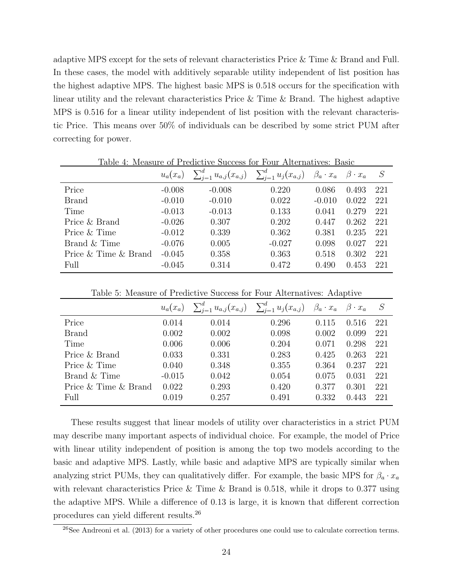adaptive MPS except for the sets of relevant characteristics Price & Time & Brand and Full. In these cases, the model with additively separable utility independent of list position has the highest adaptive MPS. The highest basic MPS is 0.518 occurs for the specification with linear utility and the relevant characteristics Price & Time & Brand. The highest adaptive MPS is 0.516 for a linear utility independent of list position with the relevant characteristic Price. This means over 50% of individuals can be described by some strict PUM after correcting for power.

| Table 4: Measure of Predictive Success for Four Alternatives: Basic |          |                                                                                            |          |          |                   |     |  |  |
|---------------------------------------------------------------------|----------|--------------------------------------------------------------------------------------------|----------|----------|-------------------|-----|--|--|
|                                                                     |          | $u_a(x_a)$ $\sum_{j=1}^d u_{a,j}(x_{a,j})$ $\sum_{j=1}^d u_j(x_{a,j})$ $\beta_a \cdot x_a$ |          |          | $\beta \cdot x_a$ | S   |  |  |
| Price                                                               | $-0.008$ | $-0.008$                                                                                   | 0.220    | 0.086    | 0.493             | 221 |  |  |
| Brand                                                               | $-0.010$ | $-0.010$                                                                                   | 0.022    | $-0.010$ | 0.022             | 221 |  |  |
| Time                                                                | $-0.013$ | $-0.013$                                                                                   | 0.133    | 0.041    | 0.279             | 221 |  |  |
| Price & Brand                                                       | $-0.026$ | 0.307                                                                                      | 0.202    | 0.447    | 0.262             | 221 |  |  |
| Price & Time                                                        | $-0.012$ | 0.339                                                                                      | 0.362    | 0.381    | 0.235             | 221 |  |  |
| Brand & Time                                                        | $-0.076$ | 0.005                                                                                      | $-0.027$ | 0.098    | 0.027             | 221 |  |  |
| Price & Time & Brand                                                | $-0.045$ | 0.358                                                                                      | 0.363    | 0.518    | 0.302             | 221 |  |  |
| Full                                                                | $-0.045$ | 0.314                                                                                      | 0.472    | 0.490    | 0.453             | 221 |  |  |

Table 4: Measure of Predictive Success for Four Alternatives: Basic

Table 5: Measure of Predictive Success for Four Alternatives: Adaptive

|                      |          | $u_a(x_a)$ $\sum_{j=1}^d u_{a,j}(x_{a,j})$ $\sum_{j=1}^d u_j(x_{a,j})$ $\beta_a \cdot x_a$ |       |       | $\beta \cdot x_a$ |     |
|----------------------|----------|--------------------------------------------------------------------------------------------|-------|-------|-------------------|-----|
| Price                | 0.014    | 0.014                                                                                      | 0.296 | 0.115 | 0.516             | 221 |
| <b>Brand</b>         | 0.002    | 0.002                                                                                      | 0.098 | 0.002 | 0.099             | 221 |
| Time                 | 0.006    | 0.006                                                                                      | 0.204 | 0.071 | 0.298             | 221 |
| Price & Brand        | 0.033    | 0.331                                                                                      | 0.283 | 0.425 | 0.263             | 221 |
| Price & Time         | 0.040    | 0.348                                                                                      | 0.355 | 0.364 | 0.237             | 221 |
| Brand & Time         | $-0.015$ | 0.042                                                                                      | 0.054 | 0.075 | 0.031             | 221 |
| Price & Time & Brand | 0.022    | 0.293                                                                                      | 0.420 | 0.377 | 0.301             | 221 |
| Full                 | 0.019    | 0.257                                                                                      | 0.491 | 0.332 | 0.443             | 221 |

These results suggest that linear models of utility over characteristics in a strict PUM may describe many important aspects of individual choice. For example, the model of Price with linear utility independent of position is among the top two models according to the basic and adaptive MPS. Lastly, while basic and adaptive MPS are typically similar when analyzing strict PUMs, they can qualitatively differ. For example, the basic MPS for  $\beta_a \cdot x_a$ with relevant characteristics Price & Time & Brand is 0.518, while it drops to 0.377 using the adaptive MPS. While a difference of 0.13 is large, it is known that different correction procedures can yield different results.<sup>26</sup>

 $26$ See Andreoni et al. (2013) for a variety of other procedures one could use to calculate correction terms.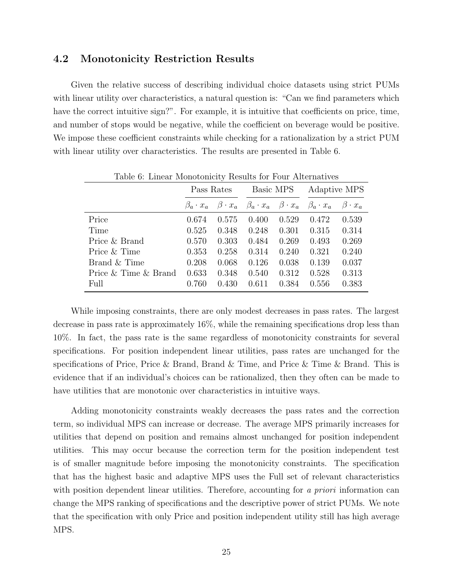#### 4.2 Monotonicity Restriction Results

Given the relative success of describing individual choice datasets using strict PUMs with linear utility over characteristics, a natural question is: "Can we find parameters which have the correct intuitive sign?". For example, it is intuitive that coefficients on price, time, and number of stops would be negative, while the coefficient on beverage would be positive. We impose these coefficient constraints while checking for a rationalization by a strict PUM with linear utility over characteristics. The results are presented in Table 6.

| Table 6: Linear Monotonicity Results for Four Alternatives |            |       |                                                                             |           |       |                   |  |  |  |  |
|------------------------------------------------------------|------------|-------|-----------------------------------------------------------------------------|-----------|-------|-------------------|--|--|--|--|
|                                                            | Pass Rates |       |                                                                             | Basic MPS |       | Adaptive MPS      |  |  |  |  |
|                                                            |            |       | $\beta_a$ $x_a$ $\beta$ $x_a$ $\beta_a$ $x_a$ $\beta$ $x_a$ $\beta_a$ $x_a$ |           |       | $\beta \cdot x_a$ |  |  |  |  |
| Price                                                      | 0.674      | 0.575 | 0.400                                                                       | 0.529     | 0.472 | 0.539             |  |  |  |  |
| Time                                                       | 0.525      | 0.348 | 0.248                                                                       | 0.301     | 0.315 | 0.314             |  |  |  |  |
| Price & Brand                                              | 0.570      | 0.303 | 0.484                                                                       | 0.269     | 0.493 | 0.269             |  |  |  |  |
| Price & Time                                               | 0.353      | 0.258 | 0.314                                                                       | 0.240     | 0.321 | 0.240             |  |  |  |  |
| Brand & Time                                               | 0.208      | 0.068 | 0.126                                                                       | 0.038     | 0.139 | 0.037             |  |  |  |  |
| Price & Time & Brand                                       | 0.633      | 0.348 | 0.540                                                                       | 0.312     | 0.528 | 0.313             |  |  |  |  |
| Full                                                       | 0.760      | 0.430 | 0.611                                                                       | 0.384     | 0.556 | 0.383             |  |  |  |  |

Table 6: Linear Monotonicity Results for Four Alternatives

While imposing constraints, there are only modest decreases in pass rates. The largest decrease in pass rate is approximately 16%, while the remaining specifications drop less than 10%. In fact, the pass rate is the same regardless of monotonicity constraints for several specifications. For position independent linear utilities, pass rates are unchanged for the specifications of Price, Price & Brand, Brand & Time, and Price & Time & Brand. This is evidence that if an individual's choices can be rationalized, then they often can be made to have utilities that are monotonic over characteristics in intuitive ways.

Adding monotonicity constraints weakly decreases the pass rates and the correction term, so individual MPS can increase or decrease. The average MPS primarily increases for utilities that depend on position and remains almost unchanged for position independent utilities. This may occur because the correction term for the position independent test is of smaller magnitude before imposing the monotonicity constraints. The specification that has the highest basic and adaptive MPS uses the Full set of relevant characteristics with position dependent linear utilities. Therefore, accounting for a priori information can change the MPS ranking of specifications and the descriptive power of strict PUMs. We note that the specification with only Price and position independent utility still has high average MPS.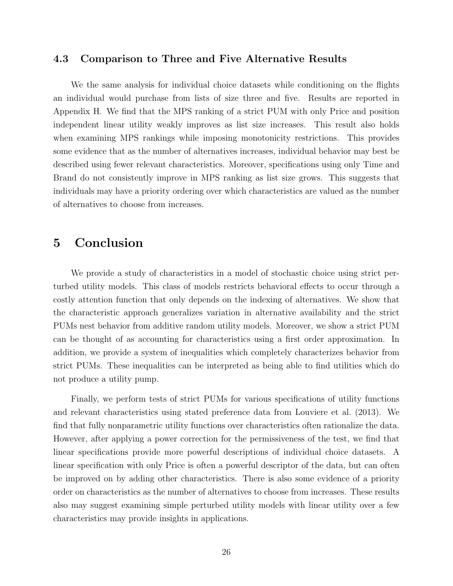#### 4.3 Comparison to Three and Five Alternative Results

We the same analysis for individual choice datasets while conditioning on the flights an individual would purchase from lists of size three and five. Results are reported in Appendix H. We find that the MPS ranking of a strict PUM with only Price and position independent linear utility weakly improves as list size increases. This result also holds when examining MPS rankings while imposing monotonicity restrictions. This provides some evidence that as the number of alternatives increases, individual behavior may best be described using fewer relevant characteristics. Moreover, specifications using only Time and Brand do not consistently improve in MPS ranking as list size grows. This suggests that individuals may have a priority ordering over which characteristics are valued as the number of alternatives to choose from increases.

# 5 Conclusion

We provide a study of characteristics in a model of stochastic choice using strict perturbed utility models. This class of models restricts behavioral effects to occur through a costly attention function that only depends on the indexing of alternatives. We show that the characteristic approach generalizes variation in alternative availability and the strict PUMs nest behavior from additive random utility models. Moreover, we show a strict PUM can be thought of as accounting for characteristics using a first order approximation. In addition, we provide a system of inequalities which completely characterizes behavior from strict PUMs. These inequalities can be interpreted as being able to find utilities which do not produce a utility pump.

Finally, we perform tests of strict PUMs for various specifications of utility functions and relevant characteristics using stated preference data from Louviere et al. (2013). We find that fully nonparametric utility functions over characteristics often rationalize the data. However, after applying a power correction for the permissiveness of the test, we find that linear specifications provide more powerful descriptions of individual choice datasets. A linear specification with only Price is often a powerful descriptor of the data, but can often be improved on by adding other characteristics. There is also some evidence of a priority order on characteristics as the number of alternatives to choose from increases. These results also may suggest examining simple perturbed utility models with linear utility over a few characteristics may provide insights in applications.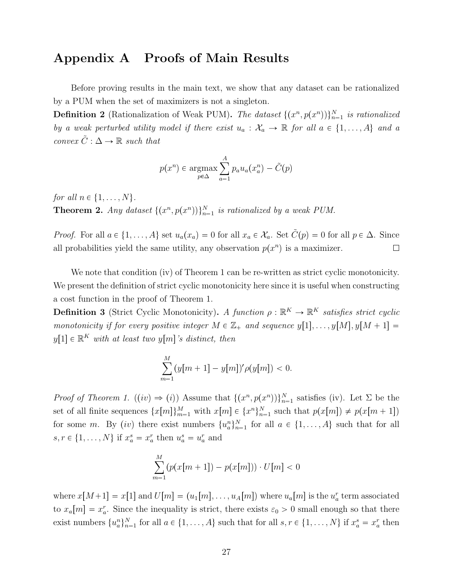### Appendix A Proofs of Main Results

Before proving results in the main text, we show that any dataset can be rationalized by a PUM when the set of maximizers is not a singleton.

**Definition 2** (Rationalization of Weak PUM). The dataset  $\{(x^n, p(x^n))\}_{n=1}^N$  is rationalized by a weak perturbed utility model if there exist  $u_a : \mathcal{X}_a \to \mathbb{R}$  for all  $a \in \{1, \ldots, A\}$  and a convex  $\tilde{C} : \Delta \to \mathbb{R}$  such that

$$
p(x^n) \in \operatorname*{argmax}_{p \in \Delta} \sum_{a=1}^{A} p_a u_a(x_a^n) - \tilde{C}(p)
$$

for all  $n \in \{1, \ldots, N\}.$ **Theorem 2.** Any dataset  $\{(x^n, p(x^n))\}_{n=1}^N$  is rationalized by a weak PUM.

*Proof.* For all  $a \in \{1, ..., A\}$  set  $u_a(x_a) = 0$  for all  $x_a \in \mathcal{X}_a$ . Set  $\tilde{C}(p) = 0$  for all  $p \in \Delta$ . Since all probabilities yield the same utility, any observation  $p(x^n)$  is a maximizer.  $\Box$ 

We note that condition (iv) of Theorem 1 can be re-written as strict cyclic monotonicity. We present the definition of strict cyclic monotonicity here since it is useful when constructing a cost function in the proof of Theorem 1.

**Definition 3** (Strict Cyclic Monotonicity). A function  $\rho : \mathbb{R}^K \to \mathbb{R}^K$  satisfies strict cyclic monotonicity if for every positive integer  $M \in \mathbb{Z}_+$  and sequence  $y[1], \ldots, y[M], y[M + 1] =$  $y[1] \in \mathbb{R}^K$  with at least two  $y[m]$ 's distinct, then

$$
\sum_{m=1}^{M} (y[m+1] - y[m])'\rho(y[m]) < 0.
$$

*Proof of Theorem 1.*  $((iv) \Rightarrow (i))$  Assume that  $\{(x^n, p(x^n))\}_{n=1}^N$  satisfies (iv). Let  $\Sigma$  be the set of all finite sequences  $\{x[m]\}_{m=1}^M$  with  $x[m] \in \{x^n\}_{n=1}^N$  such that  $p(x[m]) \neq p(x[m+1])$ for some m. By (iv) there exist numbers  $\{u_a^n\}_{n=1}^N$  for all  $a \in \{1, \ldots, A\}$  such that for all  $s, r \in \{1, ..., N\}$  if  $x_a^s = x_a^r$  then  $u_a^s = u_a^r$  and

$$
\sum_{m=1}^{M} (p(x[m+1]) - p(x[m])) \cdot U[m] < 0
$$

where  $x[M+1] = x[1]$  and  $U[m] = (u_1[m], \ldots, u_A[m])$  where  $u_a[m]$  is the  $u_a^r$  term associated to  $x_a[m] = x_a^r$ . Since the inequality is strict, there exists  $\varepsilon_0 > 0$  small enough so that there exist numbers  $\{u_n^n\}_{n=1}^N$  for all  $a \in \{1, \ldots, A\}$  such that for all  $s, r \in \{1, \ldots, N\}$  if  $x_a^s = x_a^r$  then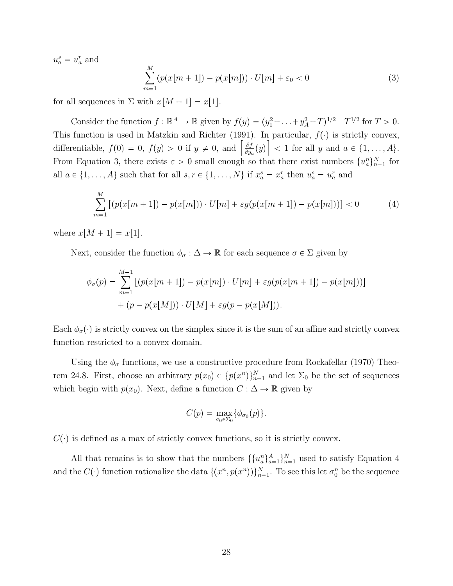$u_a^s = u_a^r$  and

$$
\sum_{m=1}^{M} (p(x[m+1]) - p(x[m])) \cdot U[m] + \varepsilon_0 < 0 \tag{3}
$$

for all sequences in  $\Sigma$  with  $x[M + 1] = x[1]$ .

Consider the function  $f : \mathbb{R}^A \to \mathbb{R}$  given by  $f(y) = (y_1^2 + ... + y_A^2 + T)^{1/2} - T^{1/2}$  for  $T > 0$ . This function is used in Matzkin and Richter (1991). In particular,  $f(\cdot)$  is strictly convex, differentiable,  $f(0) = 0$ ,  $f(y) > 0$  if  $y \neq 0$ , and  $\left[\frac{\partial f}{\partial y}\right]$  $\left[\frac{\partial f}{\partial y_a}(y)\right]$  < 1 for all y and  $a \in \{1, \ldots, A\}.$ From Equation 3, there exists  $\varepsilon > 0$  small enough so that there exist numbers  $\{u_a^n\}_{n=1}^N$  for all  $a \in \{1, ..., A\}$  such that for all  $s, r \in \{1, ..., N\}$  if  $x_a^s = x_a^r$  then  $u_a^s = u_a^r$  and

$$
\sum_{m=1}^{M} \left[ (p(x[m+1]) - p(x[m])) \cdot U[m] + \varepsilon g(p(x[m+1]) - p(x[m])) \right] < 0 \tag{4}
$$

where  $x[M + 1] = x[1]$ .

Next, consider the function  $\phi_{\sigma} : \Delta \to \mathbb{R}$  for each sequence  $\sigma \in \Sigma$  given by

$$
\phi_{\sigma}(p) = \sum_{m=1}^{M-1} [(p(x[m+1]) - p(x[m]) \cdot U[m] + \varepsilon g(p(x[m+1]) - p(x[m]))]
$$

$$
+ (p - p(x[M])) \cdot U[M] + \varepsilon g(p - p(x[M])).
$$

Each  $\phi_{\sigma}(\cdot)$  is strictly convex on the simplex since it is the sum of an affine and strictly convex function restricted to a convex domain.

Using the  $\phi_{\sigma}$  functions, we use a constructive procedure from Rockafellar (1970) Theorem 24.8. First, choose an arbitrary  $p(x_0) \in \{p(x^n)\}_{n=1}^N$  and let  $\Sigma_0$  be the set of sequences which begin with  $p(x_0)$ . Next, define a function  $C : \Delta \to \mathbb{R}$  given by

$$
C(p) = \max_{\sigma_0 \in \Sigma_0} \{ \phi_{\sigma_0}(p) \}.
$$

 $C(\cdot)$  is defined as a max of strictly convex functions, so it is strictly convex.

All that remains is to show that the numbers  $\{\{u_a^n\}_{a=1}^A\}_{n=1}^N$  used to satisfy Equation 4 and the  $C(\cdot)$  function rationalize the data  $\{(x^n, p(x^n))\}_{n=1}^N$ . To see this let  $\sigma_0^n$  be the sequence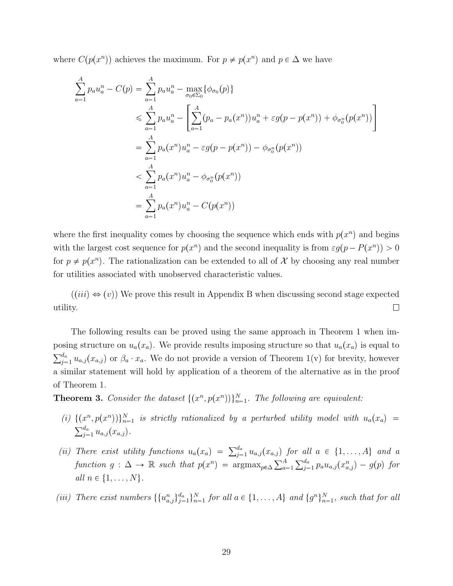where  $C(p(x^n))$  achieves the maximum. For  $p \neq p(x^n)$  and  $p \in \Delta$  we have

$$
\sum_{a=1}^{A} p_a u_a^n - C(p) = \sum_{a=1}^{A} p_a u_a^n - \max_{\sigma_0 \in \Sigma_0} {\phi_{\sigma_0}(p)}
$$
  
\n
$$
\leq \sum_{a=1}^{A} p_a u_a^n - \left[ \sum_{a=1}^{A} (p_a - p_a(x^n)) u_a^n + \varepsilon g(p - p(x^n)) + \phi_{\sigma_0^n}(p(x^n)) \right]
$$
  
\n
$$
= \sum_{a=1}^{A} p_a(x^n) u_a^n - \varepsilon g(p - p(x^n)) - \phi_{\sigma_0^n}(p(x^n))
$$
  
\n
$$
< \sum_{a=1}^{A} p_a(x^n) u_a^n - \phi_{\sigma_0^n}(p(x^n))
$$
  
\n
$$
= \sum_{a=1}^{A} p_a(x^n) u_a^n - C(p(x^n))
$$

where the first inequality comes by choosing the sequence which ends with  $p(x^n)$  and begins with the largest cost sequence for  $p(x^n)$  and the second inequality is from  $\varepsilon g(p-P(x^n))>0$ for  $p \neq p(x^n)$ . The rationalization can be extended to all of X by choosing any real number for utilities associated with unobserved characteristic values.

 $((iii) \Leftrightarrow (v))$  We prove this result in Appendix B when discussing second stage expected  $\Box$ utility.

The following results can be proved using the same approach in Theorem 1 when imposing structure on  $u_a(x_a)$ . We provide results imposing structure so that  $u_a(x_a)$  is equal to  $\sum_{j=1}^{d_a} u_{a,j}(x_{a,j})$  or  $\beta_a \cdot x_a$ . We do not provide a version of Theorem 1(v) for brevity, however a similar statement will hold by application of a theorem of the alternative as in the proof of Theorem 1.

**Theorem 3.** Consider the dataset  $\{(x^n, p(x^n))\}_{n=1}^N$ . The following are equivalent:

- (i)  $\{(x^n, p(x^n))\}_{n=1}^N$  is strictly rationalized by a perturbed utility model with  $u_a(x_a)$  =  $\sum_{j=1}^{d_a} u_{a,j}(x_{a,j}).$
- (ii) There exist utility functions  $u_a(x_a) = \sum_{j=1}^{d_a} u_{a,j}(x_{a,j})$  for all  $a \in \{1, \ldots, A\}$  and a function  $g: \Delta \to \mathbb{R}$  such that  $p(x^n) = \arg \max_{p \in \Delta} \sum_{a=1}^A \sum_{j=1}^{d_a} p_a u_{a,j}(x^n a,j)} - g(p)$  for all  $n \in \{1, \ldots, N\}$ .
- (iii) There exist numbers  $\{\{u_{a,j}^n\}_{j=1}^{\infty}\}_{n=1}^N$  for all  $a \in \{1,\ldots,A\}$  and  $\{g^n\}_{n=1}^N$ , such that for all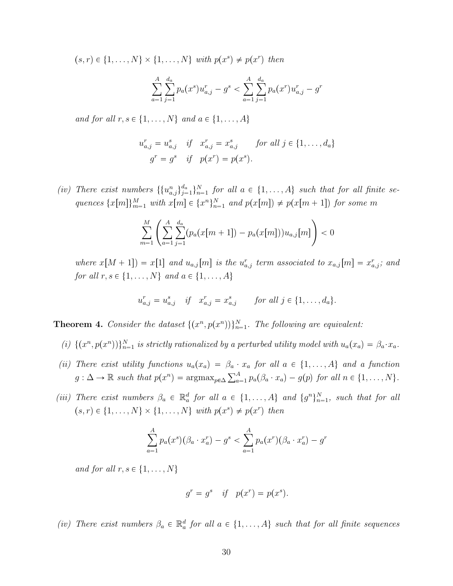$(s, r) \in \{1, ..., N\} \times \{1, ..., N\}$  with  $p(x^s) \neq p(x^r)$  then

$$
\sum_{a=1}^{A} \sum_{j=1}^{d_a} p_a(x^s) u_{a,j}^r - g^s < \sum_{a=1}^{A} \sum_{j=1}^{d_a} p_a(x^r) u_{a,j}^r - g^r
$$

and for all  $r, s \in \{1, \ldots, N\}$  and  $a \in \{1, \ldots, A\}$ 

$$
u_{a,j}^r = u_{a,j}^s \quad \text{if} \quad x_{a,j}^r = x_{a,j}^s \quad \text{for all } j \in \{1, ..., d_a\} \\
g^r = g^s \quad \text{if} \quad p(x^r) = p(x^s).
$$

(iv) There exist numbers  $\{\{u_{a,j}^n\}_{j=1}^{d_a}\}_{n=1}^N$  for all  $a \in \{1,\ldots,A\}$  such that for all finite sequences  ${x[m]}_{m=1}^M$  with  $x[m] \in {x^n}_{n=1}^N$  and  $p(x[m]) \neq p(x[m+1])$  for some m

$$
\sum_{m=1}^{M} \left( \sum_{a=1}^{A} \sum_{j=1}^{d_a} (p_a(x[m+1]) - p_a(x[m])) u_{a,j}[m] \right) < 0
$$

where  $x[M + 1]$ ) =  $x[1]$  and  $u_{a,j}[m]$  is the  $u_{a,j}^r$  term associated to  $x_{a,j}[m] = x_{a,j}^r$ ; and for all  $r, s \in \{1, \ldots, N\}$  and  $a \in \{1, \ldots, A\}$ 

$$
u_{a,j}^r = u_{a,j}^s
$$
 if  $x_{a,j}^r = x_{a,j}^s$  for all  $j \in \{1, ..., d_a\}$ .

**Theorem 4.** Consider the dataset  $\{(x^n, p(x^n))\}_{n=1}^N$ . The following are equivalent:

- (i)  $\{(x^n, p(x^n))\}_{n=1}^N$  is strictly rationalized by a perturbed utility model with  $u_a(x_a) = \beta_a \cdot x_a$ .
- (ii) There exist utility functions  $u_a(x_a) = \beta_a \cdot x_a$  for all  $a \in \{1, ..., A\}$  and a function  $g: \Delta \to \mathbb{R}$  such that  $p(x^n) = \operatorname{argmax}_{p \in \Delta} \sum_{a=1}^A p_a(\beta_a \cdot x_a) - g(p)$  for all  $n \in \{1, ..., N\}$ .
- (iii) There exist numbers  $\beta_a \in \mathbb{R}_a^d$  for all  $a \in \{1, ..., A\}$  and  $\{g^n\}_{n=1}^N$ , such that for all  $(s, r) \in \{1, ..., N\} \times \{1, ..., N\}$  with  $p(x^s) \neq p(x^r)$  then

$$
\sum_{a=1}^{A} p_a(x^s) (\beta_a \cdot x_a^r) - g^s < \sum_{a=1}^{A} p_a(x^r) (\beta_a \cdot x_a^r) - g^r
$$

and for all  $r, s \in \{1, \ldots, N\}$ 

$$
g^r = g^s \quad \text{if} \quad p(x^r) = p(x^s).
$$

(iv) There exist numbers  $\beta_a \in \mathbb{R}_a^d$  for all  $a \in \{1, ..., A\}$  such that for all finite sequences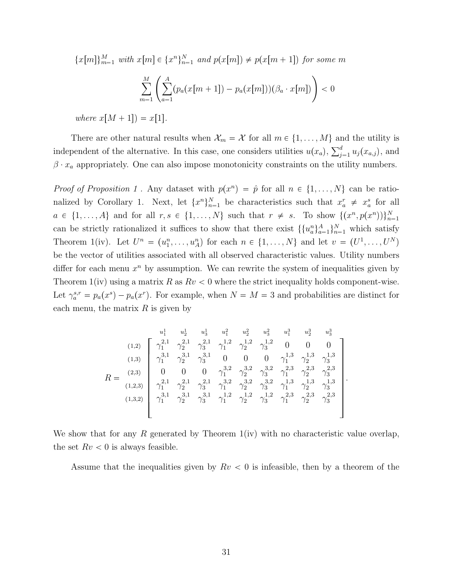${x[m]}_{m=1}^M$  with  $x[m] \in {x^n}_{n=1}^N$  and  $p(x[m]) \neq p(x[m+1])$  for some m

$$
\sum_{m=1}^{M} \left( \sum_{a=1}^{A} (p_a(x[m+1]) - p_a(x[m]))(\beta_a \cdot x[m]) \right) < 0
$$

where  $x[M + 1] = x[1]$ .

There are other natural results when  $\mathcal{X}_m = \mathcal{X}$  for all  $m \in \{1, \ldots, M\}$  and the utility is independent of the alternative. In this case, one considers utilities  $u(x_a)$ ,  $\sum_{j=1}^d u_j(x_{a,j})$ , and  $\beta \cdot x_a$  appropriately. One can also impose monotonicity constraints on the utility numbers.

*Proof of Proposition 1*. Any dataset with  $p(x^n) = \hat{p}$  for all  $n \in \{1, ..., N\}$  can be rationalized by Corollary 1. Next, let  $\{x^n\}_{n=1}^N$  be characteristics such that  $x_a^r \neq x_a^s$  for all  $a \in \{1, \ldots, A\}$  and for all  $r, s \in \{1, \ldots, N\}$  such that  $r \neq s$ . To show  $\{(x^n, p(x^n))\}_{n=1}^N$ can be strictly rationalized it suffices to show that there exist  $\{\{u_a^n\}_{a=1}^N\}_{n=1}^N$  which satisfy Theorem 1(iv). Let  $U^n = (u_1^n, \ldots, u_A^n)$  for each  $n \in \{1, \ldots, N\}$  and let  $v = (U^1, \ldots, U^N)$ be the vector of utilities associated with all observed characteristic values. Utility numbers differ for each menu  $x^n$  by assumption. We can rewrite the system of inequalities given by Theorem 1(iv) using a matrix R as  $Rv < 0$  where the strict inequality holds component-wise. Let  $\gamma_a^{s,r} = p_a(x^s) - p_a(x^r)$ . For example, when  $N = M = 3$  and probabilities are distinct for each menu, the matrix  $R$  is given by

$$
R = \begin{pmatrix} u_1^1 & u_2^1 & u_3^1 & u_1^2 & u_2^2 & u_3^2 & u_1^3 & u_2^3 & u_3^3 \\ (1,2) & \gamma_1^{2,1} & \gamma_2^{2,1} & \gamma_3^{2,1} & \gamma_1^{1,2} & \gamma_2^{1,2} & \gamma_3^{1,2} & 0 & 0 & 0 \\ \gamma_1^{3,1} & \gamma_2^{3,1} & \gamma_3^{3,1} & 0 & 0 & 0 & \gamma_1^{1,3} & \gamma_2^{1,3} & \gamma_3^{1,3} \\ 0 & 0 & 0 & \gamma_1^{3,2} & \gamma_2^{3,2} & \gamma_3^{3,2} & \gamma_1^{2,3} & \gamma_2^{2,3} & \gamma_3^{2,3} \\ (1,2,3) & \gamma_1^{2,1} & \gamma_2^{2,1} & \gamma_3^{2,1} & \gamma_1^{3,2} & \gamma_2^{3,2} & \gamma_3^{3,2} & \gamma_1^{1,3} & \gamma_2^{1,3} & \gamma_3^{1,3} \\ (1,3,2) & \gamma_1^{3,1} & \gamma_2^{3,1} & \gamma_3^{3,1} & \gamma_1^{1,2} & \gamma_2^{1,2} & \gamma_3^{1,2} & \gamma_1^{1,2} & \gamma_2^{2,3} & \gamma_2^{2,3} & \gamma_3^{2,3} \end{pmatrix}.
$$

We show that for any R generated by Theorem  $1(iv)$  with no characteristic value overlap, the set  $Rv < 0$  is always feasible.

Assume that the inequalities given by  $Rv < 0$  is infeasible, then by a theorem of the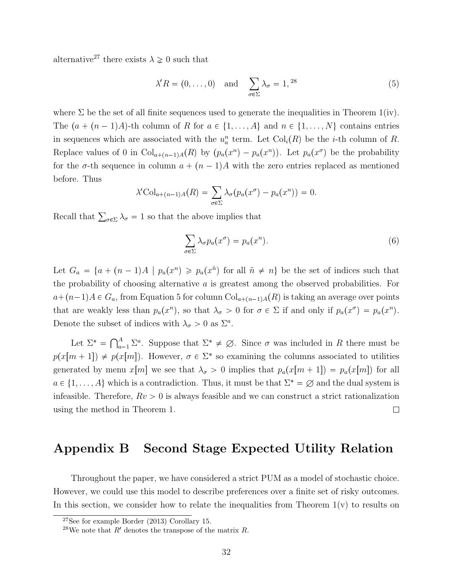alternative<sup>27</sup> there exists  $\lambda \geq 0$  such that

$$
\lambda' R = (0, \dots, 0) \quad \text{and} \quad \sum_{\sigma \in \Sigma} \lambda_{\sigma} = 1,^{28} \tag{5}
$$

where  $\Sigma$  be the set of all finite sequences used to generate the inequalities in Theorem 1(iv). The  $(a + (n - 1)A)$ -th column of R for  $a \in \{1, ..., A\}$  and  $n \in \{1, ..., N\}$  contains entries in sequences which are associated with the  $u_a^n$  term. Let  $Col_i(R)$  be the *i*-th column of R. Replace values of 0 in  $Col_{a+(n-1)A}(R)$  by  $(p_a(x^n) - p_a(x^n))$ . Let  $p_a(x^{\sigma})$  be the probability for the  $\sigma$ -th sequence in column  $a + (n - 1)A$  with the zero entries replaced as mentioned before. Thus

$$
\lambda' \text{Col}_{a+(n-1)A}(R) = \sum_{\sigma \in \Sigma} \lambda_{\sigma} (p_a(x^{\sigma}) - p_a(x^n)) = 0.
$$

Recall that  $\sum_{\sigma \in \Sigma} \lambda_{\sigma} = 1$  so that the above implies that

$$
\sum_{\sigma \in \Sigma} \lambda_{\sigma} p_a(x^{\sigma}) = p_a(x^n). \tag{6}
$$

Let  $G_a = \{a + (n-1)A \mid p_a(x^n) \geq p_a(x^n) \text{ for all } n \neq n\}$  be the set of indices such that the probability of choosing alternative a is greatest among the observed probabilities. For  $a+(n-1)A \in G_a$ , from Equation 5 for column  $\text{Col}_{a+(n-1)A}(R)$  is taking an average over points that are weakly less than  $p_a(x^n)$ , so that  $\lambda_{\sigma} > 0$  for  $\sigma \in \Sigma$  if and only if  $p_a(x^{\sigma}) = p_a(x^n)$ . Denote the subset of indices with  $\lambda_{\sigma} > 0$  as  $\Sigma^a$ .

Let  $\Sigma^* = \bigcap_{a=1}^A \Sigma^a$ . Suppose that  $\Sigma^* \neq \emptyset$ . Since  $\sigma$  was included in R there must be  $p(x[m + 1]) \neq p(x[m])$ . However,  $\sigma \in \Sigma^*$  so examining the columns associated to utilities generated by menu  $x[m]$  we see that  $\lambda_{\sigma} > 0$  implies that  $p_a(x[m + 1]) = p_a(x[m])$  for all  $a \in \{1, \ldots, A\}$  which is a contradiction. Thus, it must be that  $\Sigma^* = \emptyset$  and the dual system is infeasible. Therefore,  $Rv > 0$  is always feasible and we can construct a strict rationalization using the method in Theorem 1.  $\Box$ 

# Appendix B Second Stage Expected Utility Relation

Throughout the paper, we have considered a strict PUM as a model of stochastic choice. However, we could use this model to describe preferences over a finite set of risky outcomes. In this section, we consider how to relate the inequalities from Theorem  $1(v)$  to results on

 $27$ See for example Border (2013) Corollary 15.

<sup>&</sup>lt;sup>28</sup>We note that R' denotes the transpose of the matrix R.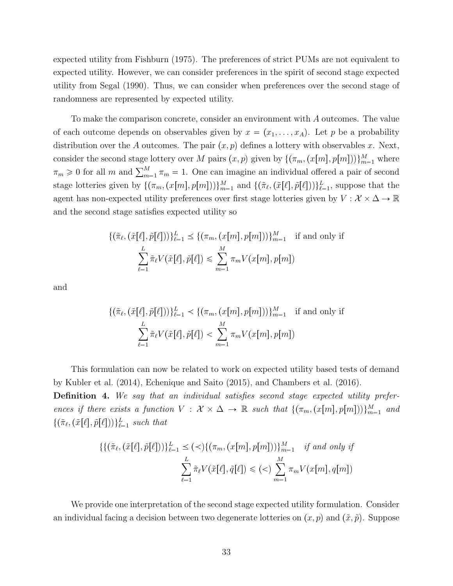expected utility from Fishburn (1975). The preferences of strict PUMs are not equivalent to expected utility. However, we can consider preferences in the spirit of second stage expected utility from Segal (1990). Thus, we can consider when preferences over the second stage of randomness are represented by expected utility.

To make the comparison concrete, consider an environment with A outcomes. The value of each outcome depends on observables given by  $x = (x_1, \ldots, x_A)$ . Let p be a probability distribution over the A outcomes. The pair  $(x, p)$  defines a lottery with observables x. Next, consider the second stage lottery over M pairs  $(x, p)$  given by  $\{(\pi_m, (x[m], p[m]))\}_{m=1}^M$  where  $\pi_m \geq 0$  for all m and  $\sum_{m=1}^{M} \pi_m = 1$ . One can imagine an individual offered a pair of second stage lotteries given by  $\{(\pi_m,(x[m],p[m]))\}_{m=1}^M$  and  $\{(\tilde{\pi}_{\ell},(\tilde{x}[\ell],\tilde{p}[\ell]))\}_{\ell=1}^L$ , suppose that the agent has non-expected utility preferences over first stage lotteries given by  $V: \mathcal{X} \times \Delta \to \mathbb{R}$ and the second stage satisfies expected utility so

$$
\{(\tilde{\pi}_{\ell}, (\tilde{x}[\ell], \tilde{p}[\ell]))\}_{\ell=1}^L \leq \{(\pi_m, (x[m], p[m]))\}_{m=1}^M \text{ if and only if}
$$

$$
\sum_{\ell=1}^L \tilde{\pi}_{\ell} V(\tilde{x}[\ell], \tilde{p}[\ell]) \leq \sum_{m=1}^M \pi_m V(x[m], p[m])
$$

and

$$
\{(\tilde{\pi}_{\ell}, (\tilde{x}[\ell], \tilde{p}[\ell]))\}_{\ell=1}^{L} < \{(\pi_m, (x[m], p[m]))\}_{m=1}^{M} \text{ if and only if}
$$
\n
$$
\sum_{\ell=1}^{L} \tilde{\pi}_{\ell} V(\tilde{x}[\ell], \tilde{p}[\ell]) < \sum_{m=1}^{M} \pi_m V(x[m], p[m])
$$

This formulation can now be related to work on expected utility based tests of demand by Kubler et al. (2014), Echenique and Saito (2015), and Chambers et al. (2016). Definition 4. We say that an individual satisfies second stage expected utility preferences if there exists a function  $V: \mathcal{X} \times \Delta \rightarrow \mathbb{R}$  such that  $\{(\pi_m, (x[m], p[m]))\}_{m=1}^M$  and  $\{(\tilde{\pi}_{\ell}, (\tilde{x}[\ell], \tilde{p}[\ell]))\}_{\ell=1}^L$  such that

$$
\{\{(\tilde{\pi}_{\ell},(\tilde{x}[\ell],\tilde{p}[\ell]))\}_{\ell=1}^L \leq (\prec)\{(\pi_m,(x[m],p[m]))\}_{m=1}^M \quad \text{if and only if}
$$

$$
\sum_{\ell=1}^L \tilde{\pi}_{\ell} V(\tilde{x}[\ell],\tilde{q}[\ell]) \leq (\prec) \sum_{m=1}^M \pi_m V(x[m],q[m])
$$

We provide one interpretation of the second stage expected utility formulation. Consider an individual facing a decision between two degenerate lotteries on  $(x, p)$  and  $(\tilde{x}, \tilde{p})$ . Suppose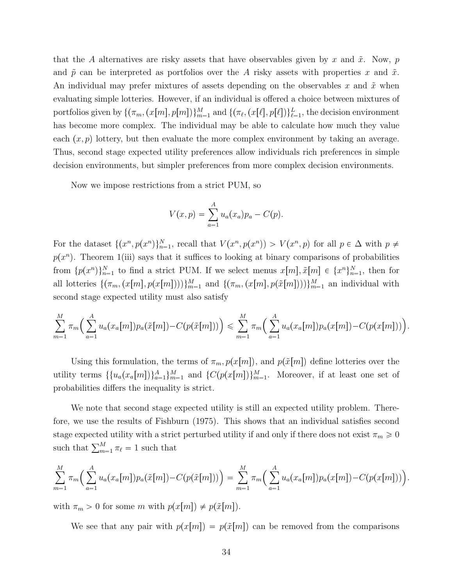that the A alternatives are risky assets that have observables given by x and  $\tilde{x}$ . Now, p and  $\tilde{p}$  can be interpreted as portfolios over the A risky assets with properties x and  $\tilde{x}$ . An individual may prefer mixtures of assets depending on the observables x and  $\tilde{x}$  when evaluating simple lotteries. However, if an individual is offered a choice between mixtures of portfolios given by  $\{(\pi_m, (x[m], p[m])\}_{m=1}^M$  and  $\{(\pi_\ell, (x[\ell], p[\ell])\}_{\ell=1}^L$ , the decision environment has become more complex. The individual may be able to calculate how much they value each  $(x, p)$  lottery, but then evaluate the more complex environment by taking an average. Thus, second stage expected utility preferences allow individuals rich preferences in simple decision environments, but simpler preferences from more complex decision environments.

Now we impose restrictions from a strict PUM, so

$$
V(x,p) = \sum_{a=1}^{A} u_a(x_a) p_a - C(p).
$$

For the dataset  $\{(x^n, p(x^n))\}_{n=1}^N$ , recall that  $V(x^n, p(x^n)) > V(x^n, p)$  for all  $p \in \Delta$  with  $p \neq$  $p(x^n)$ . Theorem 1(iii) says that it suffices to looking at binary comparisons of probabilities from  $\{p(x^n)\}_{n=1}^N$  to find a strict PUM. If we select menus  $x[m], \tilde{x}[m] \in \{x^n\}_{n=1}^N$ , then for all lotteries  $\{(\pi_m,(x[m],p(x[m])))\}_{m=1}^M$  and  $\{(\pi_m,(x[m],p(\tilde{x}[m]))\}_{m=1}^M$  an individual with second stage expected utility must also satisfy

$$
\sum_{m=1}^{M} \pi_m \Big( \sum_{a=1}^{A} u_a(x_a[m]) p_a(\tilde{x}[m]) - C(p(\tilde{x}[m])) \Big) \leq \sum_{m=1}^{M} \pi_m \Big( \sum_{a=1}^{A} u_a(x_a[m]) p_a(x[m]) - C(p(x[m])) \Big).
$$

Using this formulation, the terms of  $\pi_m$ ,  $p(x[m])$ , and  $p(\tilde{x}[m])$  define lotteries over the utility terms  $\{\{u_a(x_a[m])\}_{a=1}^M\}_{m=1}^M$  and  $\{C(p(x[m])\}_{m=1}^M$ . Moreover, if at least one set of probabilities differs the inequality is strict.

We note that second stage expected utility is still an expected utility problem. Therefore, we use the results of Fishburn (1975). This shows that an individual satisfies second stage expected utility with a strict perturbed utility if and only if there does not exist  $\pi_m \geq 0$ such that  $\sum_{m=1}^{M} \pi_{\ell} = 1$  such that

$$
\sum_{m=1}^{M} \pi_m \left( \sum_{a=1}^{A} u_a(x_a[m]) p_a(\tilde{x}[m]) - C(p(\tilde{x}[m])) \right) = \sum_{m=1}^{M} \pi_m \left( \sum_{a=1}^{A} u_a(x_a[m]) p_a(x[m]) - C(p(x[m])) \right).
$$

with  $\pi_m > 0$  for some m with  $p(x[m]) \neq p(\tilde{x}[m])$ .

We see that any pair with  $p(x[m]) = p(\tilde{x}[m])$  can be removed from the comparisons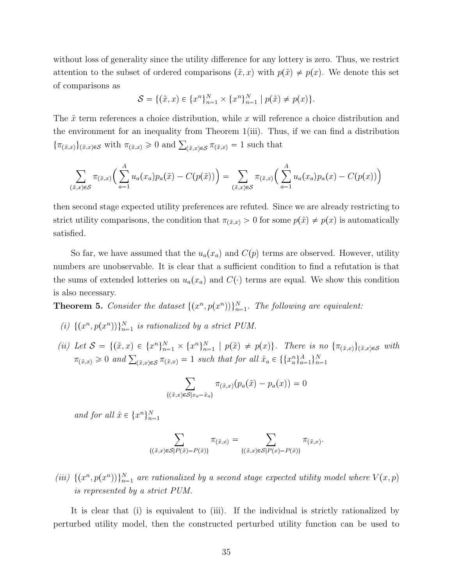without loss of generality since the utility difference for any lottery is zero. Thus, we restrict attention to the subset of ordered comparisons  $(\tilde{x}, x)$  with  $p(\tilde{x}) \neq p(x)$ . We denote this set of comparisons as

$$
S = \{ (\tilde{x}, x) \in \{x^n\}_{n=1}^N \times \{x^n\}_{n=1}^N \mid p(\tilde{x}) \neq p(x) \}.
$$

The  $\tilde{x}$  term references a choice distribution, while x will reference a choice distribution and the environment for an inequality from Theorem 1(iii). Thus, if we can find a distribution  $\{\pi_{(\tilde{x},x)}\}_{(\tilde{x},x)\in S}$  with  $\pi_{(\tilde{x},x)} \geq 0$  and  $\sum_{(\tilde{x},x)\in S} \pi_{(\tilde{x},x)} = 1$  such that

$$
\sum_{(\tilde{x},x)\in\mathcal{S}} \pi_{(\tilde{x},x)} \left( \sum_{a=1}^A u_a(x_a) p_a(\tilde{x}) - C(p(\tilde{x})) \right) = \sum_{(\tilde{x},x)\in\mathcal{S}} \pi_{(\tilde{x},x)} \left( \sum_{a=1}^A u_a(x_a) p_a(x) - C(p(x)) \right)
$$

then second stage expected utility preferences are refuted. Since we are already restricting to strict utility comparisons, the condition that  $\pi_{(\tilde{x},x)} > 0$  for some  $p(\tilde{x}) \neq p(x)$  is automatically satisfied.

So far, we have assumed that the  $u_a(x_a)$  and  $C(p)$  terms are observed. However, utility numbers are unobservable. It is clear that a sufficient condition to find a refutation is that the sums of extended lotteries on  $u_a(x_a)$  and  $C(\cdot)$  terms are equal. We show this condition is also necessary.

**Theorem 5.** Consider the dataset  $\{(x^n, p(x^n))\}_{n=1}^N$ . The following are equivalent:

- (i)  $\{(x^n, p(x^n))\}_{n=1}^N$  is rationalized by a strict PUM.
- (ii) Let  $S = \{(\tilde{x}, x) \in \{x^n\}_{n=1}^N \times \{x^n\}_{n=1}^N \mid p(\tilde{x}) \neq p(x)\}\$ . There is no  $\{\pi_{(\tilde{x},x)}\}_{(\tilde{x},x)\in S}$  with  $\pi_{(\tilde{x},x)} \geq 0$  and  $\sum_{(\tilde{x},x)\in\mathcal{S}} \pi_{(\tilde{x},x)} = 1$  such that for all  $\hat{x}_a \in \{\{x_a^n\}_{a=1}^A\}_{n=1}^N$

$$
\sum_{\{(\tilde{x},x)\in\mathcal{S}|x_a=\hat{x}_a\}} \pi_{(\tilde{x},x)}(p_a(\tilde{x})-p_a(x))=0
$$

and for all  $\hat{x} \in \{x^n\}_{n=1}^N$ 

$$
\sum_{\{(\tilde{x},x)\in\mathcal{S}|P(\tilde{x})=P(\hat{x})\}}\pi_{(\tilde{x},x)}=\sum_{\{(\tilde{x},x)\in\mathcal{S}|P(x)=P(\hat{x})\}}\pi_{(\tilde{x},x)}.
$$

(iii)  $\{(x^n, p(x^n))\}_{n=1}^N$  are rationalized by a second stage expected utility model where  $V(x, p)$ is represented by a strict PUM.

It is clear that (i) is equivalent to (iii). If the individual is strictly rationalized by perturbed utility model, then the constructed perturbed utility function can be used to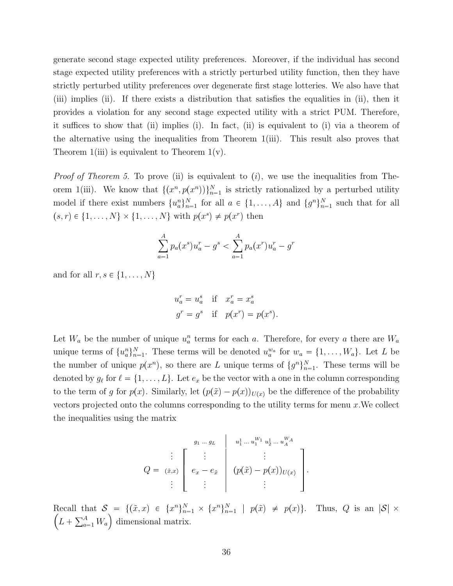generate second stage expected utility preferences. Moreover, if the individual has second stage expected utility preferences with a strictly perturbed utility function, then they have strictly perturbed utility preferences over degenerate first stage lotteries. We also have that (iii) implies (ii). If there exists a distribution that satisfies the equalities in (ii), then it provides a violation for any second stage expected utility with a strict PUM. Therefore, it suffices to show that (ii) implies (i). In fact, (ii) is equivalent to (i) via a theorem of the alternative using the inequalities from Theorem 1(iii). This result also proves that Theorem 1(iii) is equivalent to Theorem  $1(v)$ .

*Proof of Theorem 5.* To prove (ii) is equivalent to  $(i)$ , we use the inequalities from Theorem 1(iii). We know that  $\{(x^n, p(x^n))\}_{n=1}^N$  is strictly rationalized by a perturbed utility model if there exist numbers  $\{u_n^n\}_{n=1}^N$  for all  $a \in \{1, ..., A\}$  and  $\{g^n\}_{n=1}^N$  such that for all  $(s, r) \in \{1, ..., N\} \times \{1, ..., N\}$  with  $p(x^s) \neq p(x^r)$  then

$$
\sum_{a=1}^{A} p_a(x^s)u_a^r - g^s < \sum_{a=1}^{A} p_a(x^r)u_a^r - g^r
$$

and for all  $r, s \in \{1, \ldots, N\}$ 

$$
u_a^r = u_a^s \quad \text{if} \quad x_a^r = x_a^s
$$
  

$$
g^r = g^s \quad \text{if} \quad p(x^r) = p(x^s).
$$

Let  $W_a$  be the number of unique  $u_a^n$  terms for each a. Therefore, for every a there are  $W_a$ unique terms of  $\{u_a^n\}_{n=1}^N$ . These terms will be denoted  $u_a^{w_a}$  for  $w_a = \{1, \ldots, W_a\}$ . Let L be the number of unique  $p(x^n)$ , so there are L unique terms of  $\{g^n\}_{n=1}^N$ . These terms will be denoted by  $g_{\ell}$  for  $\ell = \{1, \ldots, L\}$ . Let  $e_x$  be the vector with a one in the column corresponding to the term of g for  $p(x)$ . Similarly, let  $(p(\tilde{x}) - p(x))_{U(x)}$  be the difference of the probability vectors projected onto the columns corresponding to the utility terms for menu  $x$ . We collect the inequalities using the matrix

$$
Q = (\tilde{x}, x) \begin{bmatrix} g_1 \dots g_L \\ \vdots \\ e_x - e_{\tilde{x}} \\ \vdots \end{bmatrix} \begin{bmatrix} u_1^1 \dots u_1^{W_1} u_2^1 \dots u_A^{W_A} \\ \vdots \\ (p(\tilde{x}) - p(x))_{U(x)} \\ \vdots \end{bmatrix}.
$$

Recall that  $S = \{(\tilde{x}, x) \in \{x^n\}_{n=1}^N \times \{x^n\}_{n=1}^N \mid p(\tilde{x}) \neq p(x)\}\$ . Thus, Q is an  $|S| \times$  $\left(L + \sum_{a=1}^{A} W_a\right)$  dimensional matrix.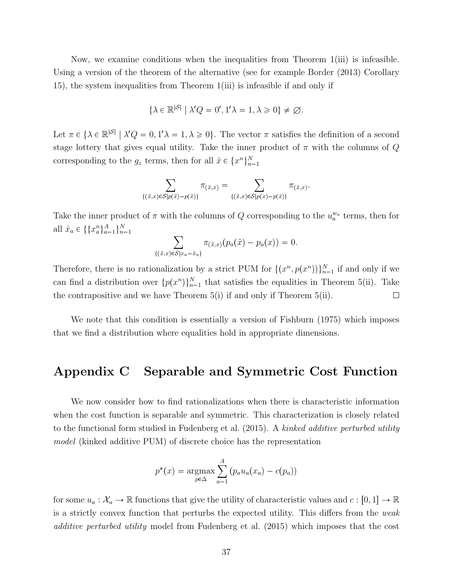Now, we examine conditions when the inequalities from Theorem 1(iii) is infeasible. Using a version of the theorem of the alternative (see for example Border (2013) Corollary 15), the system inequalities from Theorem 1(iii) is infeasible if and only if

$$
\{\lambda \in \mathbb{R}^{|\mathcal{S}|} \mid \lambda'Q = 0', 1'\lambda = 1, \lambda \ge 0\} \ne \emptyset.
$$

Let  $\pi \in {\{\lambda \in \mathbb{R}^{|\mathcal{S}|} \mid \lambda'Q = 0, 1'\lambda = 1, \lambda \geq 0\}}$ . The vector  $\pi$  satisfies the definition of a second stage lottery that gives equal utility. Take the inner product of  $\pi$  with the columns of Q corresponding to the  $g_z$  terms, then for all  $\hat{x} \in \{x^n\}_{n=1}^N$ 

$$
\sum_{\{(\tilde{x},x)\in S|p(\tilde{x})=p(\hat{x})\}} \pi_{(\tilde{x},x)} = \sum_{\{(\tilde{x},x)\in S|p(x)=p(\hat{x})\}} \pi_{(\tilde{x},x)}.
$$

Take the inner product of  $\pi$  with the columns of Q corresponding to the  $u_a^{w_a}$  terms, then for all  $\hat{x}_a \in \{\{x_a^n\}_{a=1}^A\}_{n=1}^N$ 

$$
\sum_{\{(\tilde{x},x)\in\mathcal{S}|x_a=\hat{x}_a\}} \pi_{(\tilde{x},x)}(p_a(\tilde{x})-p_a(x))=0.
$$

Therefore, there is no rationalization by a strict PUM for  $\{(x^n, p(x^n))\}_{n=1}^N$  if and only if we can find a distribution over  $\{p(x^n)\}_{n=1}^N$  that satisfies the equalities in Theorem 5(ii). Take the contrapositive and we have Theorem  $5(i)$  if and only if Theorem  $5(ii)$ .  $\Box$ 

We note that this condition is essentially a version of Fishburn (1975) which imposes that we find a distribution where equalities hold in appropriate dimensions.

### Appendix C Separable and Symmetric Cost Function

We now consider how to find rationalizations when there is characteristic information when the cost function is separable and symmetric. This characterization is closely related to the functional form studied in Fudenberg et al. (2015). A kinked additive perturbed utility model (kinked additive PUM) of discrete choice has the representation

$$
p^*(x) = \underset{p \in \Delta}{\text{argmax}} \sum_{a=1}^{A} (p_a u_a(x_a) - c(p_a))
$$

for some  $u_a : \mathcal{X}_a \to \mathbb{R}$  functions that give the utility of characteristic values and  $c : [0, 1] \to \mathbb{R}$ is a strictly convex function that perturbs the expected utility. This differs from the weak additive perturbed utility model from Fudenberg et al. (2015) which imposes that the cost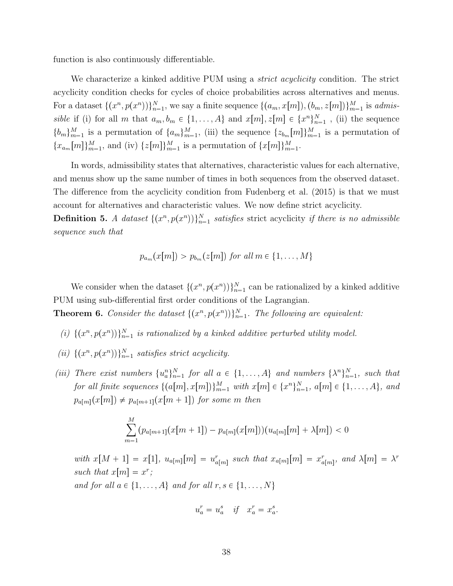function is also continuously differentiable.

We characterize a kinked additive PUM using a *strict acyclicity* condition. The strict acyclicity condition checks for cycles of choice probabilities across alternatives and menus. For a dataset  $\{(x^n, p(x^n))\}_{n=1}^N$ , we say a finite sequence  $\{(a_m, x[m]), (b_m, z[m])\}_{m=1}^M$  is admis*sible* if (i) for all m that  $a_m, b_m \in \{1, ..., A\}$  and  $x[m], z[m] \in \{x^n\}_{n=1}^N$ , (ii) the sequence  $\{b_m\}_{m=1}^M$  is a permutation of  $\{a_m\}_{m=1}^M$ , (iii) the sequence  $\{z_{b_m}[m]\}_{m=1}^M$  is a permutation of  ${x_{a_m}}[m]_{m=1}^M$ , and (iv)  $\{z[m]\}_{m=1}^M$  is a permutation of  $\{x[m]\}_{m=1}^M$ .

In words, admissibility states that alternatives, characteristic values for each alternative, and menus show up the same number of times in both sequences from the observed dataset. The difference from the acyclicity condition from Fudenberg et al. (2015) is that we must account for alternatives and characteristic values. We now define strict acyclicity.

**Definition 5.** A dataset  $\{(x^n, p(x^n))\}_{n=1}^N$  satisfies strict acyclicity if there is no admissible sequence such that

$$
p_{a_m}(x[m]) > p_{b_m}(z[m])
$$
 for all  $m \in \{1, \ldots, M\}$ 

We consider when the dataset  $\{(x^n, p(x^n))\}_{n=1}^N$  can be rationalized by a kinked additive PUM using sub-differential first order conditions of the Lagrangian.

**Theorem 6.** Consider the dataset  $\{(x^n, p(x^n))\}_{n=1}^N$ . The following are equivalent:

- (i)  $\{(x^n, p(x^n))\}_{n=1}^N$  is rationalized by a kinked additive perturbed utility model.
- (ii)  $\{(x^n, p(x^n))\}_{n=1}^N$  satisfies strict acyclicity.
- (iii) There exist numbers  $\{u_a^n\}_{n=1}^N$  for all  $a \in \{1, ..., A\}$  and numbers  $\{\lambda^n\}_{n=1}^N$ , such that for all finite sequences  $\{(a[m], x[m])\}_{m=1}^M$  with  $x[m] \in \{x^n\}_{n=1}^N$ ,  $a[m] \in \{1, \ldots, A\}$ , and  $p_{a[m]}(x[m]) \neq p_{a[m+1]}(x[m+1])$  for some m then

$$
\sum_{m=1}^{M} (p_{a[m+1]}(x[m+1]) - p_{a[m]}(x[m])) (u_{a[m]}[m] + \lambda[m]) < 0
$$

with  $x[M + 1] = x[1], u_{a[m]}[m] = u_{a[m]}^r$  such that  $x_{a[m]}[m] = x_{a[m]}^r$ , and  $\lambda[m] = \lambda^r$ such that  $x[m] = x^r$ ; and for all  $a \in \{1, \ldots, A\}$  and for all  $r, s \in \{1, \ldots, N\}$ 

$$
u_a^r = u_a^s \quad \text{if} \quad x_a^r = x_a^s.
$$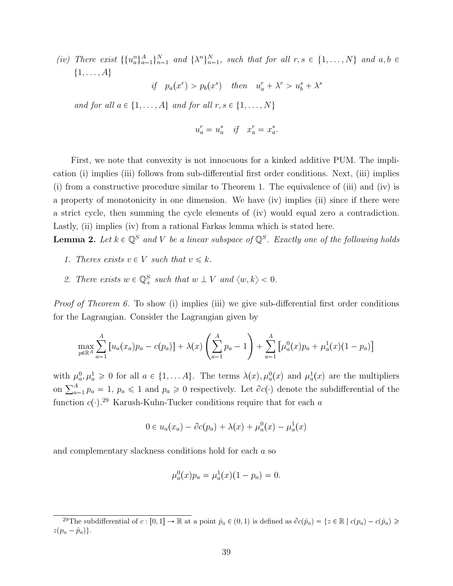(iv) There exist  $\{\{u^n_a\}_{a=1}^A\}_{n=1}^N$  and  $\{\lambda^n\}_{n=1}^N$ , such that for all  $r, s \in \{1, ..., N\}$  and  $a, b \in$  $\{1, \ldots, A\}$ 

if  $p_a(x^r) > p_b(x^s)$  then  $u_a^r + \lambda^r > u_b^s + \lambda^s$ 

and for all  $a \in \{1, \ldots, A\}$  and for all  $r, s \in \{1, \ldots, N\}$ 

$$
u_a^r = u_a^s \quad \text{if} \quad x_a^r = x_a^s.
$$

First, we note that convexity is not innocuous for a kinked additive PUM. The implication (i) implies (iii) follows from sub-differential first order conditions. Next, (iii) implies (i) from a constructive procedure similar to Theorem 1. The equivalence of (iii) and (iv) is a property of monotonicity in one dimension. We have (iv) implies (ii) since if there were a strict cycle, then summing the cycle elements of (iv) would equal zero a contradiction. Lastly, (ii) implies (iv) from a rational Farkas lemma which is stated here.

**Lemma 2.** Let  $k \in \mathbb{Q}^S$  and V be a linear subspace of  $\mathbb{Q}^S$ . Exactly one of the following holds

- 1. Theres exists  $v \in V$  such that  $v \leq k$ .
- 2. There exists  $w \in \mathbb{Q}_+^S$  such that  $w \perp V$  and  $\langle w, k \rangle < 0$ .

*Proof of Theorem 6.* To show (i) implies (iii) we give sub-differential first order conditions for the Lagrangian. Consider the Lagrangian given by

$$
\max_{p \in \mathbb{R}^A} \sum_{a=1}^A \left[ u_a(x_a) p_a - c(p_a) \right] + \lambda(x) \left( \sum_{a=1}^A p_a - 1 \right) + \sum_{a=1}^A \left[ \mu_a^0(x) p_a + \mu_a^1(x) (1 - p_a) \right]
$$

with  $\mu_a^0, \mu_a^1 \geq 0$  for all  $a \in \{1, ..., A\}$ . The terms  $\lambda(x), \mu_a^0(x)$  and  $\mu_a^1(x)$  are the multipliers on  $\sum_{a=1}^{A} p_a = 1$ ,  $p_a \le 1$  and  $p_a \ge 0$  respectively. Let  $\partial c(\cdot)$  denote the subdifferential of the function  $c(.)^{29}$  Karush-Kuhn-Tucker conditions require that for each a

$$
0 \in u_a(x_a) - \partial c(p_a) + \lambda(x) + \mu_a^0(x) - \mu_a^1(x)
$$

and complementary slackness conditions hold for each a so

$$
\mu_a^0(x)p_a = \mu_a^1(x)(1-p_a) = 0.
$$

<sup>&</sup>lt;sup>29</sup>The subdifferential of  $c : [0, 1] \to \mathbb{R}$  at a point  $\hat{p}_a \in (0, 1)$  is defined as  $\partial c(\hat{p}_a) = \{z \in \mathbb{R} \mid c(p_a) - c(\hat{p}_a) \geq c \}$  $z(p_a - \hat{p}_a)$ .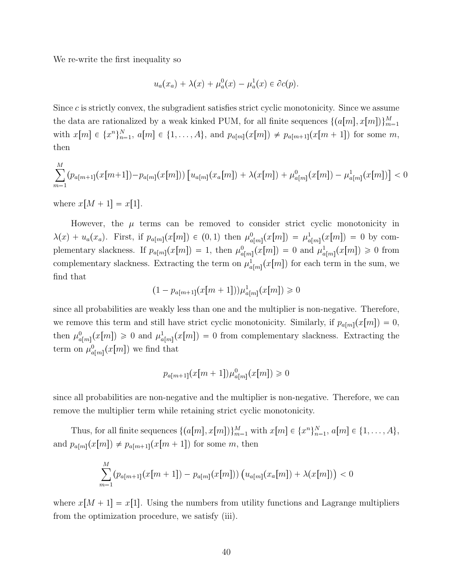We re-write the first inequality so

$$
u_a(x_a) + \lambda(x) + \mu_a^0(x) - \mu_a^1(x) \in \partial c(p).
$$

Since  $c$  is strictly convex, the subgradient satisfies strict cyclic monotonicity. Since we assume the data are rationalized by a weak kinked PUM, for all finite sequences  $\{(a[m], x[m])\}_{m=1}^M$ with  $x[m] \in \{x^n\}_{n=1}^N$ ,  $a[m] \in \{1, ..., A\}$ , and  $p_{a[m]}(x[m]) \neq p_{a[m+1]}(x[m+1])$  for some m, then

$$
\sum_{m=1}^{M} (p_{a[m+1]}(x[m+1]) - p_{a[m]}(x[m])) [u_{a[m]}(x_a[m]) + \lambda(x[m]) + \mu_{a[m]}^0(x[m]) - \mu_{a[m]}^1(x[m])] < 0
$$

where  $x[M + 1] = x[1]$ .

However, the  $\mu$  terms can be removed to consider strict cyclic monotonicity in  $\lambda(x) + u_a(x_a)$ . First, if  $p_{a[m]}(x[m]) \in (0, 1)$  then  $\mu_{a[m]}^0(x[m]) = \mu_{a[m]}^1(x[m]) = 0$  by complementary slackness. If  $p_{a[m]}(x[m]) = 1$ , then  $\mu_{a[m]}^0(x[m]) = 0$  and  $\mu_{a[m]}^1(x[m]) \geq 0$  from complementary slackness. Extracting the term on  $\mu_{a[m]}^1(x[m])$  for each term in the sum, we find that

$$
(1 - p_{a[m+1]}(x[m+1]))\mu_{a[m]}^1(x[m]) \ge 0
$$

since all probabilities are weakly less than one and the multiplier is non-negative. Therefore, we remove this term and still have strict cyclic monotonicity. Similarly, if  $p_{a[m]}(x[m]) = 0$ , then  $\mu_{a[m]}^0(x[m]) \geq 0$  and  $\mu_{a[m]}^1(x[m]) = 0$  from complementary slackness. Extracting the term on  $\mu_{a[m]}^0(x[m])$  we find that

$$
p_{a[m+1]}(x[m+1])\mu_{a[m]}^0(x[m]) \ge 0
$$

since all probabilities are non-negative and the multiplier is non-negative. Therefore, we can remove the multiplier term while retaining strict cyclic monotonicity.

Thus, for all finite sequences  $\{(a[m], x[m])\}_{m=1}^M$  with  $x[m] \in \{x^n\}_{n=1}^N$ ,  $a[m] \in \{1, \ldots, A\}$ , and  $p_{a[m]}(x[m]) \neq p_{a[m+1]}(x[m + 1])$  for some m, then

$$
\sum_{m=1}^{M} (p_{a[m+1]}(x[m+1]) - p_{a[m]}(x[m])) (u_{a[m]}(x_a[m]) + \lambda(x[m])) < 0
$$

where  $x[M + 1] = x[1]$ . Using the numbers from utility functions and Lagrange multipliers from the optimization procedure, we satisfy (iii).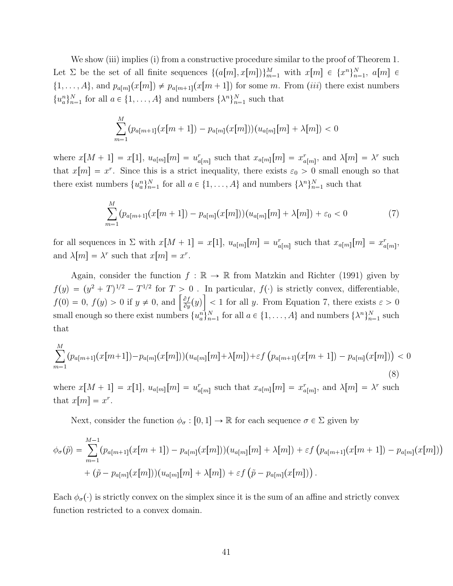We show (iii) implies (i) from a constructive procedure similar to the proof of Theorem 1. Let  $\Sigma$  be the set of all finite sequences  $\{(a[m], x[m])\}_{m=1}^M$  with  $x[m] \in \{x^n\}_{n=1}^N$ ,  $a[m] \in$  $\{1, \ldots, A\}$ , and  $p_{a[m]}(x[m]) \neq p_{a[m+1]}(x[m+1])$  for some m. From *(iii)* there exist numbers  ${u<sub>n</sub><sup>n</sup>}<sub>n=1</sub><sup>N</sup>$  for all  $a \in \{1, ..., A\}$  and numbers  ${\lambda<sup>n</sup>}<sub>n=1</sub><sup>N</sup>$  such that

$$
\sum_{m=1}^{M} (p_{a[m+1]}(x[m+1]) - p_{a[m]}(x[m])) (u_{a[m]}[m] + \lambda[m]) < 0
$$

where  $x[M + 1] = x[1], u_{a[m]}[m] = u_{a[m]}^r$  such that  $x_{a[m]}[m] = x_{a[m]}^r$ , and  $\lambda[m] = \lambda^r$  such that  $x[m] = x^r$ . Since this is a strict inequality, there exists  $\varepsilon_0 > 0$  small enough so that there exist numbers  $\{u_n^n\}_{n=1}^N$  for all  $a \in \{1, ..., A\}$  and numbers  $\{\lambda^n\}_{n=1}^N$  such that

$$
\sum_{m=1}^{M} (p_{a[m+1]}(x[m+1]) - p_{a[m]}(x[m])) (u_{a[m]}[m] + \lambda[m]) + \varepsilon_0 < 0 \tag{7}
$$

for all sequences in  $\Sigma$  with  $x[M + 1] = x[1], u_{a[m]}[m] = u_{a[m]}^r$  such that  $x_{a[m]}[m] = x_{a[m]}^r$ , and  $\lambda[m] = \lambda^r$  such that  $x[m] = x^r$ .

Again, consider the function  $f : \mathbb{R} \to \mathbb{R}$  from Matzkin and Richter (1991) given by  $f(y) = (y^2 + T)^{1/2} - T^{1/2}$  for  $T > 0$ . In particular,  $f(\cdot)$  is strictly convex, differentiable,  $f(0) = 0, f(y) > 0$  if  $y \neq 0$ , and  $\left[\frac{\partial f}{\partial y}\right]$  $\left[\frac{\partial f}{\partial y}(y)\right]$  < 1 for all y. From Equation 7, there exists  $\varepsilon > 0$ small enough so there exist numbers  $\{u_n^n\}_{n=1}^N$  for all  $a \in \{1, ..., A\}$  and numbers  $\{\lambda^n\}_{n=1}^N$  such that

$$
\sum_{m=1}^{M} (p_{a[m+1]}(x[m+1]) - p_{a[m]}(x[m])) (u_{a[m]}[m] + \lambda[m]) + \varepsilon f \left( p_{a[m+1]}(x[m+1]) - p_{a[m]}(x[m]) \right) < 0
$$
\n(8)

where  $x[M + 1] = x[1], u_{a[m]}[m] = u_{a[m]}^r$  such that  $x_{a[m]}[m] = x_{a[m]}^r$ , and  $\lambda[m] = \lambda^r$  such that  $x[m] = x^r$ .

Next, consider the function  $\phi_{\sigma} : [0, 1] \to \mathbb{R}$  for each sequence  $\sigma \in \Sigma$  given by

$$
\phi_{\sigma}(\tilde{p}) = \sum_{m=1}^{M-1} (p_{a[m+1]}(x[m+1]) - p_{a[m]}(x[m])) (u_{a[m]}[m] + \lambda[m]) + \varepsilon f (p_{a[m+1]}(x[m+1]) - p_{a[m]}(x[m])) + (\tilde{p} - p_{a[m]}(x[m])) (u_{a[m]}[m] + \lambda[m]) + \varepsilon f (\tilde{p} - p_{a[m]}(x[m])) .
$$

Each  $\phi_{\sigma}(\cdot)$  is strictly convex on the simplex since it is the sum of an affine and strictly convex function restricted to a convex domain.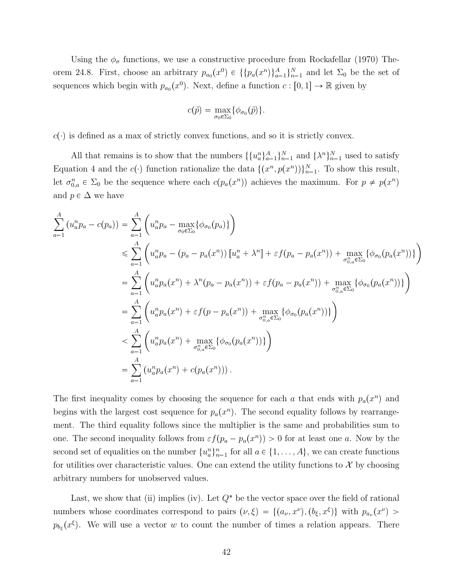Using the  $\phi_{\sigma}$  functions, we use a constructive procedure from Rockafellar (1970) Theorem 24.8. First, choose an arbitrary  $p_{a_0}(x^0) \in \{\{p_a(x^n)\}_{a=1}^A\}_{n=1}^N$  and let  $\Sigma_0$  be the set of sequences which begin with  $p_{a_0}(x^0)$ . Next, define a function  $c : [0, 1] \to \mathbb{R}$  given by

$$
c(\tilde{p}) = \max_{\sigma_0 \in \Sigma_0} \{ \phi_{\sigma_0}(\tilde{p}) \}.
$$

 $c(\cdot)$  is defined as a max of strictly convex functions, and so it is strictly convex.

All that remains is to show that the numbers  $\{\{u_n^n\}_{n=1}^N\}$  and  $\{\lambda^n\}_{n=1}^N$  used to satisfy Equation 4 and the  $c(\cdot)$  function rationalize the data  $\{(x^n, p(x^n))\}_{n=1}^N$ . To show this result, let  $\sigma_{0,a}^n \in \Sigma_0$  be the sequence where each  $c(p_a(x^n))$  achieves the maximum. For  $p \neq p(x^n)$ and  $p \in \Delta$  we have

$$
\sum_{a=1}^{A} (u_{a}^{n} p_{a} - c(p_{a})) = \sum_{a=1}^{A} \left( u_{a}^{n} p_{a} - \max_{\sigma_{0} \in \Sigma_{0}} \{ \phi_{\sigma_{0}}(p_{a}) \} \right)
$$
\n
$$
\leq \sum_{a=1}^{A} \left( u_{a}^{n} p_{a} - (p_{a} - p_{a}(x^{n})) \left[ u_{a}^{n} + \lambda^{n} \right] + \varepsilon f(p_{a} - p_{a}(x^{n})) + \max_{\sigma_{0,a}^{n} \in \Sigma_{0}} \{ \phi_{\sigma_{0}}(p_{a}(x^{n})) \} \right)
$$
\n
$$
= \sum_{a=1}^{A} \left( u_{a}^{n} p_{a}(x^{n}) + \lambda^{n} (p_{a} - p_{a}(x^{n})) + \varepsilon f(p_{a} - p_{a}(x^{n})) + \max_{\sigma_{0,a}^{n} \in \Sigma_{0}} \{ \phi_{\sigma_{0}}(p_{a}(x^{n})) \} \right)
$$
\n
$$
= \sum_{a=1}^{A} \left( u_{a}^{n} p_{a}(x^{n}) + \varepsilon f(p - p_{a}(x^{n})) + \max_{\sigma_{0,a}^{n} \in \Sigma_{0}} \{ \phi_{\sigma_{0}}(p_{a}(x^{n})) \} \right)
$$
\n
$$
< \sum_{a=1}^{A} \left( u_{a}^{n} p_{a}(x^{n}) + \max_{\sigma_{0,a}^{n} \in \Sigma_{0}} \{ \phi_{\sigma_{0}}(p_{a}(x^{n})) \} \right)
$$
\n
$$
= \sum_{a=1}^{A} \left( u_{a}^{n} p_{a}(x^{n}) + c(p_{a}(x^{n})) \right).
$$

The first inequality comes by choosing the sequence for each a that ends with  $p_a(x^n)$  and begins with the largest cost sequence for  $p_a(x^n)$ . The second equality follows by rearrangement. The third equality follows since the multiplier is the same and probabilities sum to one. The second inequality follows from  $\varepsilon f(p_a - p_a(x^n)) > 0$  for at least one a. Now by the second set of equalities on the number  $\{u_a^n\}_{n=1}^n$  for all  $a \in \{1, \ldots, A\}$ , we can create functions for utilities over characteristic values. One can extend the utility functions to  $\mathcal X$  by choosing arbitrary numbers for unobserved values.

Last, we show that (ii) implies (iv). Let  $Q^*$  be the vector space over the field of rational numbers whose coordinates correspond to pairs  $(\nu, \xi) = \{(a_{\nu}, x^{\nu}), (b_{\xi}, x^{\xi})\}\$  with  $p_{a_{\nu}}(x^{\nu})$  $p_{b_{\xi}}(x^{\xi})$ . We will use a vector w to count the number of times a relation appears. There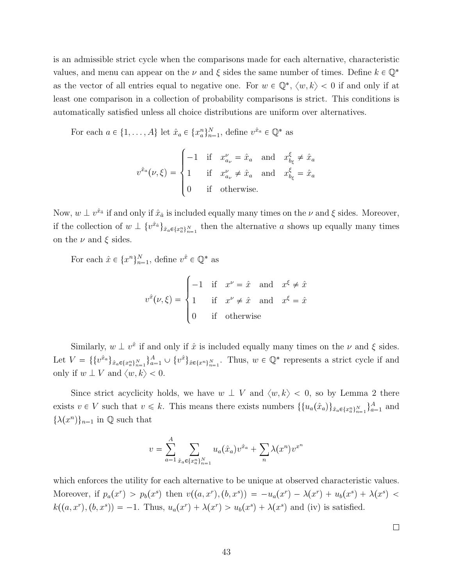is an admissible strict cycle when the comparisons made for each alternative, characteristic values, and menu can appear on the  $\nu$  and  $\xi$  sides the same number of times. Define  $k \in \mathbb{Q}^*$ as the vector of all entries equal to negative one. For  $w \in \mathbb{Q}^*, \langle w, k \rangle < 0$  if and only if at least one comparison in a collection of probability comparisons is strict. This conditions is automatically satisfied unless all choice distributions are uniform over alternatives.

For each  $a \in \{1, ..., A\}$  let  $\hat{x}_a \in \{x_a^n\}_{n=1}^N$ , define  $v^{\hat{x}_a} \in \mathbb{Q}^*$  as

$$
v^{\hat{x}_a}(\nu,\xi) = \begin{cases} -1 & \text{if } x_{a_{\nu}}^{\nu} = \hat{x}_a \text{ and } x_{b_{\xi}}^{\xi} \neq \hat{x}_a \\ 1 & \text{if } x_{a_{\nu}}^{\nu} \neq \hat{x}_a \text{ and } x_{b_{\xi}}^{\xi} = \hat{x}_a \\ 0 & \text{if otherwise.} \end{cases}
$$

Now,  $w \perp v^{\hat{x}_{\hat{a}}}$  if and only if  $\hat{x}_{\hat{a}}$  is included equally many times on the  $\nu$  and  $\xi$  sides. Moreover, if the collection of  $w \perp \{v^{x_i}\}_{x_i \in \{x_a^n\}_{n=1}^N}$  then the alternative a shows up equally many times on the  $\nu$  and  $\xi$  sides.

For each  $\hat{x} \in \{x^n\}_{n=1}^N$ , define  $v^{\hat{x}} \in \mathbb{Q}^*$  as

$$
v^{\hat{x}}(\nu,\xi) = \begin{cases} -1 & \text{if } x^{\nu} = \hat{x} \text{ and } x^{\xi} \neq \hat{x} \\ 1 & \text{if } x^{\nu} \neq \hat{x} \text{ and } x^{\xi} = \hat{x} \\ 0 & \text{if otherwise} \end{cases}
$$

Similarly,  $w \perp v^{\hat{x}}$  if and only if  $\hat{x}$  is included equally many times on the  $\nu$  and  $\xi$  sides. Let  $V = \{\{v^{x_a}\}_{\hat{x}_a \in \{x_a^n\}_{n=1}^N}\}^A_{a=1} \cup \{v^{\hat{x}}\}_{\hat{x}_a \in \{x^n\}_{n=1}^N}$ . Thus,  $w \in \mathbb{Q}^*$  represents a strict cycle if and only if  $w \perp V$  and  $\langle w, k \rangle < 0$ .

Since strict acyclicity holds, we have  $w \perp V$  and  $\langle w, k \rangle < 0$ , so by Lemma 2 there exists  $v \in V$  such that  $v \le k$ . This means there exists numbers  $\{\{u_a(\hat{x}_a)\}_{\hat{x}_a \in \{x_a^n\}_{n=1}^N}\}_{a=1}^A$  and  $\{\lambda(x^n)\}_{n=1}$  in  $\mathbb Q$  such that

$$
v = \sum_{a=1}^{A} \sum_{\hat{x}_a \in \{x_a^n\}_{n=1}^{N}} u_a(\hat{x}_a) v^{\hat{x}_a} + \sum_n \lambda(x^n) v^{x^n}
$$

which enforces the utility for each alternative to be unique at observed characteristic values. Moreover, if  $p_a(x^r) > p_b(x^s)$  then  $v((a, x^r), (b, x^s)) = -u_a(x^r) - \lambda(x^r) + u_b(x^s) + \lambda(x^s)$  $k((a, x^r), (b, x^s)) = -1$ . Thus,  $u_a(x^r) + \lambda(x^r) > u_b(x^s) + \lambda(x^s)$  and (iv) is satisfied.

 $\Box$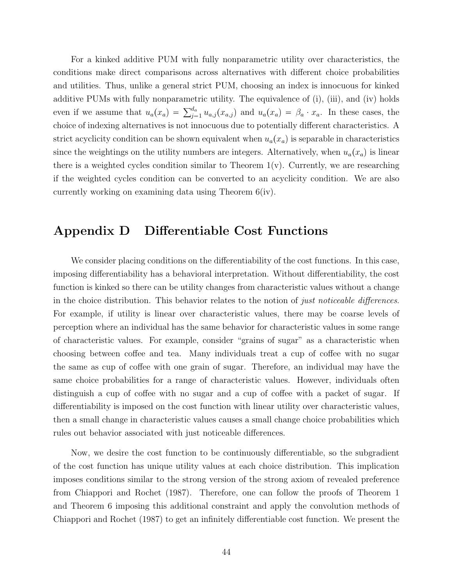For a kinked additive PUM with fully nonparametric utility over characteristics, the conditions make direct comparisons across alternatives with different choice probabilities and utilities. Thus, unlike a general strict PUM, choosing an index is innocuous for kinked additive PUMs with fully nonparametric utility. The equivalence of (i), (iii), and (iv) holds even if we assume that  $u_a(x_a) = \sum_{j=1}^{d_a} u_{a,j}(x_{a,j})$  and  $u_a(x_a) = \beta_a \cdot x_a$ . In these cases, the choice of indexing alternatives is not innocuous due to potentially different characteristics. A strict acyclicity condition can be shown equivalent when  $u_a(x_a)$  is separable in characteristics since the weightings on the utility numbers are integers. Alternatively, when  $u_a(x_a)$  is linear there is a weighted cycles condition similar to Theorem  $1(v)$ . Currently, we are researching if the weighted cycles condition can be converted to an acyclicity condition. We are also currently working on examining data using Theorem 6(iv).

## Appendix D Differentiable Cost Functions

We consider placing conditions on the differentiability of the cost functions. In this case, imposing differentiability has a behavioral interpretation. Without differentiability, the cost function is kinked so there can be utility changes from characteristic values without a change in the choice distribution. This behavior relates to the notion of just noticeable differences. For example, if utility is linear over characteristic values, there may be coarse levels of perception where an individual has the same behavior for characteristic values in some range of characteristic values. For example, consider "grains of sugar" as a characteristic when choosing between coffee and tea. Many individuals treat a cup of coffee with no sugar the same as cup of coffee with one grain of sugar. Therefore, an individual may have the same choice probabilities for a range of characteristic values. However, individuals often distinguish a cup of coffee with no sugar and a cup of coffee with a packet of sugar. If differentiability is imposed on the cost function with linear utility over characteristic values, then a small change in characteristic values causes a small change choice probabilities which rules out behavior associated with just noticeable differences.

Now, we desire the cost function to be continuously differentiable, so the subgradient of the cost function has unique utility values at each choice distribution. This implication imposes conditions similar to the strong version of the strong axiom of revealed preference from Chiappori and Rochet (1987). Therefore, one can follow the proofs of Theorem 1 and Theorem 6 imposing this additional constraint and apply the convolution methods of Chiappori and Rochet (1987) to get an infinitely differentiable cost function. We present the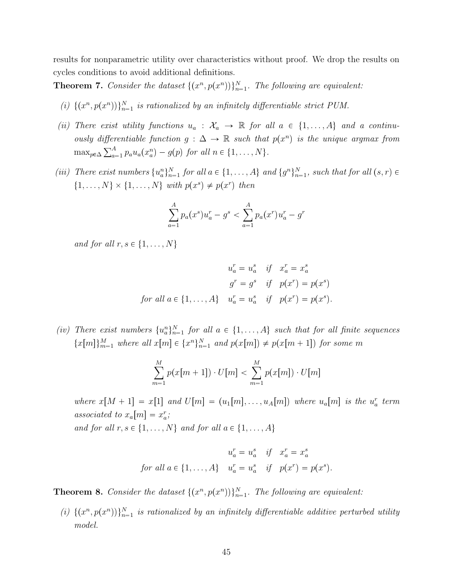results for nonparametric utility over characteristics without proof. We drop the results on cycles conditions to avoid additional definitions.

**Theorem 7.** Consider the dataset  $\{(x^n, p(x^n))\}_{n=1}^N$ . The following are equivalent:

- (i)  $\{(x^n, p(x^n))\}_{n=1}^N$  is rationalized by an infinitely differentiable strict PUM.
- (ii) There exist utility functions  $u_a : \mathcal{X}_a \to \mathbb{R}$  for all  $a \in \{1, \ldots, A\}$  and a continuously differentiable function  $g: \Delta \to \mathbb{R}$  such that  $p(x^n)$  is the unique argmax from  $\max_{p \in \Delta} \sum_{a=1}^{A} p_a u_a(x_a^n) - g(p)$  for all  $n \in \{1, \ldots, N\}.$
- (iii) There exist numbers  $\{u_n^n\}_{n=1}^N$  for all  $a \in \{1, ..., A\}$  and  $\{g^n\}_{n=1}^N$ , such that for all  $(s, r) \in$  $\{1,\ldots,N\}\times\{1,\ldots,N\}$  with  $p(x^s) \neq p(x^r)$  then

$$
\sum_{a=1}^{A} p_a(x^s)u_a^r - g^s < \sum_{a=1}^{A} p_a(x^r)u_a^r - g^r
$$

and for all  $r, s \in \{1, \ldots, N\}$ 

$$
u_a^r = u_a^s \quad \text{if} \quad x_a^r = x_a^s
$$

$$
g^r = g^s \quad \text{if} \quad p(x^r) = p(x^s)
$$
  
for all  $a \in \{1, ..., A\}$   $u_a^r = u_a^s \quad \text{if} \quad p(x^r) = p(x^s)$ .

(iv) There exist numbers  $\{u_n^n\}_{n=1}^N$  for all  $a \in \{1, \ldots, A\}$  such that for all finite sequences  ${x[m]}_{m=1}^M$  where all  $x[m] \in {x^n}_{n=1}^N$  and  $p(x[m]) \neq p(x[m+1])$  for some m

$$
\sum_{m=1}^{M} p(x[m+1]) \cdot U[m] < \sum_{m=1}^{M} p(x[m]) \cdot U[m]
$$

where  $x[M + 1] = x[1]$  and  $U[m] = (u_1[m], \ldots, u_A[m])$  where  $u_a[m]$  is the  $u_a^r$  term associated to  $x_a[m] = x_a^r;$ 

and for all  $r, s \in \{1, \ldots, N\}$  and for all  $a \in \{1, \ldots, A\}$ 

$$
u_a^r = u_a^s \quad \text{if} \quad x_a^r = x_a^s
$$
  
for all  $a \in \{1, ..., A\}$   $u_a^r = u_a^s \quad \text{if} \quad p(x^r) = p(x^s).$ 

**Theorem 8.** Consider the dataset  $\{(x^n, p(x^n))\}_{n=1}^N$ . The following are equivalent:

(i)  $\{(x^n, p(x^n))\}_{n=1}^N$  is rationalized by an infinitely differentiable additive perturbed utility model.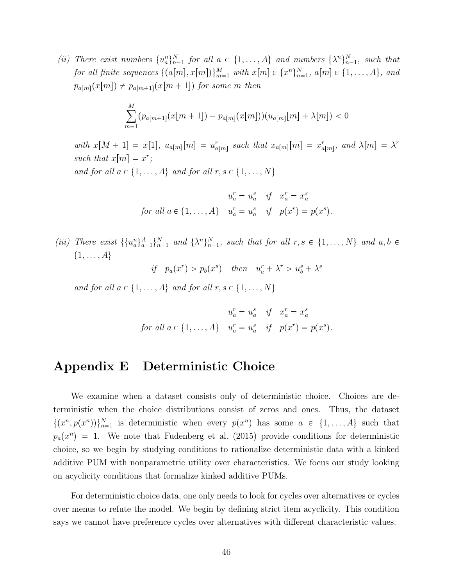(ii) There exist numbers  $\{u_n^n\}_{n=1}^N$  for all  $a \in \{1, ..., A\}$  and numbers  $\{\lambda^n\}_{n=1}^N$ , such that for all finite sequences  $\{(a[m], x[m])\}_{m=1}^M$  with  $x[m] \in \{x^n\}_{n=1}^N$ ,  $a[m] \in \{1, \ldots, A\}$ , and  $p_{a[m]}(x[m]) \neq p_{a[m+1]}(x[m+1])$  for some m then

$$
\sum_{m=1}^{M} (p_{a[m+1]}(x[m+1]) - p_{a[m]}(x[m])) (u_{a[m]}[m] + \lambda[m]) < 0
$$

with  $x[M + 1] = x[1], u_{a[m]}[m] = u_{a[m]}^r$  such that  $x_{a[m]}[m] = x_{a[m]}^r$ , and  $\lambda[m] = \lambda^r$ such that  $x[m] = x^r$ ; and for all  $a \in \{1, ..., A\}$  and for all  $r, s \in \{1, ..., N\}$ 

$$
u_a^r = u_a^s \quad \text{if} \quad x_a^r = x_a^s
$$
  
for all  $a \in \{1, ..., A\}$   $u_a^r = u_a^s \quad \text{if} \quad p(x^r) = p(x^s).$ 

(iii) There exist  $\{\{u_a^n\}_{a=1}^N\}_{n=1}^N$  and  $\{\lambda^n\}_{n=1}^N$ , such that for all  $r, s \in \{1, \ldots, N\}$  and  $a, b \in$  $\{1, \ldots, A\}$ 

if  $p_a(x^r) > p_b(x^s)$  then  $u_a^r + \lambda^r > u_b^s + \lambda^s$ 

and for all  $a \in \{1, ..., A\}$  and for all  $r, s \in \{1, ..., N\}$ 

$$
u_a^r = u_a^s \quad \text{if} \quad x_a^r = x_a^s
$$
  
for all  $a \in \{1, ..., A\}$   $u_a^r = u_a^s \quad \text{if} \quad p(x^r) = p(x^s).$ 

## Appendix E Deterministic Choice

We examine when a dataset consists only of deterministic choice. Choices are deterministic when the choice distributions consist of zeros and ones. Thus, the dataset  $\{(x^n, p(x^n))\}_{n=1}^N$  is deterministic when every  $p(x^n)$  has some  $a \in \{1, ..., A\}$  such that  $p_a(x^n) = 1$ . We note that Fudenberg et al. (2015) provide conditions for deterministic choice, so we begin by studying conditions to rationalize deterministic data with a kinked additive PUM with nonparametric utility over characteristics. We focus our study looking on acyclicity conditions that formalize kinked additive PUMs.

For deterministic choice data, one only needs to look for cycles over alternatives or cycles over menus to refute the model. We begin by defining strict item acyclicity. This condition says we cannot have preference cycles over alternatives with different characteristic values.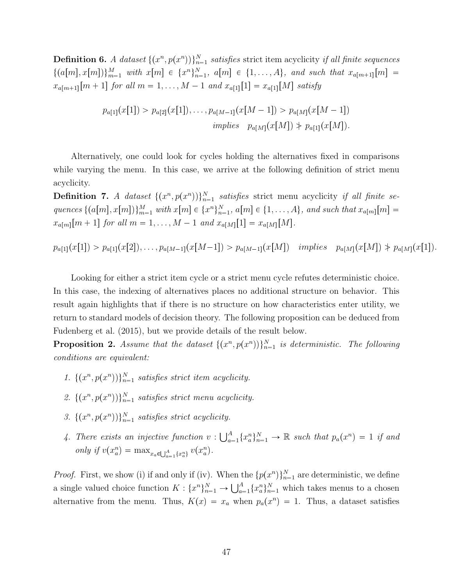**Definition 6.** A dataset  $\{(x^n, p(x^n))\}_{n=1}^N$  satisfies strict item acyclicity if all finite sequences  $\{(a[m], x[m])\}_{m=1}^M$  with  $x[m] \in \{x^n\}_{n=1}^N$ ,  $a[m] \in \{1, ..., A\}$ , and such that  $x_{a[m+1]}[m] =$  $x_{a[m+1]}[m+1]$  for all  $m = 1, ..., M - 1$  and  $x_{a[1]}[1] = x_{a[1]}[M]$  satisfy

$$
p_{a[1]}(x[1]) > p_{a[2]}(x[1]), \dots, p_{a[M-1]}(x[M-1]) > p_{a[M]}(x[M-1])
$$
  
implies 
$$
p_{a[M]}(x[M]) \nless p_{a[1]}(x[M]).
$$

Alternatively, one could look for cycles holding the alternatives fixed in comparisons while varying the menu. In this case, we arrive at the following definition of strict menu acyclicity.

**Definition 7.** A dataset  $\{(x^n, p(x^n))\}_{n=1}^N$  satisfies strict menu acyclicity if all finite sequences  $\{(a[m], x[m])\}_{m=1}^M$  with  $x[m] \in \{x^n\}_{n=1}^N$ ,  $a[m] \in \{1, \ldots, A\}$ , and such that  $x_{a[m]}[m] =$  $x_{a[m]}[m+1]$  for all  $m = 1, ..., M - 1$  and  $x_{a[M]}[1] = x_{a[M]}[M].$ 

 $p_{a[1]}(x[1]) > p_{a[1]}(x[2]), \ldots, p_{a[M-1]}(x[M-1]) > p_{a[M-1]}(x[M]) \text{ implies } p_{a[M]}(x[M]) \nless p_{a[M]}(x[1]).$ 

Looking for either a strict item cycle or a strict menu cycle refutes deterministic choice. In this case, the indexing of alternatives places no additional structure on behavior. This result again highlights that if there is no structure on how characteristics enter utility, we return to standard models of decision theory. The following proposition can be deduced from Fudenberg et al. (2015), but we provide details of the result below.

**Proposition 2.** Assume that the dataset  $\{(x^n, p(x^n))\}_{n=1}^N$  is deterministic. The following conditions are equivalent:

- 1.  $\{(x^n, p(x^n))\}_{n=1}^N$  satisfies strict item acyclicity.
- 2.  $\{(x^n, p(x^n))\}_{n=1}^N$  satisfies strict menu acyclicity.
- 3.  $\{(x^n, p(x^n))\}_{n=1}^N$  satisfies strict acyclicity.
- 4. There exists an injective function  $v : \bigcup_{a=1}^A \{x_a^n\}_{n=1}^N \to \mathbb{R}$  such that  $p_a(x^n) = 1$  if and only if  $v(x_a^n) = \max_{x_a \in \bigcup_{a=1}^A \{x_a^n\}} v(x_a^n)$ .

*Proof.* First, we show (i) if and only if (iv). When the  $\{p(x^n)\}_{n=1}^N$  are deterministic, we define a single valued choice function  $K: \{x^n\}_{n=1}^N \to \bigcup_{a=1}^A \{x^n_a\}_{n=1}^N$  which takes menus to a chosen alternative from the menu. Thus,  $K(x) = x_a$  when  $p_a(x^n) = 1$ . Thus, a dataset satisfies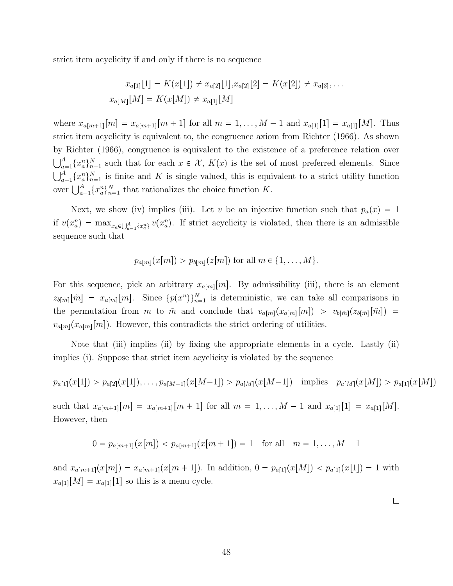strict item acyclicity if and only if there is no sequence

$$
x_{a[1]}[1] = K(x[1]) \neq x_{a[2]}[1], x_{a[2]}[2] = K(x[2]) \neq x_{a[3]}, \dots
$$
  

$$
x_{a[M]}[M] = K(x[M]) \neq x_{a[1]}[M]
$$

where  $x_{a[m+1]}[m] = x_{a[m+1]}[m+1]$  for all  $m = 1, ..., M-1$  and  $x_{a[1]}[1] = x_{a[1]}[M]$ . Thus strict item acyclicity is equivalent to, the congruence axiom from Richter (1966). As shown by Richter (1966), congruence is equivalent to the existence of a preference relation over  $\bigcup_{a=1}^A \{x_a^n\}_{n=1}^N$  such that for each  $x \in \mathcal{X}, K(x)$  is the set of most preferred elements. Since  $\bigcup_{a=1}^A \{x_a^n\}_{n=1}^N$  is finite and K is single valued, this is equivalent to a strict utility function over  $\bigcup_{a=1}^A \{x_a^n\}_{n=1}^N$  that rationalizes the choice function K.

Next, we show (iv) implies (iii). Let v be an injective function such that  $p_a(x) = 1$ if  $v(x_a^n) = \max_{x_a \in \bigcup_{a=1}^A \{x_a^n\}} v(x_a^n)$ . If strict acyclicity is violated, then there is an admissible sequence such that

 $p_{a[m]}(x[m]) > p_{b[m]}(z[m])$  for all  $m \in \{1, ..., M\}.$ 

For this sequence, pick an arbitrary  $x_{a[m]}[m]$ . By admissibility (iii), there is an element  $z_{b[\tilde{m}]}[\tilde{m}] = x_{a[m]}[m]$ . Since  $\{p(x^n)\}_{n=1}^N$  is deterministic, we can take all comparisons in the permutation from m to  $\tilde{m}$  and conclude that  $v_{a[m]}(x_{a[m]}[m]) > v_{b[\tilde{m}]}(z_{b[\tilde{m}]}[\tilde{m}])$  $v_{a[m]}(x_{a[m]}[m])$ . However, this contradicts the strict ordering of utilities.

Note that (iii) implies (ii) by fixing the appropriate elements in a cycle. Lastly (ii) implies (i). Suppose that strict item acyclicity is violated by the sequence

$$
p_{a[1]}(x[1]) > p_{a[2]}(x[1]), \dots, p_{a[M-1]}(x[M-1]) > p_{a[M]}(x[M-1]) \text{ implies } p_{a[M]}(x[M]) > p_{a[1]}(x[M])
$$

such that  $x_{a[m+1]}[m] = x_{a[m+1]}[m+1]$  for all  $m = 1, ..., M-1$  and  $x_{a[1]}[1] = x_{a[1]}[M]$ . However, then

$$
0 = p_{a[m+1]}(x[m]) < p_{a[m+1]}(x[m+1]) = 1 \quad \text{for all} \quad m = 1, \dots, M-1
$$

and  $x_{a[m+1]}(x[m]) = x_{a[m+1]}(x[m+1])$ . In addition,  $0 = p_{a[1]}(x[M]) < p_{a[1]}(x[1]) = 1$  with  $x_{a[1]}[M] = x_{a[1]}[1]$  so this is a menu cycle.

 $\Box$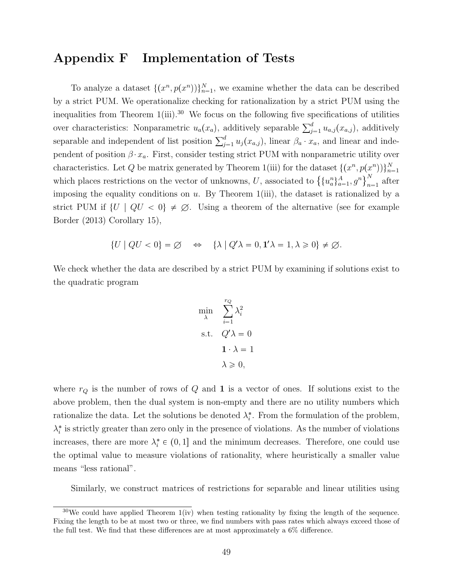# Appendix F Implementation of Tests

To analyze a dataset  $\{(x^n, p(x^n))\}_{n=1}^N$ , we examine whether the data can be described by a strict PUM. We operationalize checking for rationalization by a strict PUM using the inequalities from Theorem  $1(iii)$ .<sup>30</sup> We focus on the following five specifications of utilities over characteristics: Nonparametric  $u_a(x_a)$ , additively separable  $\sum_{j=1}^d u_{a,j}(x_{a,j})$ , additively separable and independent of list position  $\sum_{j=1}^{d} u_j(x_{a,j})$ , linear  $\beta_a \cdot x_a$ , and linear and independent of position  $\beta \cdot x_a$ . First, consider testing strict PUM with nonparametric utility over characteristics. Let Q be matrix generated by Theorem 1(iii) for the dataset  $\{(x^n, p(x^n))\}_{n=1}^N$ which places restrictions on the vector of unknowns, U, associated to  $\left\{\{u_a^n\}_{a=1}^A, g^n\right\}_{n=1}^N$  after imposing the equality conditions on  $u$ . By Theorem 1(iii), the dataset is rationalized by a strict PUM if  $\{U \mid QU < 0\} \neq \emptyset$ . Using a theorem of the alternative (see for example Border (2013) Corollary 15),

$$
\{U \mid QU < 0\} = \varnothing \quad \Leftrightarrow \quad \{\lambda \mid Q'\lambda = 0, \mathbf{1}'\lambda = 1, \lambda \ge 0\} \ne \varnothing.
$$

We check whether the data are described by a strict PUM by examining if solutions exist to the quadratic program

$$
\min_{\lambda} \sum_{i=1}^{r_Q} \lambda_i^2
$$
  
s.t.  $Q' \lambda = 0$   
 $1 \cdot \lambda = 1$   
 $\lambda \ge 0$ ,

where  $r_Q$  is the number of rows of Q and 1 is a vector of ones. If solutions exist to the above problem, then the dual system is non-empty and there are no utility numbers which rationalize the data. Let the solutions be denoted  $\lambda_i^*$ . From the formulation of the problem,  $\lambda_i^*$  is strictly greater than zero only in the presence of violations. As the number of violations increases, there are more  $\lambda_i^* \in (0,1]$  and the minimum decreases. Therefore, one could use the optimal value to measure violations of rationality, where heuristically a smaller value means "less rational".

Similarly, we construct matrices of restrictions for separable and linear utilities using

 $30\,\text{We could have applied Theorem 1(iv) when testing rationality by fixing the length of the sequence.}$ Fixing the length to be at most two or three, we find numbers with pass rates which always exceed those of the full test. We find that these differences are at most approximately a 6% difference.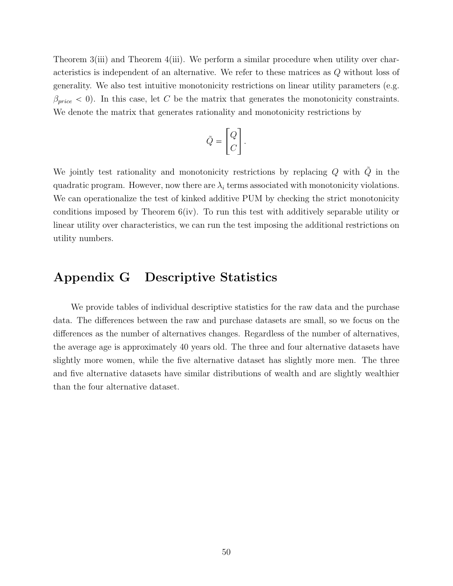Theorem 3(iii) and Theorem 4(iii). We perform a similar procedure when utility over characteristics is independent of an alternative. We refer to these matrices as Q without loss of generality. We also test intuitive monotonicity restrictions on linear utility parameters (e.g.  $\beta_{price}$  < 0). In this case, let C be the matrix that generates the monotonicity constraints. We denote the matrix that generates rationality and monotonicity restrictions by

$$
\tilde{Q} = \begin{bmatrix} Q \\ C \end{bmatrix}.
$$

We jointly test rationality and monotonicity restrictions by replacing  $Q$  with  $\tilde{Q}$  in the quadratic program. However, now there are  $\lambda_i$  terms associated with monotonicity violations. We can operationalize the test of kinked additive PUM by checking the strict monotonicity conditions imposed by Theorem 6(iv). To run this test with additively separable utility or linear utility over characteristics, we can run the test imposing the additional restrictions on utility numbers.

### Appendix G Descriptive Statistics

We provide tables of individual descriptive statistics for the raw data and the purchase data. The differences between the raw and purchase datasets are small, so we focus on the differences as the number of alternatives changes. Regardless of the number of alternatives, the average age is approximately 40 years old. The three and four alternative datasets have slightly more women, while the five alternative dataset has slightly more men. The three and five alternative datasets have similar distributions of wealth and are slightly wealthier than the four alternative dataset.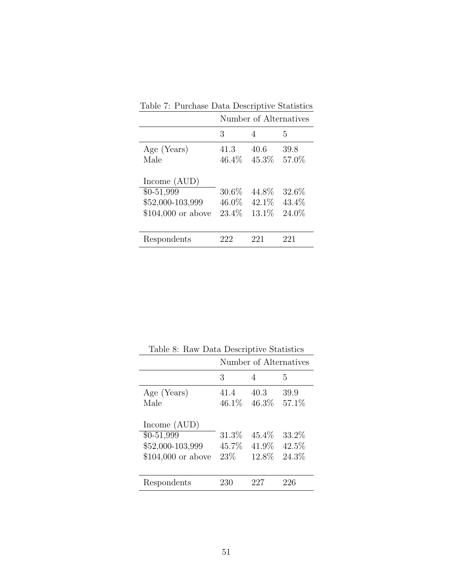|                     | Number of Alternatives |       |        |  |  |
|---------------------|------------------------|-------|--------|--|--|
|                     | 3                      | 4     | 5      |  |  |
| Age (Years)         | 41.3                   | 40.6  | 39.8   |  |  |
| Male                | $46.4\%$               | 45.3% | 57.0%  |  |  |
| Income $(AUD)$      |                        |       |        |  |  |
| $$0-51,999$         | $30.6\%$               | 44.8% | 32.6%  |  |  |
| \$52,000-103,999    | 46.0%                  | 42.1% | 43.4\% |  |  |
| $$104,000$ or above | 23.4\%                 | 13.1% | 24.0%  |  |  |
| Respondents         |                        | 22.1  | 221    |  |  |

Table 7: Purchase Data Descriptive Statistics

|                                                                          |                           | Number of Alternatives   |                             |  |  |  |
|--------------------------------------------------------------------------|---------------------------|--------------------------|-----------------------------|--|--|--|
|                                                                          | 3                         |                          | 5                           |  |  |  |
| Age (Years)                                                              | 41.4                      | 40.3                     | 39.9                        |  |  |  |
| Male                                                                     | $46.1\%$                  | 46.3%                    | 57.1\%                      |  |  |  |
| Income $(AUD)$<br>$$0-51,999$<br>\$52,000-103,999<br>$$104,000$ or above | $31.3\%$<br>45.7%<br>23\% | 45.4\%<br>41.9%<br>12.8% | 33.2\%<br>$42.5\%$<br>24.3% |  |  |  |
| Respondents                                                              | 230                       |                          | 226                         |  |  |  |

Table 8: Raw Data Descriptive Statistics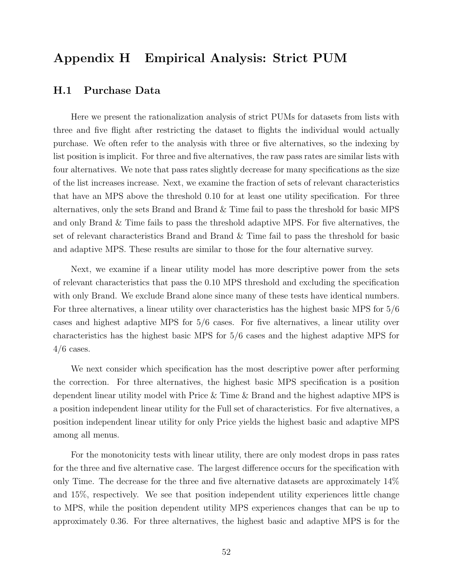# Appendix H Empirical Analysis: Strict PUM

### H.1 Purchase Data

Here we present the rationalization analysis of strict PUMs for datasets from lists with three and five flight after restricting the dataset to flights the individual would actually purchase. We often refer to the analysis with three or five alternatives, so the indexing by list position is implicit. For three and five alternatives, the raw pass rates are similar lists with four alternatives. We note that pass rates slightly decrease for many specifications as the size of the list increases increase. Next, we examine the fraction of sets of relevant characteristics that have an MPS above the threshold 0.10 for at least one utility specification. For three alternatives, only the sets Brand and Brand & Time fail to pass the threshold for basic MPS and only Brand & Time fails to pass the threshold adaptive MPS. For five alternatives, the set of relevant characteristics Brand and Brand & Time fail to pass the threshold for basic and adaptive MPS. These results are similar to those for the four alternative survey.

Next, we examine if a linear utility model has more descriptive power from the sets of relevant characteristics that pass the 0.10 MPS threshold and excluding the specification with only Brand. We exclude Brand alone since many of these tests have identical numbers. For three alternatives, a linear utility over characteristics has the highest basic MPS for 5/6 cases and highest adaptive MPS for 5/6 cases. For five alternatives, a linear utility over characteristics has the highest basic MPS for 5/6 cases and the highest adaptive MPS for  $4/6$  cases.

We next consider which specification has the most descriptive power after performing the correction. For three alternatives, the highest basic MPS specification is a position dependent linear utility model with Price & Time & Brand and the highest adaptive MPS is a position independent linear utility for the Full set of characteristics. For five alternatives, a position independent linear utility for only Price yields the highest basic and adaptive MPS among all menus.

For the monotonicity tests with linear utility, there are only modest drops in pass rates for the three and five alternative case. The largest difference occurs for the specification with only Time. The decrease for the three and five alternative datasets are approximately 14% and 15%, respectively. We see that position independent utility experiences little change to MPS, while the position dependent utility MPS experiences changes that can be up to approximately 0.36. For three alternatives, the highest basic and adaptive MPS is for the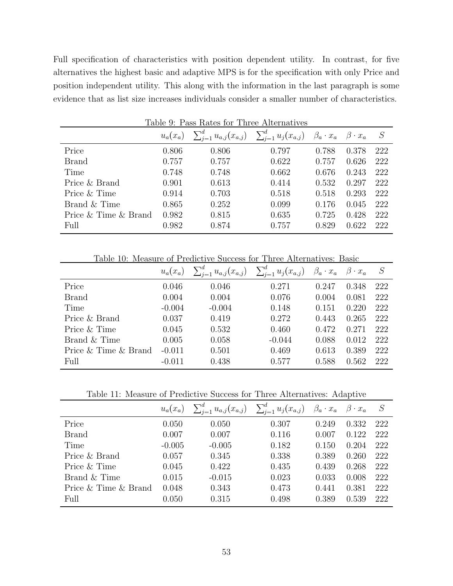Full specification of characteristics with position dependent utility. In contrast, for five alternatives the highest basic and adaptive MPS is for the specification with only Price and position independent utility. This along with the information in the last paragraph is some evidence that as list size increases individuals consider a smaller number of characteristics.

| Table 9: Pass Rates for Three Alternatives |       |                                                                                                          |       |       |       |     |  |
|--------------------------------------------|-------|----------------------------------------------------------------------------------------------------------|-------|-------|-------|-----|--|
|                                            |       | $u_a(x_a)$ $\sum_{j=1}^d u_{a,j}(x_{a,j})$ $\sum_{j=1}^d u_j(x_{a,j})$ $\beta_a$ $x_a$ $\beta \cdot x_a$ |       |       |       | S   |  |
| Price                                      | 0.806 | 0.806                                                                                                    | 0.797 | 0.788 | 0.378 | 222 |  |
| <b>Brand</b>                               | 0.757 | 0.757                                                                                                    | 0.622 | 0.757 | 0.626 | 222 |  |
| Time                                       | 0.748 | 0.748                                                                                                    | 0.662 | 0.676 | 0.243 | 222 |  |
| Price & Brand                              | 0.901 | 0.613                                                                                                    | 0.414 | 0.532 | 0.297 | 222 |  |
| Price & Time                               | 0.914 | 0.703                                                                                                    | 0.518 | 0.518 | 0.293 | 222 |  |
| Brand & Time                               | 0.865 | 0.252                                                                                                    | 0.099 | 0.176 | 0.045 | 222 |  |
| Price & Time & Brand                       | 0.982 | 0.815                                                                                                    | 0.635 | 0.725 | 0.428 | 222 |  |
| Full                                       | 0.982 | 0.874                                                                                                    | 0.757 | 0.829 | 0.622 | 222 |  |

Table 10: Measure of Predictive Success for Three Alternatives: Basic

|                      | $u_a(x_a)$ | $\sum_{j=1}^{d} u_{a,j}(x_{a,j})$ $\sum_{j=1}^{d} u_j(x_{a,j})$ $\beta_a \cdot x_a$ |          |       | $\beta \cdot x_a$ |     |
|----------------------|------------|-------------------------------------------------------------------------------------|----------|-------|-------------------|-----|
| Price                | 0.046      | 0.046                                                                               | 0.271    | 0.247 | 0.348             | 222 |
| <b>Brand</b>         | 0.004      | 0.004                                                                               | 0.076    | 0.004 | 0.081             | 222 |
| Time                 | $-0.004$   | $-0.004$                                                                            | 0.148    | 0.151 | 0.220             | 222 |
| Price & Brand        | 0.037      | 0.419                                                                               | 0.272    | 0.443 | 0.265             | 222 |
| Price & Time         | 0.045      | 0.532                                                                               | 0.460    | 0.472 | 0.271             | 222 |
| Brand & Time         | 0.005      | 0.058                                                                               | $-0.044$ | 0.088 | 0.012             | 222 |
| Price & Time & Brand | $-0.011$   | 0.501                                                                               | 0.469    | 0.613 | 0.389             | 222 |
| Full                 | $-0.011$   | 0.438                                                                               | 0.577    | 0.588 | 0.562             | 222 |

Table 11: Measure of Predictive Success for Three Alternatives: Adaptive

|                      |          | $u_a(x_a)$ $\sum_{j=1}^d u_{a,j}(x_{a,j})$ $\sum_{j=1}^d u_j(x_{a,j})$ $\beta_a \cdot x_a$ |       |       | $\beta \cdot x_a$ |     |
|----------------------|----------|--------------------------------------------------------------------------------------------|-------|-------|-------------------|-----|
| Price                | 0.050    | 0.050                                                                                      | 0.307 | 0.249 | 0.332             | 222 |
| <b>Brand</b>         | 0.007    | 0.007                                                                                      | 0.116 | 0.007 | 0.122             | 222 |
| Time                 | $-0.005$ | $-0.005$                                                                                   | 0.182 | 0.150 | 0.204             | 222 |
| Price & Brand        | 0.057    | 0.345                                                                                      | 0.338 | 0.389 | 0.260             | 222 |
| Price & Time         | 0.045    | 0.422                                                                                      | 0.435 | 0.439 | 0.268             | 222 |
| Brand & Time         | 0.015    | $-0.015$                                                                                   | 0.023 | 0.033 | 0.008             | 222 |
| Price & Time & Brand | 0.048    | 0.343                                                                                      | 0.473 | 0.441 | 0.381             | 222 |
| Full                 | 0.050    | 0.315                                                                                      | 0.498 | 0.389 | 0.539             | 222 |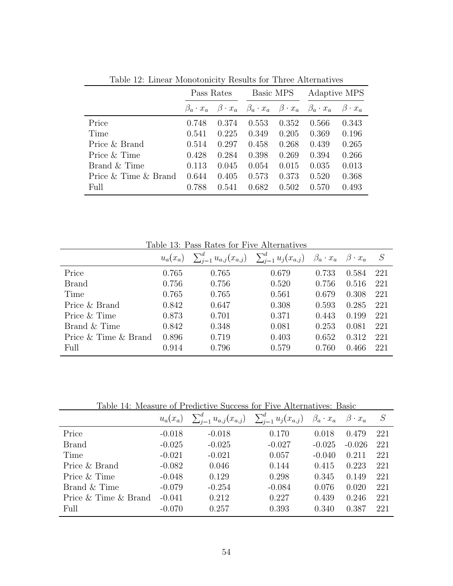| Table 12. Emical monotonicity results for Three modification | Pass Rates |       | Basic MPS                                                                   |       | Adaptive MPS |                   |
|--------------------------------------------------------------|------------|-------|-----------------------------------------------------------------------------|-------|--------------|-------------------|
|                                                              |            |       | $\beta_a$ $x_a$ $\beta$ $x_a$ $\beta_a$ $x_a$ $\beta$ $x_a$ $\beta_a$ $x_a$ |       |              | $\beta \cdot x_a$ |
| Price                                                        | 0.748      | 0.374 | 0.553                                                                       | 0.352 | 0.566        | 0.343             |
| Time                                                         | 0.541      | 0.225 | 0.349                                                                       | 0.205 | 0.369        | 0.196             |
| Price & Brand                                                | 0.514      | 0.297 | 0.458                                                                       | 0.268 | 0.439        | 0.265             |
| Price & Time                                                 | 0.428      | 0.284 | 0.398                                                                       | 0.269 | 0.394        | 0.266             |
| Brand & Time                                                 | 0.113      | 0.045 | 0.054                                                                       | 0.015 | 0.035        | 0.013             |
| Price & Time & Brand                                         | 0.644      | 0.405 | 0.573                                                                       | 0.373 | 0.520        | 0.368             |
| Full                                                         | 0.788      | 0.541 | 0.682                                                                       | 0.502 | 0.570        | 0.493             |

Table 12: Linear Monotonicity Results for Three Alternatives

Table 13: Pass Rates for Five Alternatives

|                      |       | $u_a(x_a)$ $\sum_{j=1}^d u_{a,j}(x_{a,j})$ $\sum_{j=1}^d u_j(x_{a,j})$ $\beta_a \cdot x_a$ |       |       | $\beta \cdot x_a$ |     |
|----------------------|-------|--------------------------------------------------------------------------------------------|-------|-------|-------------------|-----|
| Price                | 0.765 | 0.765                                                                                      | 0.679 | 0.733 | 0.584             | 221 |
| <b>Brand</b>         | 0.756 | 0.756                                                                                      | 0.520 | 0.756 | 0.516             | 221 |
| Time                 | 0.765 | 0.765                                                                                      | 0.561 | 0.679 | 0.308             | 221 |
| Price & Brand        | 0.842 | 0.647                                                                                      | 0.308 | 0.593 | 0.285             | 221 |
| Price & Time         | 0.873 | 0.701                                                                                      | 0.371 | 0.443 | 0.199             | 221 |
| Brand & Time         | 0.842 | 0.348                                                                                      | 0.081 | 0.253 | 0.081             | 221 |
| Price & Time & Brand | 0.896 | 0.719                                                                                      | 0.403 | 0.652 | 0.312             | 221 |
| Full                 | 0.914 | 0.796                                                                                      | 0.579 | 0.760 | 0.466             | 221 |

Table 14: Measure of Predictive Success for Five Alternatives: Basic

|                      |            | Table 14: Measure of Predictive Success for Five Alternatives: Basic                |          |          |                   |     |
|----------------------|------------|-------------------------------------------------------------------------------------|----------|----------|-------------------|-----|
|                      | $u_a(x_a)$ | $\sum_{j=1}^{d} u_{a,j}(x_{a,j})$ $\sum_{j=1}^{d} u_j(x_{a,j})$ $\beta_a \cdot x_a$ |          |          | $\beta \cdot x_a$ | S   |
| Price                | $-0.018$   | $-0.018$                                                                            | 0.170    | 0.018    | 0.479             | 221 |
| <b>Brand</b>         | $-0.025$   | $-0.025$                                                                            | $-0.027$ | $-0.025$ | $-0.026$          | 221 |
| Time                 | $-0.021$   | $-0.021$                                                                            | 0.057    | $-0.040$ | 0.211             | 221 |
| Price & Brand        | $-0.082$   | 0.046                                                                               | 0.144    | 0.415    | 0.223             | 221 |
| Price & Time         | $-0.048$   | 0.129                                                                               | 0.298    | 0.345    | 0.149             | 221 |
| Brand & Time         | $-0.079$   | $-0.254$                                                                            | $-0.084$ | 0.076    | 0.020             | 221 |
| Price & Time & Brand | $-0.041$   | 0.212                                                                               | 0.227    | 0.439    | 0.246             | 221 |
| Full                 | $-0.070$   | 0.257                                                                               | 0.393    | 0.340    | 0.387             | 221 |
|                      |            |                                                                                     |          |          |                   |     |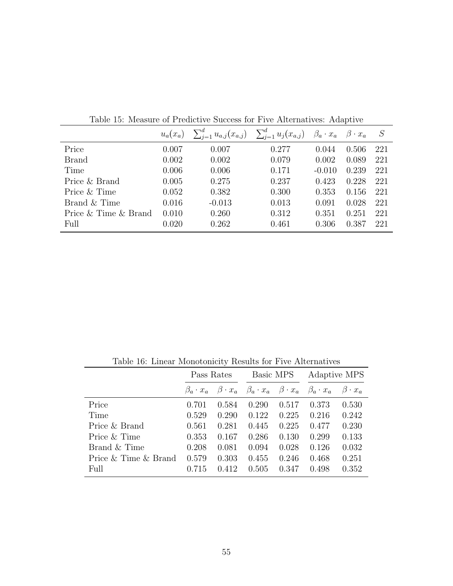|                      |       | $u_a(x_a)$ $\sum_{j=1}^d u_{a,j}(x_{a,j})$ $\sum_{j=1}^d u_j(x_{a,j})$ $\beta_a \cdot x_a$ |       |          | $\beta \cdot x_a$ |     |
|----------------------|-------|--------------------------------------------------------------------------------------------|-------|----------|-------------------|-----|
| Price                | 0.007 | 0.007                                                                                      | 0.277 | 0.044    | 0.506             | 221 |
| Brand                | 0.002 | 0.002                                                                                      | 0.079 | 0.002    | 0.089             | 221 |
| Time                 | 0.006 | 0.006                                                                                      | 0.171 | $-0.010$ | 0.239             | 221 |
| Price & Brand        | 0.005 | 0.275                                                                                      | 0.237 | 0.423    | 0.228             | 221 |
| Price & Time         | 0.052 | 0.382                                                                                      | 0.300 | 0.353    | 0.156             | 221 |
| Brand & Time         | 0.016 | $-0.013$                                                                                   | 0.013 | 0.091    | 0.028             | 221 |
| Price & Time & Brand | 0.010 | 0.260                                                                                      | 0.312 | 0.351    | 0.251             | 221 |
| Full                 | 0.020 | 0.262                                                                                      | 0.461 | 0.306    | 0.387             | 221 |

Table 15: Measure of Predictive Success for Five Alternatives: Adaptive

Table 16: Linear Monotonicity Results for Five Alternatives

|                      | Pass Rates    |       | Basic MPS                                   |       | Adaptive MPS  |                   |  |
|----------------------|---------------|-------|---------------------------------------------|-------|---------------|-------------------|--|
|                      | $\beta_a x_a$ |       | $\beta$ $x_a$ $\beta_a$ $x_a$ $\beta$ $x_a$ |       | $\beta_a x_a$ | $\beta \cdot x_a$ |  |
| Price                | 0.701         | 0.584 | 0.290                                       | 0.517 | 0.373         | 0.530             |  |
| Time                 | 0.529         | 0.290 | 0.122                                       | 0.225 | 0.216         | 0.242             |  |
| Price & Brand        | 0.561         | 0.281 | 0.445                                       | 0.225 | 0.477         | 0.230             |  |
| Price & Time         | 0.353         | 0.167 | 0.286                                       | 0.130 | 0.299         | 0.133             |  |
| Brand & Time         | 0.208         | 0.081 | 0.094                                       | 0.028 | 0.126         | 0.032             |  |
| Price & Time & Brand | 0.579         | 0.303 | 0.455                                       | 0.246 | 0.468         | 0.251             |  |
| Full                 | 0.715         | 0.412 | 0.505                                       | 0.347 | 0.498         | 0.352             |  |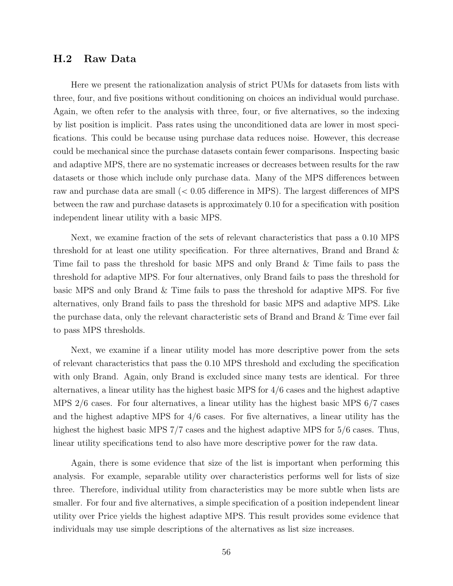#### H.2 Raw Data

Here we present the rationalization analysis of strict PUMs for datasets from lists with three, four, and five positions without conditioning on choices an individual would purchase. Again, we often refer to the analysis with three, four, or five alternatives, so the indexing by list position is implicit. Pass rates using the unconditioned data are lower in most specifications. This could be because using purchase data reduces noise. However, this decrease could be mechanical since the purchase datasets contain fewer comparisons. Inspecting basic and adaptive MPS, there are no systematic increases or decreases between results for the raw datasets or those which include only purchase data. Many of the MPS differences between raw and purchase data are small  $(< 0.05$  difference in MPS). The largest differences of MPS between the raw and purchase datasets is approximately 0.10 for a specification with position independent linear utility with a basic MPS.

Next, we examine fraction of the sets of relevant characteristics that pass a 0.10 MPS threshold for at least one utility specification. For three alternatives, Brand and Brand & Time fail to pass the threshold for basic MPS and only Brand & Time fails to pass the threshold for adaptive MPS. For four alternatives, only Brand fails to pass the threshold for basic MPS and only Brand & Time fails to pass the threshold for adaptive MPS. For five alternatives, only Brand fails to pass the threshold for basic MPS and adaptive MPS. Like the purchase data, only the relevant characteristic sets of Brand and Brand & Time ever fail to pass MPS thresholds.

Next, we examine if a linear utility model has more descriptive power from the sets of relevant characteristics that pass the 0.10 MPS threshold and excluding the specification with only Brand. Again, only Brand is excluded since many tests are identical. For three alternatives, a linear utility has the highest basic MPS for 4/6 cases and the highest adaptive MPS 2/6 cases. For four alternatives, a linear utility has the highest basic MPS 6/7 cases and the highest adaptive MPS for 4/6 cases. For five alternatives, a linear utility has the highest the highest basic MPS 7/7 cases and the highest adaptive MPS for 5/6 cases. Thus, linear utility specifications tend to also have more descriptive power for the raw data.

Again, there is some evidence that size of the list is important when performing this analysis. For example, separable utility over characteristics performs well for lists of size three. Therefore, individual utility from characteristics may be more subtle when lists are smaller. For four and five alternatives, a simple specification of a position independent linear utility over Price yields the highest adaptive MPS. This result provides some evidence that individuals may use simple descriptions of the alternatives as list size increases.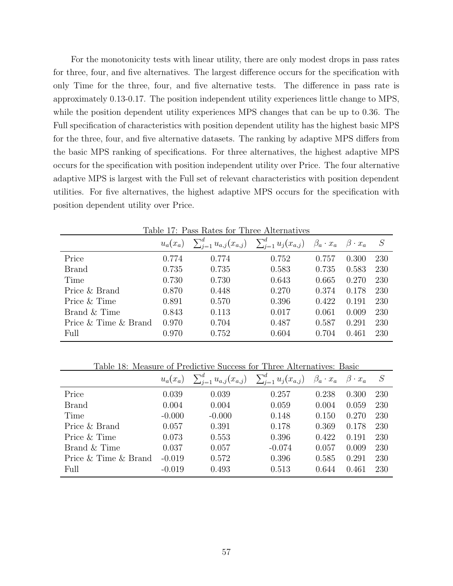For the monotonicity tests with linear utility, there are only modest drops in pass rates for three, four, and five alternatives. The largest difference occurs for the specification with only Time for the three, four, and five alternative tests. The difference in pass rate is approximately 0.13-0.17. The position independent utility experiences little change to MPS, while the position dependent utility experiences MPS changes that can be up to 0.36. The Full specification of characteristics with position dependent utility has the highest basic MPS for the three, four, and five alternative datasets. The ranking by adaptive MPS differs from the basic MPS ranking of specifications. For three alternatives, the highest adaptive MPS occurs for the specification with position independent utility over Price. The four alternative adaptive MPS is largest with the Full set of relevant characteristics with position dependent utilities. For five alternatives, the highest adaptive MPS occurs for the specification with position dependent utility over Price.

|                      |       | $u_a(x_a)$ $\sum_{j=1}^d u_{a,j}(x_{a,j})$ $\sum_{j=1}^d u_j(x_{a,j})$ $\beta_a \cdot x_a$ |       |       | $\beta \cdot x_a$ |     |
|----------------------|-------|--------------------------------------------------------------------------------------------|-------|-------|-------------------|-----|
| Price                | 0.774 | 0.774                                                                                      | 0.752 | 0.757 | 0.300             | 230 |
| <b>Brand</b>         | 0.735 | 0.735                                                                                      | 0.583 | 0.735 | 0.583             | 230 |
| Time                 | 0.730 | 0.730                                                                                      | 0.643 | 0.665 | 0.270             | 230 |
| Price & Brand        | 0.870 | 0.448                                                                                      | 0.270 | 0.374 | 0.178             | 230 |
| Price & Time         | 0.891 | 0.570                                                                                      | 0.396 | 0.422 | 0.191             | 230 |
| Brand & Time         | 0.843 | 0.113                                                                                      | 0.017 | 0.061 | 0.009             | 230 |
| Price & Time & Brand | 0.970 | 0.704                                                                                      | 0.487 | 0.587 | 0.291             | 230 |
| Full                 | 0.970 | 0.752                                                                                      | 0.604 | 0.704 | 0.461             | 230 |

Table 17: Pass Rates for Three Alternatives

Table 18: Measure of Predictive Success for Three Alternatives: Basic

|                      | $u_a(x_a)$ | $\sum_{j=1}^{d} u_{a,j}(x_{a,j})$ $\sum_{j=1}^{d} u_j(x_{a,j})$ $\beta_a \cdot x_a$ |          |       | $\beta \cdot x_a$ |     |
|----------------------|------------|-------------------------------------------------------------------------------------|----------|-------|-------------------|-----|
| Price                | 0.039      | 0.039                                                                               | 0.257    | 0.238 | 0.300             | 230 |
| <b>Brand</b>         | 0.004      | 0.004                                                                               | 0.059    | 0.004 | 0.059             | 230 |
| Time                 | $-0.000$   | $-0.000$                                                                            | 0.148    | 0.150 | 0.270             | 230 |
| Price & Brand        | 0.057      | 0.391                                                                               | 0.178    | 0.369 | 0.178             | 230 |
| Price & Time         | 0.073      | 0.553                                                                               | 0.396    | 0.422 | 0.191             | 230 |
| Brand & Time         | 0.037      | 0.057                                                                               | $-0.074$ | 0.057 | 0.009             | 230 |
| Price & Time & Brand | $-0.019$   | 0.572                                                                               | 0.396    | 0.585 | 0.291             | 230 |
| Full                 | $-0.019$   | 0.493                                                                               | 0.513    | 0.644 | 0.461             | 230 |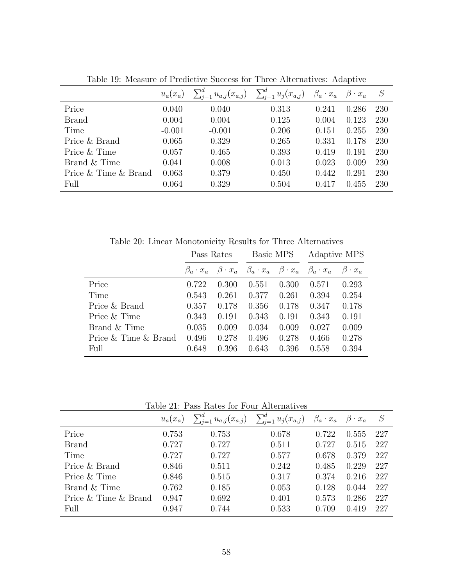|                      | $u_a(x_a)$ | $\sum_{j=1}^d u_{a,j}(x_{a,j})$ $\sum_{j=1}^d u_j(x_{a,j})$ $\beta_a \cdot x_a$ |       |       | $\beta \cdot x_a$ |     |
|----------------------|------------|---------------------------------------------------------------------------------|-------|-------|-------------------|-----|
| Price                | 0.040      | 0.040                                                                           | 0.313 | 0.241 | 0.286             | 230 |
| Brand                | 0.004      | 0.004                                                                           | 0.125 | 0.004 | 0.123             | 230 |
| Time                 | $-0.001$   | $-0.001$                                                                        | 0.206 | 0.151 | 0.255             | 230 |
| Price & Brand        | 0.065      | 0.329                                                                           | 0.265 | 0.331 | 0.178             | 230 |
| Price & Time         | 0.057      | 0.465                                                                           | 0.393 | 0.419 | 0.191             | 230 |
| Brand & Time         | 0.041      | 0.008                                                                           | 0.013 | 0.023 | 0.009             | 230 |
| Price & Time & Brand | 0.063      | 0.379                                                                           | 0.450 | 0.442 | 0.291             | 230 |
| Full                 | 0.064      | 0.329                                                                           | 0.504 | 0.417 | 0.455             | 230 |

Table 19: Measure of Predictive Success for Three Alternatives: Adaptive

Table 20: Linear Monotonicity Results for Three Alternatives

|                      | Pass Rates          |                   | Basic MPS                                 |       | Adaptive MPS        |                   |
|----------------------|---------------------|-------------------|-------------------------------------------|-------|---------------------|-------------------|
|                      | $\beta_a \cdot x_a$ | $\beta \cdot x_a$ | $\beta_a \cdot x_a \quad \beta \cdot x_a$ |       | $\beta_a \cdot x_a$ | $\beta \cdot x_a$ |
| Price                | 0.722               | 0.300             | 0.551                                     | 0.300 | 0.571               | 0.293             |
| Time                 | 0.543               | 0.261             | 0.377                                     | 0.261 | 0.394               | 0.254             |
| Price & Brand        | 0.357               | 0.178             | 0.356                                     | 0.178 | 0.347               | 0.178             |
| Price & Time         | 0.343               | 0.191             | 0.343                                     | 0.191 | 0.343               | 0.191             |
| Brand & Time         | 0.035               | 0.009             | 0.034                                     | 0.009 | 0.027               | 0.009             |
| Price & Time & Brand | 0.496               | 0.278             | 0.496                                     | 0.278 | 0.466               | 0.278             |
| Full                 | 0.648               | 0.396             | 0.643                                     | 0.396 | 0.558               | 0.394             |

Table 21: Pass Rates for Four Alternatives

|                      |            | rable 21. I ass nates for Four Alternatives                                         |       |       |                   |     |
|----------------------|------------|-------------------------------------------------------------------------------------|-------|-------|-------------------|-----|
|                      | $u_a(x_a)$ | $\sum_{j=1}^{d} u_{a,j}(x_{a,j})$ $\sum_{j=1}^{d} u_j(x_{a,j})$ $\beta_a \cdot x_a$ |       |       | $\beta \cdot x_a$ |     |
| Price                | 0.753      | 0.753                                                                               | 0.678 | 0.722 | 0.555             | 227 |
| <b>Brand</b>         | 0.727      | 0.727                                                                               | 0.511 | 0.727 | 0.515             | 227 |
| Time                 | 0.727      | 0.727                                                                               | 0.577 | 0.678 | 0.379             | 227 |
| Price & Brand        | 0.846      | 0.511                                                                               | 0.242 | 0.485 | 0.229             | 227 |
| Price & Time         | 0.846      | 0.515                                                                               | 0.317 | 0.374 | 0.216             | 227 |
| Brand & Time         | 0.762      | 0.185                                                                               | 0.053 | 0.128 | 0.044             | 227 |
| Price & Time & Brand | 0.947      | 0.692                                                                               | 0.401 | 0.573 | 0.286             | 227 |
| Full                 | 0.947      | 0.744                                                                               | 0.533 | 0.709 | 0.419             | 227 |
|                      |            |                                                                                     |       |       |                   |     |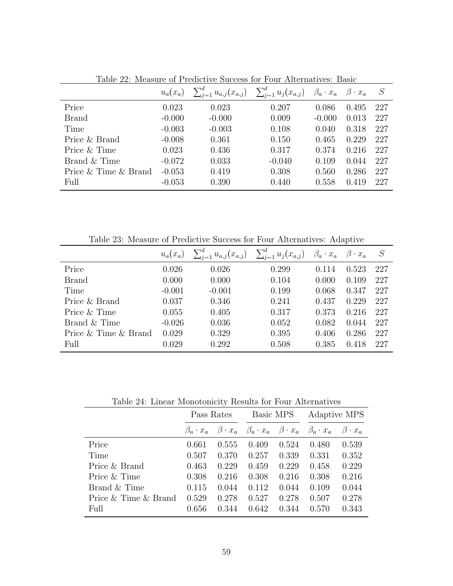|                      | $u_a(x_a)$ | $\sum_{j=1}^{d} u_{a,j}(x_{a,j})$ $\sum_{j=1}^{d} u_j(x_{a,j})$ $\beta_a \cdot x_a$ |          |          | $\beta \cdot x_a$ |     |
|----------------------|------------|-------------------------------------------------------------------------------------|----------|----------|-------------------|-----|
| Price                | 0.023      | 0.023                                                                               | 0.207    | 0.086    | 0.495             | 227 |
| Brand                | $-0.000$   | $-0.000$                                                                            | 0.009    | $-0.000$ | 0.013             | 227 |
| Time                 | $-0.003$   | $-0.003$                                                                            | 0.108    | 0.040    | 0.318             | 227 |
| Price & Brand        | $-0.008$   | 0.361                                                                               | 0.150    | 0.465    | 0.229             | 227 |
| Price & Time         | 0.023      | 0.436                                                                               | 0.317    | 0.374    | 0.216             | 227 |
| Brand & Time         | $-0.072$   | 0.033                                                                               | $-0.040$ | 0.109    | 0.044             | 227 |
| Price & Time & Brand | $-0.053$   | 0.419                                                                               | 0.308    | 0.560    | 0.286             | 227 |
| Full                 | $-0.053$   | 0.390                                                                               | 0.440    | 0.558    | 0.419             | 227 |

Table 22: Measure of Predictive Success for Four Alternatives: Basic

Table 23: Measure of Predictive Success for Four Alternatives: Adaptive

|                      | $u_a(x_a)$ | $\sum_{i=1}^{d} u_{a,j}(x_{a,j})$ | $\sum_{j=1}^{d} u_j(x_{a,j})$ | $\beta_a \cdot x_a$ | $\beta \cdot x_a$ | S   |
|----------------------|------------|-----------------------------------|-------------------------------|---------------------|-------------------|-----|
| Price                | 0.026      | 0.026                             | 0.299                         | 0.114               | 0.523             | 227 |
| Brand                | 0.000      | 0.000                             | 0.104                         | 0.000               | 0.109             | 227 |
| Time                 | $-0.001$   | $-0.001$                          | 0.199                         | 0.068               | 0.347             | 227 |
| Price & Brand        | 0.037      | 0.346                             | 0.241                         | 0.437               | 0.229             | 227 |
| Price & Time         | 0.055      | 0.405                             | 0.317                         | 0.373               | 0.216             | 227 |
| Brand & Time         | $-0.026$   | 0.036                             | 0.052                         | 0.082               | 0.044             | 227 |
| Price & Time & Brand | 0.029      | 0.329                             | 0.395                         | 0.406               | 0.286             | 227 |
| Full                 | 0.029      | 0.292                             | 0.508                         | 0.385               | 0.418             | 227 |

Table 24: Linear Monotonicity Results for Four Alternatives

|                      | Pass Rates          |                   | Basic MPS     |                   | Adaptive MPS  |                   |
|----------------------|---------------------|-------------------|---------------|-------------------|---------------|-------------------|
|                      | $\beta_a \cdot x_a$ | $\beta \cdot x_a$ | $\beta_a x_a$ | $\beta \cdot x_a$ | $\beta_a x_a$ | $\beta \cdot x_a$ |
| Price                | 0.661               | 0.555             | 0.409         | 0.524             | 0.480         | 0.539             |
| Time                 | 0.507               | 0.370             | 0.257         | 0.339             | 0.331         | 0.352             |
| Price & Brand        | 0.463               | 0.229             | 0.459         | 0.229             | 0.458         | 0.229             |
| Price & Time         | 0.308               | 0.216             | 0.308         | 0.216             | 0.308         | 0.216             |
| Brand & Time         | 0.115               | 0.044             | 0.112         | 0.044             | 0.109         | 0.044             |
| Price & Time & Brand | 0.529               | 0.278             | 0.527         | 0.278             | 0.507         | 0.278             |
| Full                 | 0.656               | 0.344             | 0.642         | 0.344             | 0.570         | 0.343             |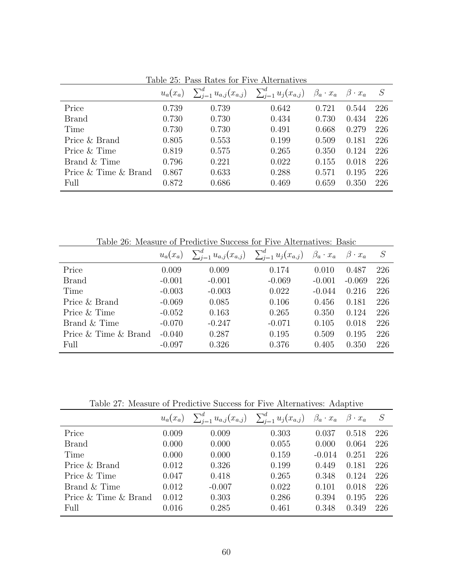|                      | $u_a(x_a)$ | $\sum_{j=1}^d u_{a,j}(x_{a,j}) \quad \sum_{j=1}^d u_j(x_{a,j}) \quad \beta_a \cdot x_a \quad \beta \cdot x_a$ |       |       |       | S   |
|----------------------|------------|---------------------------------------------------------------------------------------------------------------|-------|-------|-------|-----|
| Price                | 0.739      | 0.739                                                                                                         | 0.642 | 0.721 | 0.544 | 226 |
| Brand                | 0.730      | 0.730                                                                                                         | 0.434 | 0.730 | 0.434 | 226 |
| Time                 | 0.730      | 0.730                                                                                                         | 0.491 | 0.668 | 0.279 | 226 |
| Price & Brand        | 0.805      | 0.553                                                                                                         | 0.199 | 0.509 | 0.181 | 226 |
| Price & Time         | 0.819      | 0.575                                                                                                         | 0.265 | 0.350 | 0.124 | 226 |
| Brand & Time         | 0.796      | 0.221                                                                                                         | 0.022 | 0.155 | 0.018 | 226 |
| Price & Time & Brand | 0.867      | 0.633                                                                                                         | 0.288 | 0.571 | 0.195 | 226 |
| Full                 | 0.872      | 0.686                                                                                                         | 0.469 | 0.659 | 0.350 | 226 |

Table 25: Pass Rates for Five Alternatives

Table 26: Measure of Predictive Success for Five Alternatives: Basic

|                      | $u_a(x_a)$ | $\sum_{i=1}^{d} u_{a,j}(x_{a,j})$ | $\sum_{j=1}^d u_j(x_{a,j})$ | $\beta_a \cdot x_a$ | $\beta \cdot x_a$ |     |
|----------------------|------------|-----------------------------------|-----------------------------|---------------------|-------------------|-----|
| Price                | 0.009      | 0.009                             | 0.174                       | 0.010               | 0.487             | 226 |
| Brand                | $-0.001$   | $-0.001$                          | $-0.069$                    | $-0.001$            | $-0.069$          | 226 |
| Time                 | $-0.003$   | $-0.003$                          | 0.022                       | $-0.044$            | 0.216             | 226 |
| Price & Brand        | $-0.069$   | 0.085                             | 0.106                       | 0.456               | 0.181             | 226 |
| Price & Time         | $-0.052$   | 0.163                             | 0.265                       | 0.350               | 0.124             | 226 |
| Brand & Time         | $-0.070$   | $-0.247$                          | $-0.071$                    | 0.105               | 0.018             | 226 |
| Price & Time & Brand | $-0.040$   | 0.287                             | 0.195                       | 0.509               | 0.195             | 226 |
| Full                 | $-0.097$   | 0.326                             | 0.376                       | 0.405               | 0.350             | 226 |

Table 27: Measure of Predictive Success for Five Alternatives: Adaptive

| <b>IAUIU 21. INCASULU UL I IUAIULITU DUCCUSS IUL I ITU TIILUITIALITUS. TIUAPILTU</b> |       |                                                                                                              |       |          |       |     |  |
|--------------------------------------------------------------------------------------|-------|--------------------------------------------------------------------------------------------------------------|-------|----------|-------|-----|--|
|                                                                                      |       | $u_a(x_a)$ $\sum_{j=1}^d u_{a,j}(x_{a,j})$ $\sum_{j=1}^d u_j(x_{a,j})$ $\beta_a \cdot x_a$ $\beta \cdot x_a$ |       |          |       | S   |  |
| Price                                                                                | 0.009 | 0.009                                                                                                        | 0.303 | 0.037    | 0.518 | 226 |  |
| <b>Brand</b>                                                                         | 0.000 | 0.000                                                                                                        | 0.055 | 0.000    | 0.064 | 226 |  |
| Time                                                                                 | 0.000 | 0.000                                                                                                        | 0.159 | $-0.014$ | 0.251 | 226 |  |
| Price & Brand                                                                        | 0.012 | 0.326                                                                                                        | 0.199 | 0.449    | 0.181 | 226 |  |
| Price & Time                                                                         | 0.047 | 0.418                                                                                                        | 0.265 | 0.348    | 0.124 | 226 |  |
| Brand & Time                                                                         | 0.012 | $-0.007$                                                                                                     | 0.022 | 0.101    | 0.018 | 226 |  |
| Price & Time & Brand                                                                 | 0.012 | 0.303                                                                                                        | 0.286 | 0.394    | 0.195 | 226 |  |
| Full                                                                                 | 0.016 | 0.285                                                                                                        | 0.461 | 0.348    | 0.349 | 226 |  |
|                                                                                      |       |                                                                                                              |       |          |       |     |  |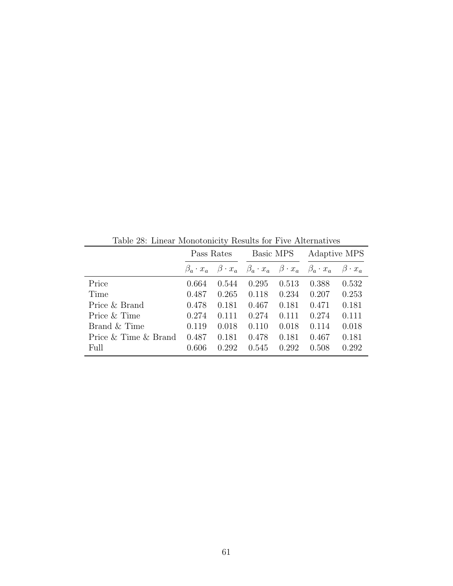|                      | Lable 20. Lillear Monotonicity Results for Five Alternatives<br>Pass Rates |       | Basic MPS                                                                   |       | Adaptive MPS |                   |
|----------------------|----------------------------------------------------------------------------|-------|-----------------------------------------------------------------------------|-------|--------------|-------------------|
|                      |                                                                            |       | $\beta_a$ $x_a$ $\beta$ $x_a$ $\beta_a$ $x_a$ $\beta$ $x_a$ $\beta_a$ $x_a$ |       |              | $\beta \cdot x_a$ |
| Price                | 0.664                                                                      | 0.544 | 0.295                                                                       | 0.513 | 0.388        | 0.532             |
| Time                 | 0.487                                                                      | 0.265 | 0.118                                                                       | 0.234 | 0.207        | 0.253             |
| Price & Brand        | 0.478                                                                      | 0.181 | 0.467                                                                       | 0.181 | 0.471        | 0.181             |
| Price & Time         | 0.274                                                                      | 0.111 | 0.274                                                                       | 0.111 | 0.274        | 0.111             |
| Brand & Time         | 0.119                                                                      | 0.018 | 0.110                                                                       | 0.018 | 0.114        | 0.018             |
| Price & Time & Brand | 0.487                                                                      | 0.181 | 0.478                                                                       | 0.181 | 0.467        | 0.181             |
| Full                 | 0.606                                                                      | 0.292 | 0.545                                                                       | 0.292 | 0.508        | 0.292             |

Table 28: Linear Monotonicity Results for Five Alternatives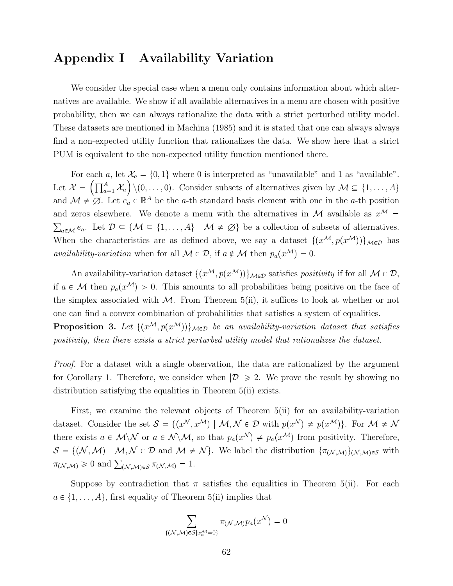## Appendix I Availability Variation

We consider the special case when a menu only contains information about which alternatives are available. We show if all available alternatives in a menu are chosen with positive probability, then we can always rationalize the data with a strict perturbed utility model. These datasets are mentioned in Machina (1985) and it is stated that one can always always find a non-expected utility function that rationalizes the data. We show here that a strict PUM is equivalent to the non-expected utility function mentioned there.

For each a, let  $\mathcal{X}_a = \{0, 1\}$  where 0 is interpreted as "unavailable" and 1 as "available". Let  $\mathcal{X} = \left( \prod_{a=1}^A \mathcal{X}_a \right) \setminus (0, \ldots, 0)$ . Consider subsets of alternatives given by  $\mathcal{M} \subseteq \{1, \ldots, A\}$ and  $\mathcal{M} \neq \emptyset$ . Let  $e_a \in \mathbb{R}^A$  be the a-th standard basis element with one in the a-th position and zeros elsewhere. We denote a menu with the alternatives in M available as  $x^{\mathcal{M}} =$  $\sum_{a \in \mathcal{M}} e_a$ . Let  $\mathcal{D} \subseteq \{ \mathcal{M} \subseteq \{1, ..., A\} \mid \mathcal{M} \neq \emptyset \}$  be a collection of subsets of alternatives. When the characteristics are as defined above, we say a dataset  $\{(x^{\mathcal{M}}, p(x^{\mathcal{M}}))\}_{\mathcal{M}\in\mathcal{D}}$  has *availability-variation* when for all  $M \in \mathcal{D}$ , if  $a \notin \mathcal{M}$  then  $p_a(x^{\mathcal{M}}) = 0$ .

An availability-variation dataset  $\{(x^{\mathcal{M}}, p(x^{\mathcal{M}}))\}_{\mathcal{M}\in\mathcal{D}}$  satisfies positivity if for all  $\mathcal{M}\in\mathcal{D}$ , if  $a \in \mathcal{M}$  then  $p_a(x^{\mathcal{M}}) > 0$ . This amounts to all probabilities being positive on the face of the simplex associated with  $M$ . From Theorem 5(ii), it suffices to look at whether or not one can find a convex combination of probabilities that satisfies a system of equalities. **Proposition 3.** Let  $\{(x^{\mathcal{M}}, p(x^{\mathcal{M}}))\}_{\mathcal{M}\in\mathcal{D}}$  be an availability-variation dataset that satisfies positivity, then there exists a strict perturbed utility model that rationalizes the dataset.

Proof. For a dataset with a single observation, the data are rationalized by the argument for Corollary 1. Therefore, we consider when  $|\mathcal{D}| \geq 2$ . We prove the result by showing no distribution satisfying the equalities in Theorem 5(ii) exists.

First, we examine the relevant objects of Theorem 5(ii) for an availability-variation dataset. Consider the set  $S = \{ (x^{\mathcal{N}}, x^{\mathcal{M}}) \mid \mathcal{M}, \mathcal{N} \in \mathcal{D} \text{ with } p(x^{\mathcal{N}}) \neq p(x^{\mathcal{M}}) \}$ . For  $\mathcal{M} \neq \mathcal{N}$ there exists  $a \in M \backslash N$  or  $a \in N \backslash M$ , so that  $p_a(x^{\mathcal{N}}) \neq p_a(x^{\mathcal{M}})$  from positivity. Therefore,  $S = \{(\mathcal{N},\mathcal{M}) \mid \mathcal{M}, \mathcal{N} \in \mathcal{D} \text{ and } \mathcal{M} \neq \mathcal{N}\}\$ . We label the distribution  $\{\pi_{(\mathcal{N},\mathcal{M})}\}_{(\mathcal{N},\mathcal{M})\in\mathcal{S}}$  with  $\pi_{(\mathcal{N},\mathcal{M})} \geq 0$  and  $\sum_{(\mathcal{N},\mathcal{M}) \in \mathcal{S}} \pi_{(\mathcal{N},\mathcal{M})} = 1.$ 

Suppose by contradiction that  $\pi$  satisfies the equalities in Theorem 5(ii). For each  $a \in \{1, \ldots, A\}$ , first equality of Theorem 5(ii) implies that

$$
\sum_{\{(\mathcal{N},\mathcal{M})\in\mathcal{S}|x_a^{\mathcal{M}}=0\}}\pi_{(\mathcal{N},\mathcal{M})}p_a(x^{\mathcal{N}})=0
$$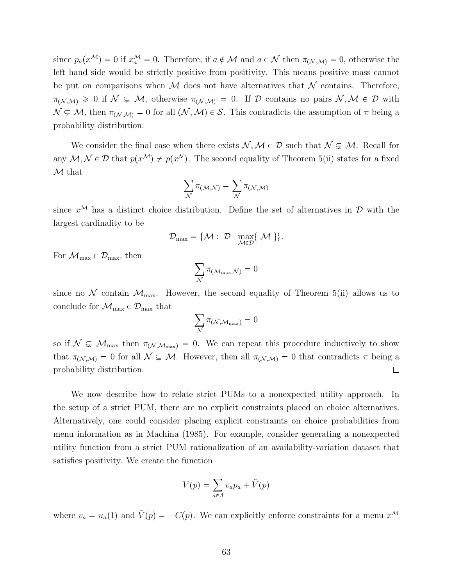since  $p_a(x^{\mathcal{M}}) = 0$  if  $x_a^{\mathcal{M}} = 0$ . Therefore, if  $a \notin \mathcal{M}$  and  $a \in \mathcal{N}$  then  $\pi_{(\mathcal{N},\mathcal{M})} = 0$ , otherwise the left hand side would be strictly positive from positivity. This means positive mass cannot be put on comparisons when  $\mathcal M$  does not have alternatives that  $\mathcal N$  contains. Therefore,  $\pi_{N,M} \geq 0$  if  $N \subsetneq M$ , otherwise  $\pi_{N,M} = 0$ . If D contains no pairs  $N, M \in D$  with  $\mathcal{N} \subsetneq \mathcal{M}$ , then  $\pi_{(\mathcal{N},\mathcal{M})}=0$  for all  $(\mathcal{N},\mathcal{M})\in\mathcal{S}$ . This contradicts the assumption of  $\pi$  being a probability distribution.

We consider the final case when there exists  $\mathcal{N}, \mathcal{M} \in \mathcal{D}$  such that  $\mathcal{N} \subsetneq \mathcal{M}$ . Recall for any  $M, \mathcal{N} \in \mathcal{D}$  that  $p(x^{\mathcal{M}}) \neq p(x^{\mathcal{N}})$ . The second equality of Theorem 5(ii) states for a fixed M that

$$
\sum_{\mathcal{N}} \pi_{(\mathcal{M}, \mathcal{N})} = \sum_{\mathcal{N}} \pi_{(\mathcal{N}, \mathcal{M})}
$$

since  $x^{\mathcal{M}}$  has a distinct choice distribution. Define the set of alternatives in  $\mathcal{D}$  with the largest cardinality to be

$$
\mathcal{D}_{\max} = \{\mathcal{M} \in \mathcal{D} \mid \max_{\mathcal{M} \in \mathcal{D}} \{|\mathcal{M}|\}\}.
$$

For  $\mathcal{M}_{\text{max}} \in \mathcal{D}_{\text{max}}$ , then

$$
\sum_{\mathcal{N}} \pi_{(\mathcal{M}_{\max}, \mathcal{N})} = 0
$$

since no N contain  $\mathcal{M}_{\text{max}}$ . However, the second equality of Theorem 5(ii) allows us to conclude for  $\mathcal{M}_{\max} \in \mathcal{D}_{\max}$  that

$$
\sum_{\mathcal{N}} \pi_{(\mathcal{N}, \mathcal{M}_{\max})} = 0
$$

so if  $\mathcal{N} \subsetneq \mathcal{M}_{\text{max}}$  then  $\pi_{(\mathcal{N},\mathcal{M}_{\text{max}})} = 0$ . We can repeat this procedure inductively to show that  $\pi_{(\mathcal{N},\mathcal{M})}=0$  for all  $\mathcal{N}\subsetneq\mathcal{M}$ . However, then all  $\pi_{(\mathcal{N},\mathcal{M})}=0$  that contradicts  $\pi$  being a probability distribution.  $\Box$ 

We now describe how to relate strict PUMs to a nonexpected utility approach. In the setup of a strict PUM, there are no explicit constraints placed on choice alternatives. Alternatively, one could consider placing explicit constraints on choice probabilities from menu information as in Machina (1985). For example, consider generating a nonexpected utility function from a strict PUM rationalization of an availability-variation dataset that satisfies positivity. We create the function

$$
V(p) = \sum_{a \in A} v_a p_a + \tilde{V}(p)
$$

where  $v_a = u_a(1)$  and  $\tilde{V}(p) = -C(p)$ . We can explicitly enforce constraints for a menu  $x^{\mathcal{M}}$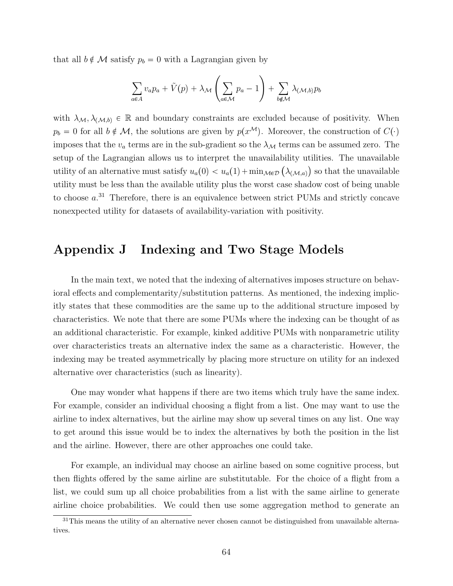that all  $b \notin \mathcal{M}$  satisfy  $p_b = 0$  with a Lagrangian given by

$$
\sum_{a \in A} v_a p_a + \tilde{V}(p) + \lambda_{\mathcal{M}} \left( \sum_{a \in \mathcal{M}} p_a - 1 \right) + \sum_{b \notin \mathcal{M}} \lambda_{(\mathcal{M},b)} p_b
$$

with  $\lambda_{\mathcal{M}}, \lambda_{(\mathcal{M},b)} \in \mathbb{R}$  and boundary constraints are excluded because of positivity. When  $p_b = 0$  for all  $b \notin \mathcal{M}$ , the solutions are given by  $p(x^{\mathcal{M}})$ . Moreover, the construction of  $C(\cdot)$ imposes that the  $v_a$  terms are in the sub-gradient so the  $\lambda_{\mathcal{M}}$  terms can be assumed zero. The setup of the Lagrangian allows us to interpret the unavailability utilities. The unavailable utility of an alternative must satisfy  $u_a(0) < u_a(1) + \min_{\mathcal{M} \in \mathcal{D}} (\lambda_{(\mathcal{M},a)})$  so that the unavailable utility must be less than the available utility plus the worst case shadow cost of being unable to choose  $a^{31}$ . Therefore, there is an equivalence between strict PUMs and strictly concave nonexpected utility for datasets of availability-variation with positivity.

### Appendix J Indexing and Two Stage Models

In the main text, we noted that the indexing of alternatives imposes structure on behavioral effects and complementarity/substitution patterns. As mentioned, the indexing implicitly states that these commodities are the same up to the additional structure imposed by characteristics. We note that there are some PUMs where the indexing can be thought of as an additional characteristic. For example, kinked additive PUMs with nonparametric utility over characteristics treats an alternative index the same as a characteristic. However, the indexing may be treated asymmetrically by placing more structure on utility for an indexed alternative over characteristics (such as linearity).

One may wonder what happens if there are two items which truly have the same index. For example, consider an individual choosing a flight from a list. One may want to use the airline to index alternatives, but the airline may show up several times on any list. One way to get around this issue would be to index the alternatives by both the position in the list and the airline. However, there are other approaches one could take.

For example, an individual may choose an airline based on some cognitive process, but then flights offered by the same airline are substitutable. For the choice of a flight from a list, we could sum up all choice probabilities from a list with the same airline to generate airline choice probabilities. We could then use some aggregation method to generate an

 $31$ This means the utility of an alternative never chosen cannot be distinguished from unavailable alternatives.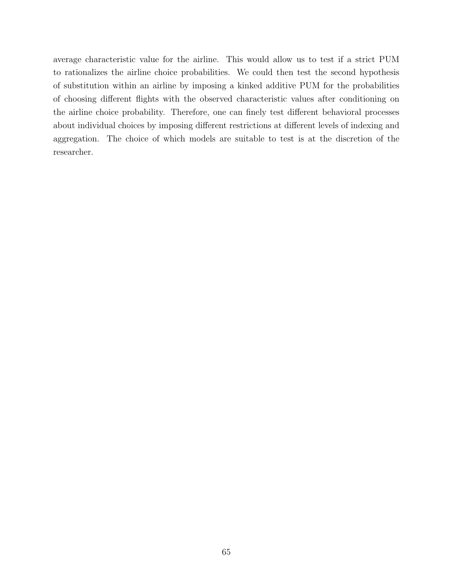average characteristic value for the airline. This would allow us to test if a strict PUM to rationalizes the airline choice probabilities. We could then test the second hypothesis of substitution within an airline by imposing a kinked additive PUM for the probabilities of choosing different flights with the observed characteristic values after conditioning on the airline choice probability. Therefore, one can finely test different behavioral processes about individual choices by imposing different restrictions at different levels of indexing and aggregation. The choice of which models are suitable to test is at the discretion of the researcher.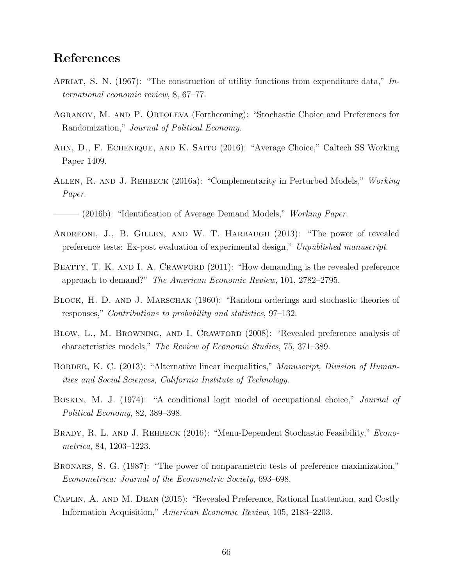# References

- AFRIAT, S. N.  $(1967)$ : "The construction of utility functions from expenditure data," International economic review, 8, 67–77.
- Agranov, M. and P. Ortoleva (Forthcoming): "Stochastic Choice and Preferences for Randomization," Journal of Political Economy.
- Ahn, D., F. Echenique, and K. Saito (2016): "Average Choice," Caltech SS Working Paper 1409.
- Allen, R. and J. Rehbeck (2016a): "Complementarity in Perturbed Models," Working Paper.
- (2016b): "Identification of Average Demand Models," *Working Paper*.
- Andreoni, J., B. Gillen, and W. T. Harbaugh (2013): "The power of revealed preference tests: Ex-post evaluation of experimental design," Unpublished manuscript.
- BEATTY, T. K. AND I. A. CRAWFORD (2011): "How demanding is the revealed preference approach to demand?" The American Economic Review, 101, 2782–2795.
- BLOCK, H. D. AND J. MARSCHAK (1960): "Random orderings and stochastic theories of responses," Contributions to probability and statistics, 97–132.
- BLOW, L., M. BROWNING, AND I. CRAWFORD (2008): "Revealed preference analysis of characteristics models," The Review of Economic Studies, 75, 371–389.
- BORDER, K. C. (2013): "Alternative linear inequalities," *Manuscript*, *Division of Human*ities and Social Sciences, California Institute of Technology.
- Boskin, M. J. (1974): "A conditional logit model of occupational choice," Journal of Political Economy, 82, 389–398.
- BRADY, R. L. AND J. REHBECK (2016): "Menu-Dependent Stochastic Feasibility," *Econo*metrica, 84, 1203–1223.
- Bronars, S. G. (1987): "The power of nonparametric tests of preference maximization," Econometrica: Journal of the Econometric Society, 693–698.
- Caplin, A. and M. Dean (2015): "Revealed Preference, Rational Inattention, and Costly Information Acquisition," American Economic Review, 105, 2183–2203.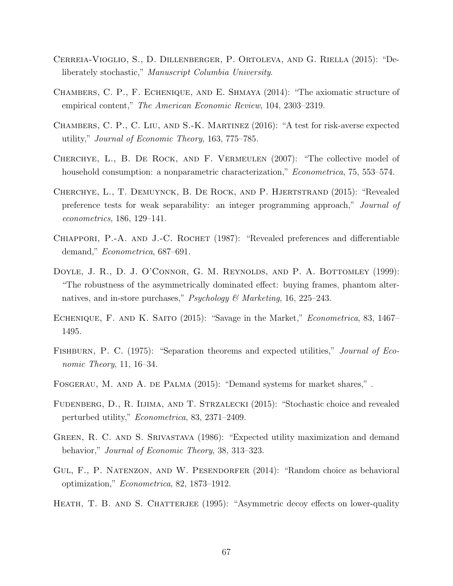- Cerreia-Vioglio, S., D. Dillenberger, P. Ortoleva, and G. Riella (2015): "Deliberately stochastic," Manuscript Columbia University.
- Chambers, C. P., F. Echenique, and E. Shmaya (2014): "The axiomatic structure of empirical content," The American Economic Review, 104, 2303–2319.
- Chambers, C. P., C. Liu, and S.-K. Martinez (2016): "A test for risk-averse expected utility," Journal of Economic Theory, 163, 775–785.
- Cherchye, L., B. De Rock, and F. Vermeulen (2007): "The collective model of household consumption: a nonparametric characterization," *Econometrica*, 75, 553–574.
- Cherchye, L., T. Demuynck, B. De Rock, and P. Hjertstrand (2015): "Revealed preference tests for weak separability: an integer programming approach," Journal of econometrics, 186, 129–141.
- CHIAPPORI, P.-A. AND J.-C. ROCHET (1987): "Revealed preferences and differentiable demand," Econometrica, 687–691.
- DOYLE, J. R., D. J. O'CONNOR, G. M. REYNOLDS, AND P. A. BOTTOMLEY (1999): "The robustness of the asymmetrically dominated effect: buying frames, phantom alternatives, and in-store purchases," Psychology & Marketing, 16, 225–243.
- Echenique, F. and K. Saito (2015): "Savage in the Market," Econometrica, 83, 1467– 1495.
- FISHBURN, P. C. (1975): "Separation theorems and expected utilities," *Journal of Eco*nomic Theory, 11, 16–34.
- FOSGERAU, M. AND A. DE PALMA (2015): "Demand systems for market shares,".
- Fudenberg, D., R. Iijima, and T. Strzalecki (2015): "Stochastic choice and revealed perturbed utility," Econometrica, 83, 2371–2409.
- GREEN, R. C. AND S. SRIVASTAVA (1986): "Expected utility maximization and demand behavior," Journal of Economic Theory, 38, 313–323.
- Gul, F., P. Natenzon, and W. Pesendorfer (2014): "Random choice as behavioral optimization," Econometrica, 82, 1873–1912.
- HEATH, T. B. AND S. CHATTERJEE (1995): "Asymmetric decoy effects on lower-quality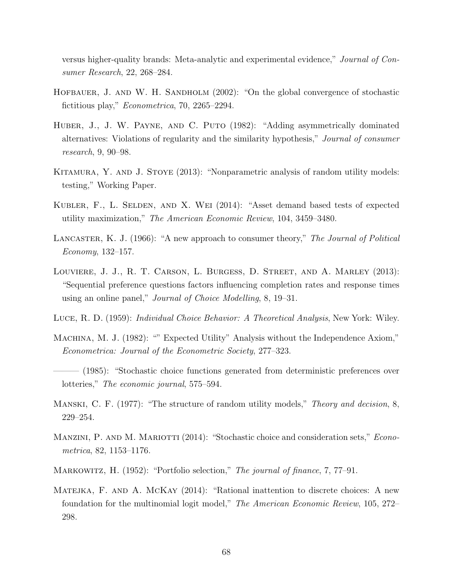versus higher-quality brands: Meta-analytic and experimental evidence," Journal of Consumer Research, 22, 268–284.

- HOFBAUER, J. AND W. H. SANDHOLM (2002): "On the global convergence of stochastic fictitious play," Econometrica, 70, 2265–2294.
- Huber, J., J. W. Payne, and C. Puto (1982): "Adding asymmetrically dominated alternatives: Violations of regularity and the similarity hypothesis," Journal of consumer research, 9, 90–98.
- Kitamura, Y. and J. Stoye (2013): "Nonparametric analysis of random utility models: testing," Working Paper.
- Kubler, F., L. Selden, and X. Wei (2014): "Asset demand based tests of expected utility maximization," The American Economic Review, 104, 3459–3480.
- LANCASTER, K. J. (1966): "A new approach to consumer theory," The Journal of Political Economy, 132–157.
- Louviere, J. J., R. T. Carson, L. Burgess, D. Street, and A. Marley (2013): "Sequential preference questions factors influencing completion rates and response times using an online panel," Journal of Choice Modelling, 8, 19–31.
- Luce, R. D. (1959): Individual Choice Behavior: A Theoretical Analysis, New York: Wiley.
- MACHINA, M. J. (1982): "" Expected Utility" Analysis without the Independence Axiom," Econometrica: Journal of the Econometric Society, 277–323.
- (1985): "Stochastic choice functions generated from deterministic preferences over lotteries," The economic journal, 575–594.
- MANSKI, C. F. (1977): "The structure of random utility models," *Theory and decision*, 8, 229–254.
- MANZINI, P. AND M. MARIOTTI (2014): "Stochastic choice and consideration sets," *Econo*metrica, 82, 1153–1176.
- Markowitz, H. (1952): "Portfolio selection," The journal of finance, 7, 77–91.
- MATEJKA, F. AND A. MCKAY (2014): "Rational inattention to discrete choices: A new foundation for the multinomial logit model," The American Economic Review, 105, 272– 298.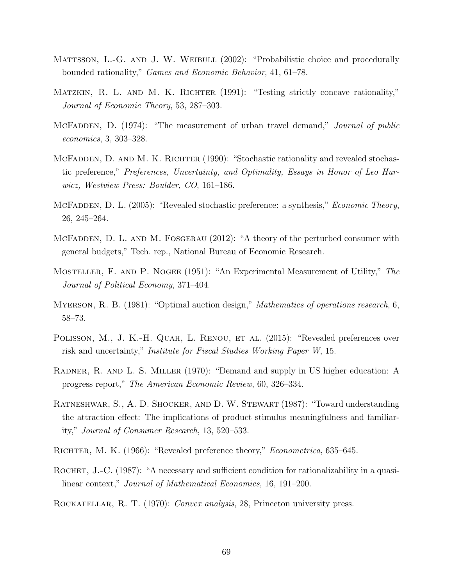- MATTSSON, L.-G. AND J. W. WEIBULL (2002): "Probabilistic choice and procedurally bounded rationality," Games and Economic Behavior, 41, 61–78.
- MATZKIN, R. L. AND M. K. RICHTER (1991): "Testing strictly concave rationality," Journal of Economic Theory, 53, 287–303.
- McFadden, D. (1974): "The measurement of urban travel demand," *Journal of public* economics, 3, 303–328.
- MCFADDEN, D. AND M. K. RICHTER (1990): "Stochastic rationality and revealed stochastic preference," Preferences, Uncertainty, and Optimality, Essays in Honor of Leo Hurwicz, Westview Press: Boulder, CO, 161–186.
- MCFADDEN, D. L. (2005): "Revealed stochastic preference: a synthesis," *Economic Theory*, 26, 245–264.
- MCFADDEN, D. L. AND M. FOSGERAU (2012): "A theory of the perturbed consumer with general budgets," Tech. rep., National Bureau of Economic Research.
- Mosteller, F. and P. Nogee (1951): "An Experimental Measurement of Utility," The Journal of Political Economy, 371–404.
- MYERSON, R. B. (1981): "Optimal auction design," *Mathematics of operations research*, 6, 58–73.
- POLISSON, M., J. K.-H. QUAH, L. RENOU, ET AL. (2015): "Revealed preferences over risk and uncertainty," Institute for Fiscal Studies Working Paper W, 15.
- Radner, R. and L. S. Miller (1970): "Demand and supply in US higher education: A progress report," The American Economic Review, 60, 326–334.
- Ratneshwar, S., A. D. Shocker, and D. W. Stewart (1987): "Toward understanding the attraction effect: The implications of product stimulus meaningfulness and familiarity," Journal of Consumer Research, 13, 520–533.
- RICHTER, M. K. (1966): "Revealed preference theory," *Econometrica*, 635–645.
- ROCHET, J.-C. (1987): "A necessary and sufficient condition for rationalizability in a quasilinear context," Journal of Mathematical Economics, 16, 191–200.
- ROCKAFELLAR, R. T. (1970): *Convex analysis*, 28, Princeton university press.